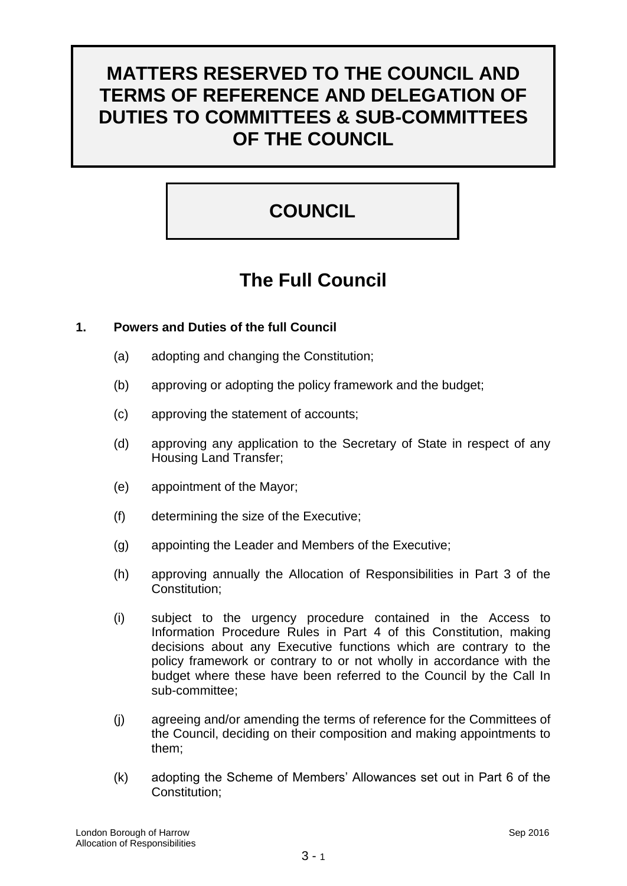# **MATTERS RESERVED TO THE COUNCIL AND TERMS OF REFERENCE AND DELEGATION OF DUTIES TO COMMITTEES & SUB-COMMITTEES OF THE COUNCIL**

# **COUNCIL**

# **The Full Council**

# **1. Powers and Duties of the full Council**

- (a) adopting and changing the Constitution;
- (b) approving or adopting the policy framework and the budget;
- (c) approving the statement of accounts;
- (d) approving any application to the Secretary of State in respect of any Housing Land Transfer;
- (e) appointment of the Mayor;
- (f) determining the size of the Executive;
- (g) appointing the Leader and Members of the Executive;
- (h) approving annually the Allocation of Responsibilities in Part 3 of the Constitution;
- (i) subject to the urgency procedure contained in the Access to Information Procedure Rules in Part 4 of this Constitution, making decisions about any Executive functions which are contrary to the policy framework or contrary to or not wholly in accordance with the budget where these have been referred to the Council by the Call In sub-committee;
- (j) agreeing and/or amending the terms of reference for the Committees of the Council, deciding on their composition and making appointments to them;
- (k) adopting the Scheme of Members" Allowances set out in Part 6 of the Constitution;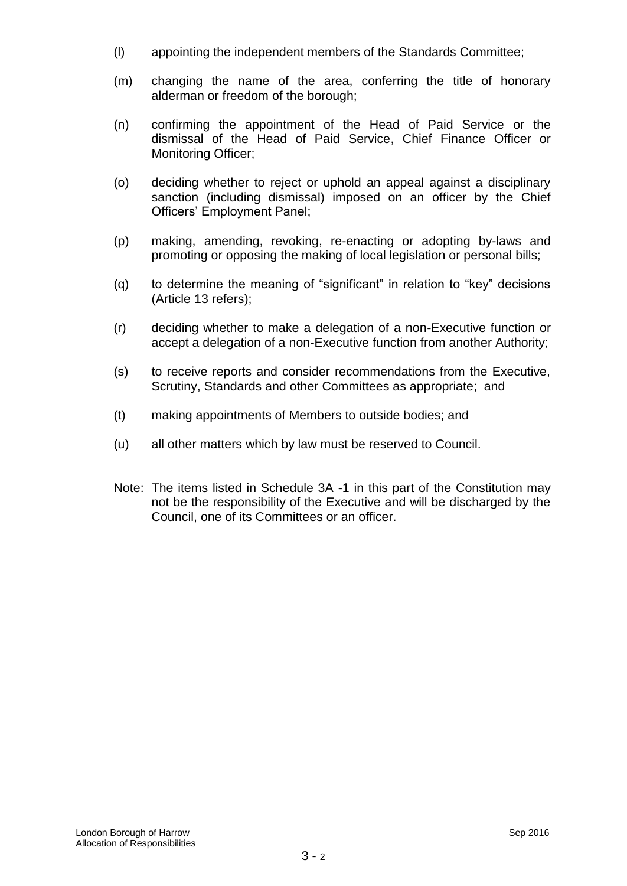- (l) appointing the independent members of the Standards Committee;
- (m) changing the name of the area, conferring the title of honorary alderman or freedom of the borough;
- (n) confirming the appointment of the Head of Paid Service or the dismissal of the Head of Paid Service, Chief Finance Officer or Monitoring Officer;
- (o) deciding whether to reject or uphold an appeal against a disciplinary sanction (including dismissal) imposed on an officer by the Chief Officers" Employment Panel;
- (p) making, amending, revoking, re-enacting or adopting by-laws and promoting or opposing the making of local legislation or personal bills;
- (q) to determine the meaning of "significant" in relation to "key" decisions (Article 13 refers);
- (r) deciding whether to make a delegation of a non-Executive function or accept a delegation of a non-Executive function from another Authority;
- (s) to receive reports and consider recommendations from the Executive, Scrutiny, Standards and other Committees as appropriate; and
- (t) making appointments of Members to outside bodies; and
- (u) all other matters which by law must be reserved to Council.
- Note: The items listed in Schedule 3A -1 in this part of the Constitution may not be the responsibility of the Executive and will be discharged by the Council, one of its Committees or an officer.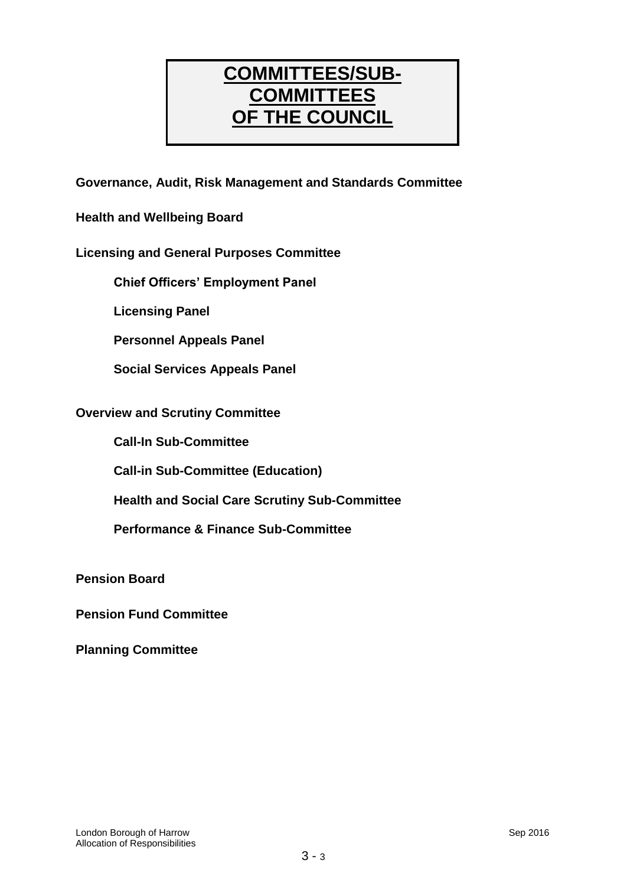# **COMMITTEES/SUB-COMMITTEES OF THE COUNCIL**

**Governance, Audit, Risk Management and Standards Committee**

**Health and Wellbeing Board**

## **Licensing and General Purposes Committee**

**Chief Officers" Employment Panel**

**Licensing Panel**

**Personnel Appeals Panel**

**Social Services Appeals Panel**

## **Overview and Scrutiny Committee**

**Call-In Sub-Committee**

**Call-in Sub-Committee (Education)**

**Health and Social Care Scrutiny Sub-Committee**

**Performance & Finance Sub-Committee**

**Pension Board**

**Pension Fund Committee**

**Planning Committee**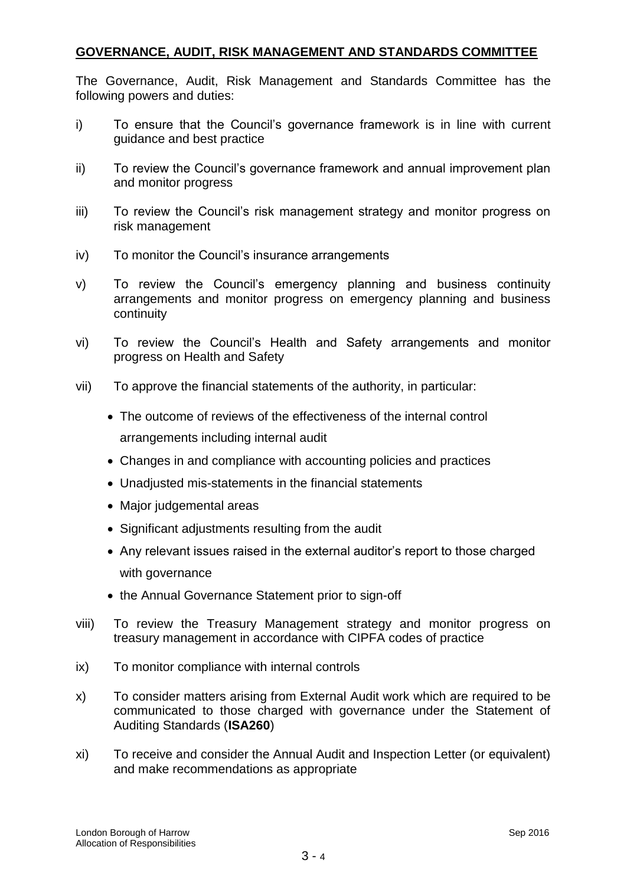## **GOVERNANCE, AUDIT, RISK MANAGEMENT AND STANDARDS COMMITTEE**

The Governance, Audit, Risk Management and Standards Committee has the following powers and duties:

- i) To ensure that the Council"s governance framework is in line with current guidance and best practice
- ii) To review the Council"s governance framework and annual improvement plan and monitor progress
- iii) To review the Council's risk management strategy and monitor progress on risk management
- iv) To monitor the Council"s insurance arrangements
- v) To review the Council"s emergency planning and business continuity arrangements and monitor progress on emergency planning and business continuity
- vi) To review the Council"s Health and Safety arrangements and monitor progress on Health and Safety
- vii) To approve the financial statements of the authority, in particular:
	- The outcome of reviews of the effectiveness of the internal control arrangements including internal audit
	- Changes in and compliance with accounting policies and practices
	- Unadjusted mis-statements in the financial statements
	- Major judgemental areas
	- Significant adjustments resulting from the audit
	- Any relevant issues raised in the external auditor's report to those charged with governance
	- the Annual Governance Statement prior to sign-off
- viii) To review the Treasury Management strategy and monitor progress on treasury management in accordance with CIPFA codes of practice
- ix) To monitor compliance with internal controls
- x) To consider matters arising from External Audit work which are required to be communicated to those charged with governance under the Statement of Auditing Standards (**ISA260**)
- xi) To receive and consider the Annual Audit and Inspection Letter (or equivalent) and make recommendations as appropriate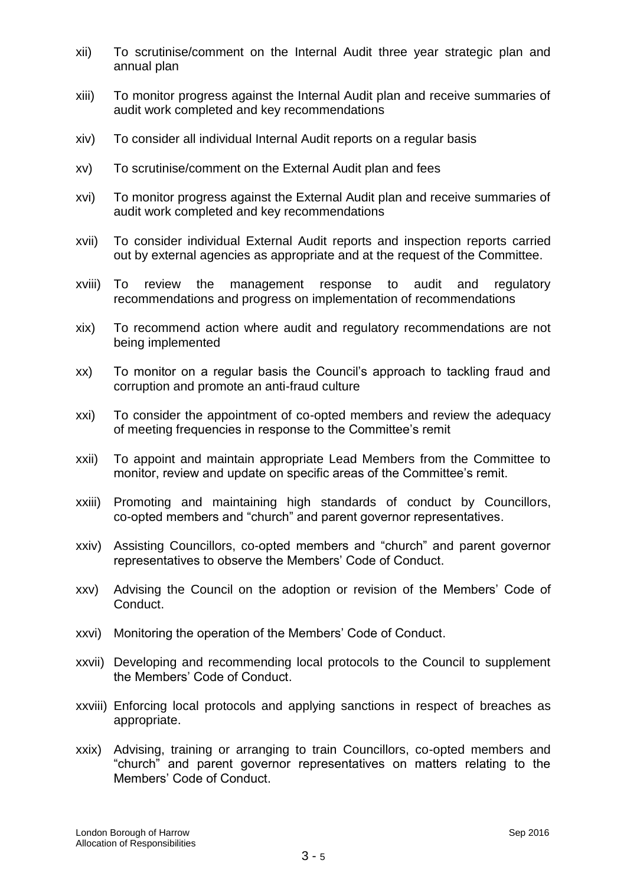- xii) To scrutinise/comment on the Internal Audit three year strategic plan and annual plan
- xiii) To monitor progress against the Internal Audit plan and receive summaries of audit work completed and key recommendations
- xiv) To consider all individual Internal Audit reports on a regular basis
- xv) To scrutinise/comment on the External Audit plan and fees
- xvi) To monitor progress against the External Audit plan and receive summaries of audit work completed and key recommendations
- xvii) To consider individual External Audit reports and inspection reports carried out by external agencies as appropriate and at the request of the Committee.
- xviii) To review the management response to audit and regulatory recommendations and progress on implementation of recommendations
- xix) To recommend action where audit and regulatory recommendations are not being implemented
- xx) To monitor on a regular basis the Council"s approach to tackling fraud and corruption and promote an anti-fraud culture
- xxi) To consider the appointment of co-opted members and review the adequacy of meeting frequencies in response to the Committee"s remit
- xxii) To appoint and maintain appropriate Lead Members from the Committee to monitor, review and update on specific areas of the Committee"s remit.
- xxiii) Promoting and maintaining high standards of conduct by Councillors, co-opted members and "church" and parent governor representatives.
- xxiv) Assisting Councillors, co-opted members and "church" and parent governor representatives to observe the Members" Code of Conduct.
- xxv) Advising the Council on the adoption or revision of the Members" Code of Conduct.
- xxvi) Monitoring the operation of the Members' Code of Conduct.
- xxvii) Developing and recommending local protocols to the Council to supplement the Members" Code of Conduct.
- xxviii) Enforcing local protocols and applying sanctions in respect of breaches as appropriate.
- xxix) Advising, training or arranging to train Councillors, co-opted members and "church" and parent governor representatives on matters relating to the Members" Code of Conduct.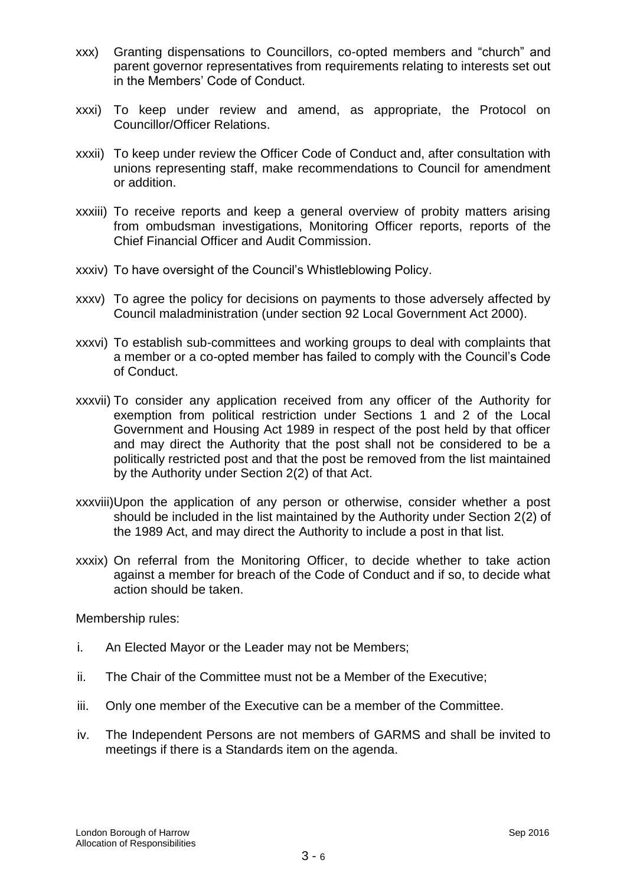- xxx) Granting dispensations to Councillors, co-opted members and "church" and parent governor representatives from requirements relating to interests set out in the Members" Code of Conduct.
- xxxi) To keep under review and amend, as appropriate, the Protocol on Councillor/Officer Relations.
- xxxii) To keep under review the Officer Code of Conduct and, after consultation with unions representing staff, make recommendations to Council for amendment or addition.
- xxxiii) To receive reports and keep a general overview of probity matters arising from ombudsman investigations, Monitoring Officer reports, reports of the Chief Financial Officer and Audit Commission.
- xxxiv) To have oversight of the Council"s Whistleblowing Policy.
- xxxv) To agree the policy for decisions on payments to those adversely affected by Council maladministration (under section 92 Local Government Act 2000).
- xxxvi) To establish sub-committees and working groups to deal with complaints that a member or a co-opted member has failed to comply with the Council"s Code of Conduct.
- xxxvii) To consider any application received from any officer of the Authority for exemption from political restriction under Sections 1 and 2 of the Local Government and Housing Act 1989 in respect of the post held by that officer and may direct the Authority that the post shall not be considered to be a politically restricted post and that the post be removed from the list maintained by the Authority under Section 2(2) of that Act.
- xxxviii)Upon the application of any person or otherwise, consider whether a post should be included in the list maintained by the Authority under Section 2(2) of the 1989 Act, and may direct the Authority to include a post in that list.
- xxxix) On referral from the Monitoring Officer, to decide whether to take action against a member for breach of the Code of Conduct and if so, to decide what action should be taken.

Membership rules:

- i. An Elected Mayor or the Leader may not be Members;
- ii. The Chair of the Committee must not be a Member of the Executive;
- iii. Only one member of the Executive can be a member of the Committee.
- iv. The Independent Persons are not members of GARMS and shall be invited to meetings if there is a Standards item on the agenda.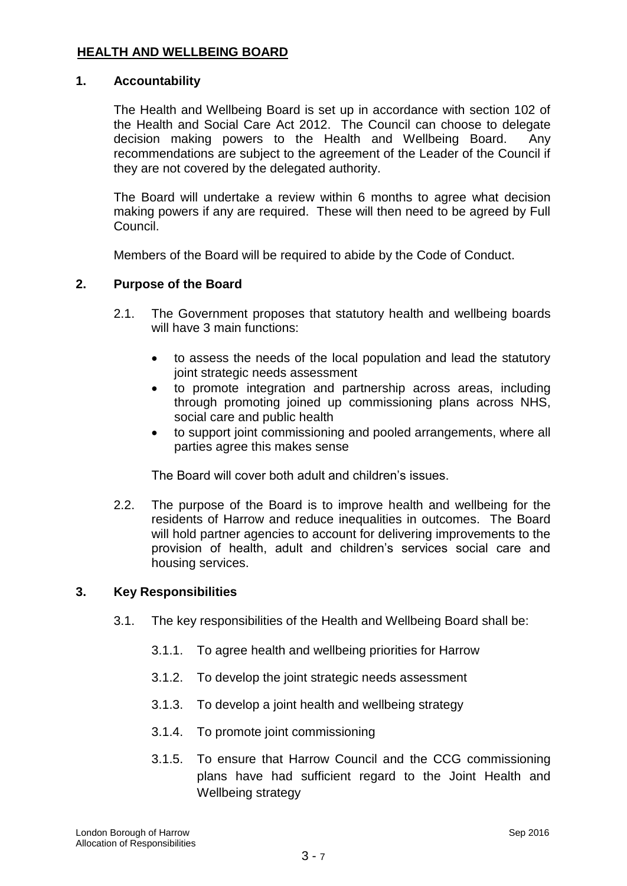## **HEALTH AND WELLBEING BOARD**

## **1. Accountability**

The Health and Wellbeing Board is set up in accordance with section 102 of the Health and Social Care Act 2012. The Council can choose to delegate decision making powers to the Health and Wellbeing Board. Any recommendations are subject to the agreement of the Leader of the Council if they are not covered by the delegated authority.

The Board will undertake a review within 6 months to agree what decision making powers if any are required. These will then need to be agreed by Full Council.

Members of the Board will be required to abide by the Code of Conduct.

#### **2. Purpose of the Board**

- 2.1. The Government proposes that statutory health and wellbeing boards will have 3 main functions:
	- to assess the needs of the local population and lead the statutory joint strategic needs assessment
	- to promote integration and partnership across areas, including through promoting joined up commissioning plans across NHS, social care and public health
	- to support joint commissioning and pooled arrangements, where all parties agree this makes sense

The Board will cover both adult and children"s issues.

2.2. The purpose of the Board is to improve health and wellbeing for the residents of Harrow and reduce inequalities in outcomes. The Board will hold partner agencies to account for delivering improvements to the provision of health, adult and children"s services social care and housing services.

## **3. Key Responsibilities**

- 3.1. The key responsibilities of the Health and Wellbeing Board shall be:
	- 3.1.1. To agree health and wellbeing priorities for Harrow
	- 3.1.2. To develop the joint strategic needs assessment
	- 3.1.3. To develop a joint health and wellbeing strategy
	- 3.1.4. To promote joint commissioning
	- 3.1.5. To ensure that Harrow Council and the CCG commissioning plans have had sufficient regard to the Joint Health and Wellbeing strategy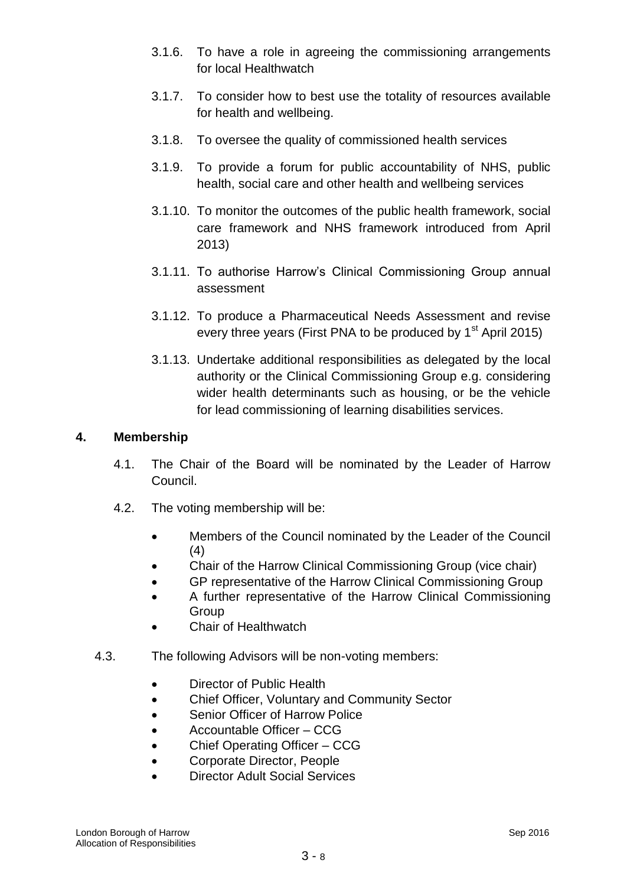- 3.1.6. To have a role in agreeing the commissioning arrangements for local Healthwatch
- 3.1.7. To consider how to best use the totality of resources available for health and wellbeing.
- 3.1.8. To oversee the quality of commissioned health services
- 3.1.9. To provide a forum for public accountability of NHS, public health, social care and other health and wellbeing services
- 3.1.10. To monitor the outcomes of the public health framework, social care framework and NHS framework introduced from April 2013)
- 3.1.11. To authorise Harrow"s Clinical Commissioning Group annual assessment
- 3.1.12. To produce a Pharmaceutical Needs Assessment and revise every three years (First PNA to be produced by 1<sup>st</sup> April 2015)
- 3.1.13. Undertake additional responsibilities as delegated by the local authority or the Clinical Commissioning Group e.g. considering wider health determinants such as housing, or be the vehicle for lead commissioning of learning disabilities services.

## **4. Membership**

- 4.1. The Chair of the Board will be nominated by the Leader of Harrow Council.
- 4.2. The voting membership will be:
	- Members of the Council nominated by the Leader of the Council (4)
	- Chair of the Harrow Clinical Commissioning Group (vice chair)
	- GP representative of the Harrow Clinical Commissioning Group
	- A further representative of the Harrow Clinical Commissioning Group
	- Chair of Healthwatch
- 4.3. The following Advisors will be non-voting members:
	- Director of Public Health
	- Chief Officer, Voluntary and Community Sector
	- Senior Officer of Harrow Police
	- Accountable Officer CCG
	- Chief Operating Officer CCG
	- Corporate Director, People
	- Director Adult Social Services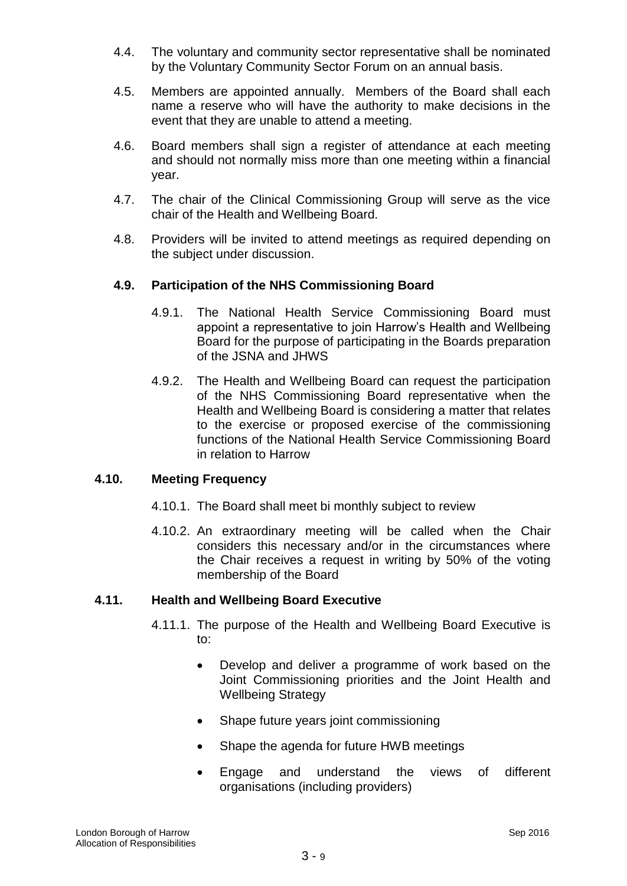- 4.4. The voluntary and community sector representative shall be nominated by the Voluntary Community Sector Forum on an annual basis.
- 4.5. Members are appointed annually. Members of the Board shall each name a reserve who will have the authority to make decisions in the event that they are unable to attend a meeting.
- 4.6. Board members shall sign a register of attendance at each meeting and should not normally miss more than one meeting within a financial year.
- 4.7. The chair of the Clinical Commissioning Group will serve as the vice chair of the Health and Wellbeing Board.
- 4.8. Providers will be invited to attend meetings as required depending on the subject under discussion.

## **4.9. Participation of the NHS Commissioning Board**

- 4.9.1. The National Health Service Commissioning Board must appoint a representative to join Harrow"s Health and Wellbeing Board for the purpose of participating in the Boards preparation of the JSNA and JHWS
- 4.9.2. The Health and Wellbeing Board can request the participation of the NHS Commissioning Board representative when the Health and Wellbeing Board is considering a matter that relates to the exercise or proposed exercise of the commissioning functions of the National Health Service Commissioning Board in relation to Harrow

## **4.10. Meeting Frequency**

- 4.10.1. The Board shall meet bi monthly subject to review
- 4.10.2. An extraordinary meeting will be called when the Chair considers this necessary and/or in the circumstances where the Chair receives a request in writing by 50% of the voting membership of the Board

## **4.11. Health and Wellbeing Board Executive**

- 4.11.1. The purpose of the Health and Wellbeing Board Executive is to:
	- Develop and deliver a programme of work based on the Joint Commissioning priorities and the Joint Health and Wellbeing Strategy
	- Shape future years joint commissioning
	- Shape the agenda for future HWB meetings
	- Engage and understand the views of different organisations (including providers)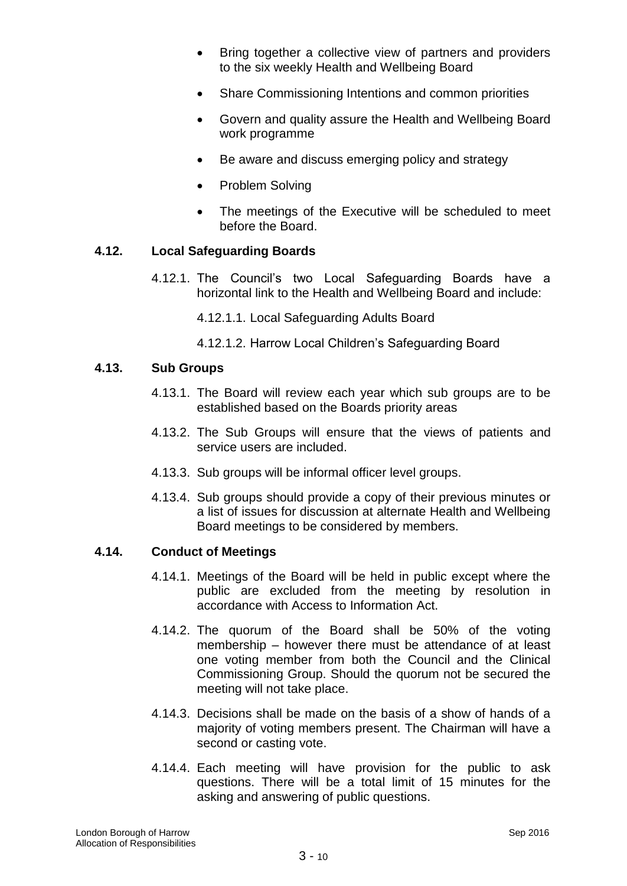- Bring together a collective view of partners and providers to the six weekly Health and Wellbeing Board
- Share Commissioning Intentions and common priorities
- Govern and quality assure the Health and Wellbeing Board work programme
- Be aware and discuss emerging policy and strategy
- Problem Solving
- The meetings of the Executive will be scheduled to meet before the Board.

## **4.12. Local Safeguarding Boards**

- 4.12.1. The Council"s two Local Safeguarding Boards have a horizontal link to the Health and Wellbeing Board and include:
	- 4.12.1.1. Local Safeguarding Adults Board
	- 4.12.1.2. Harrow Local Children"s Safeguarding Board

#### **4.13. Sub Groups**

- 4.13.1. The Board will review each year which sub groups are to be established based on the Boards priority areas
- 4.13.2. The Sub Groups will ensure that the views of patients and service users are included.
- 4.13.3. Sub groups will be informal officer level groups.
- 4.13.4. Sub groups should provide a copy of their previous minutes or a list of issues for discussion at alternate Health and Wellbeing Board meetings to be considered by members.

#### **4.14. Conduct of Meetings**

- 4.14.1. Meetings of the Board will be held in public except where the public are excluded from the meeting by resolution in accordance with Access to Information Act.
- 4.14.2. The quorum of the Board shall be 50% of the voting membership – however there must be attendance of at least one voting member from both the Council and the Clinical Commissioning Group. Should the quorum not be secured the meeting will not take place.
- 4.14.3. Decisions shall be made on the basis of a show of hands of a majority of voting members present. The Chairman will have a second or casting vote.
- 4.14.4. Each meeting will have provision for the public to ask questions. There will be a total limit of 15 minutes for the asking and answering of public questions.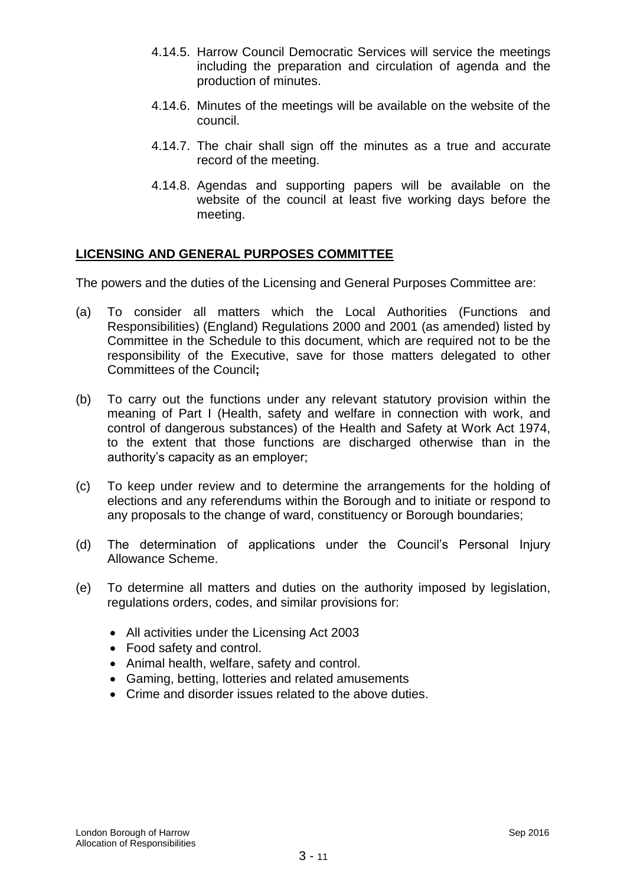- 4.14.5. Harrow Council Democratic Services will service the meetings including the preparation and circulation of agenda and the production of minutes.
- 4.14.6. Minutes of the meetings will be available on the website of the council.
- 4.14.7. The chair shall sign off the minutes as a true and accurate record of the meeting.
- 4.14.8. Agendas and supporting papers will be available on the website of the council at least five working days before the meeting.

## **LICENSING AND GENERAL PURPOSES COMMITTEE**

The powers and the duties of the Licensing and General Purposes Committee are:

- (a) To consider all matters which the Local Authorities (Functions and Responsibilities) (England) Regulations 2000 and 2001 (as amended) listed by Committee in the Schedule to this document, which are required not to be the responsibility of the Executive, save for those matters delegated to other Committees of the Council**;**
- (b) To carry out the functions under any relevant statutory provision within the meaning of Part I (Health, safety and welfare in connection with work, and control of dangerous substances) of the Health and Safety at Work Act 1974, to the extent that those functions are discharged otherwise than in the authority"s capacity as an employer;
- (c) To keep under review and to determine the arrangements for the holding of elections and any referendums within the Borough and to initiate or respond to any proposals to the change of ward, constituency or Borough boundaries;
- (d) The determination of applications under the Council"s Personal Injury Allowance Scheme.
- (e) To determine all matters and duties on the authority imposed by legislation, regulations orders, codes, and similar provisions for:
	- All activities under the Licensing Act 2003
	- Food safety and control.
	- Animal health, welfare, safety and control.
	- Gaming, betting, lotteries and related amusements
	- Crime and disorder issues related to the above duties.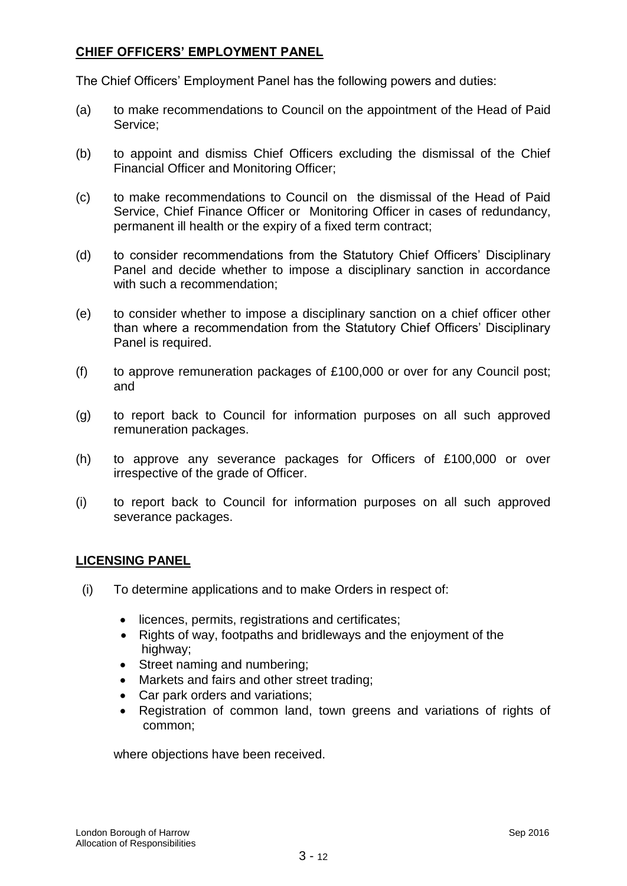## **CHIEF OFFICERS" EMPLOYMENT PANEL**

The Chief Officers" Employment Panel has the following powers and duties:

- (a) to make recommendations to Council on the appointment of the Head of Paid Service;
- (b) to appoint and dismiss Chief Officers excluding the dismissal of the Chief Financial Officer and Monitoring Officer;
- (c) to make recommendations to Council on the dismissal of the Head of Paid Service, Chief Finance Officer or Monitoring Officer in cases of redundancy, permanent ill health or the expiry of a fixed term contract;
- (d) to consider recommendations from the Statutory Chief Officers" Disciplinary Panel and decide whether to impose a disciplinary sanction in accordance with such a recommendation;
- (e) to consider whether to impose a disciplinary sanction on a chief officer other than where a recommendation from the Statutory Chief Officers" Disciplinary Panel is required.
- (f) to approve remuneration packages of £100,000 or over for any Council post; and
- (g) to report back to Council for information purposes on all such approved remuneration packages.
- (h) to approve any severance packages for Officers of £100,000 or over irrespective of the grade of Officer.
- (i) to report back to Council for information purposes on all such approved severance packages.

# **LICENSING PANEL**

- (i) To determine applications and to make Orders in respect of:
	- licences, permits, registrations and certificates;
	- Rights of way, footpaths and bridleways and the enjoyment of the highway;
	- Street naming and numbering;
	- Markets and fairs and other street trading;
	- Car park orders and variations;
	- Registration of common land, town greens and variations of rights of common;

where objections have been received.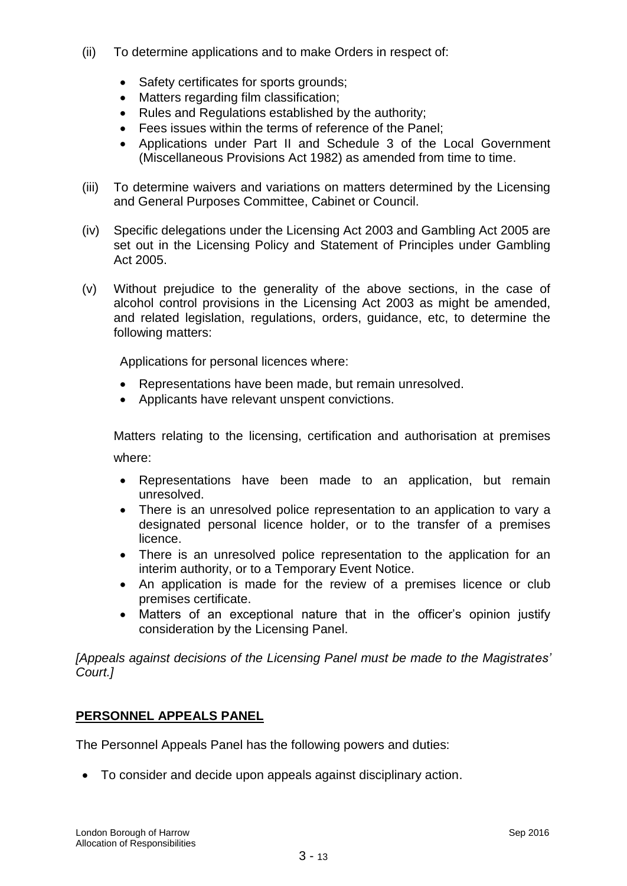- (ii) To determine applications and to make Orders in respect of:
	- Safety certificates for sports grounds;
	- Matters regarding film classification;
	- Rules and Regulations established by the authority:
	- Fees issues within the terms of reference of the Panel;
	- Applications under Part II and Schedule 3 of the Local Government (Miscellaneous Provisions Act 1982) as amended from time to time.
- (iii) To determine waivers and variations on matters determined by the Licensing and General Purposes Committee, Cabinet or Council.
- (iv) Specific delegations under the Licensing Act 2003 and Gambling Act 2005 are set out in the Licensing Policy and Statement of Principles under Gambling Act 2005.
- (v) Without prejudice to the generality of the above sections, in the case of alcohol control provisions in the Licensing Act 2003 as might be amended, and related legislation, regulations, orders, guidance, etc, to determine the following matters:

Applications for personal licences where:

- Representations have been made, but remain unresolved.
- Applicants have relevant unspent convictions.

Matters relating to the licensing, certification and authorisation at premises where:

- Representations have been made to an application, but remain unresolved.
- There is an unresolved police representation to an application to vary a designated personal licence holder, or to the transfer of a premises licence.
- There is an unresolved police representation to the application for an interim authority, or to a Temporary Event Notice.
- An application is made for the review of a premises licence or club premises certificate.
- Matters of an exceptional nature that in the officer's opinion justify consideration by the Licensing Panel.

*[Appeals against decisions of the Licensing Panel must be made to the Magistrates' Court.]*

# **PERSONNEL APPEALS PANEL**

The Personnel Appeals Panel has the following powers and duties:

To consider and decide upon appeals against disciplinary action.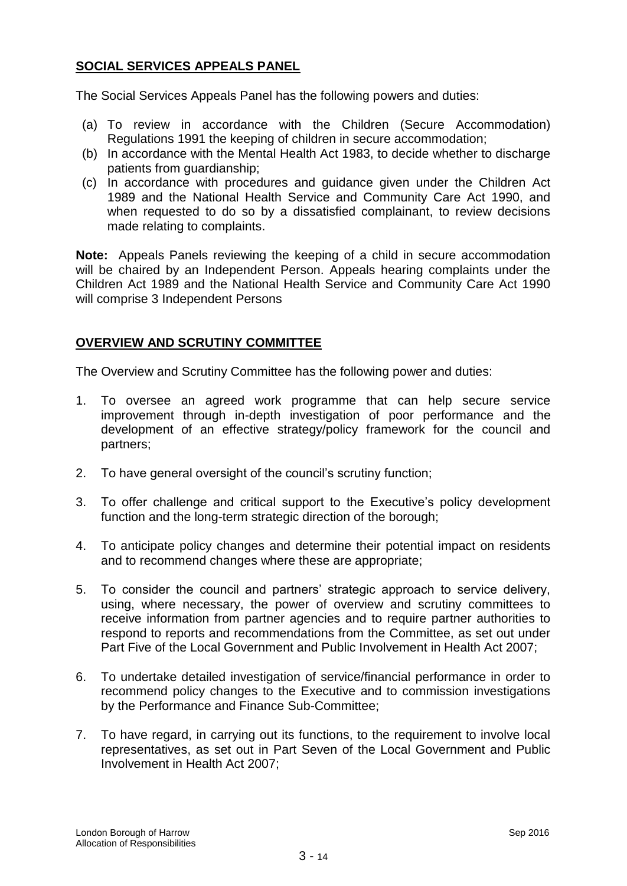# **SOCIAL SERVICES APPEALS PANEL**

The Social Services Appeals Panel has the following powers and duties:

- (a) To review in accordance with the Children (Secure Accommodation) Regulations 1991 the keeping of children in secure accommodation;
- (b) In accordance with the Mental Health Act 1983, to decide whether to discharge patients from guardianship;
- (c) In accordance with procedures and guidance given under the Children Act 1989 and the National Health Service and Community Care Act 1990, and when requested to do so by a dissatisfied complainant, to review decisions made relating to complaints.

**Note:** Appeals Panels reviewing the keeping of a child in secure accommodation will be chaired by an Independent Person. Appeals hearing complaints under the Children Act 1989 and the National Health Service and Community Care Act 1990 will comprise 3 Independent Persons

## **OVERVIEW AND SCRUTINY COMMITTEE**

The Overview and Scrutiny Committee has the following power and duties:

- 1. To oversee an agreed work programme that can help secure service improvement through in-depth investigation of poor performance and the development of an effective strategy/policy framework for the council and partners;
- 2. To have general oversight of the council's scrutiny function;
- 3. To offer challenge and critical support to the Executive"s policy development function and the long-term strategic direction of the borough;
- 4. To anticipate policy changes and determine their potential impact on residents and to recommend changes where these are appropriate;
- 5. To consider the council and partners" strategic approach to service delivery, using, where necessary, the power of overview and scrutiny committees to receive information from partner agencies and to require partner authorities to respond to reports and recommendations from the Committee, as set out under Part Five of the Local Government and Public Involvement in Health Act 2007;
- 6. To undertake detailed investigation of service/financial performance in order to recommend policy changes to the Executive and to commission investigations by the Performance and Finance Sub-Committee;
- 7. To have regard, in carrying out its functions, to the requirement to involve local representatives, as set out in Part Seven of the Local Government and Public Involvement in Health Act 2007;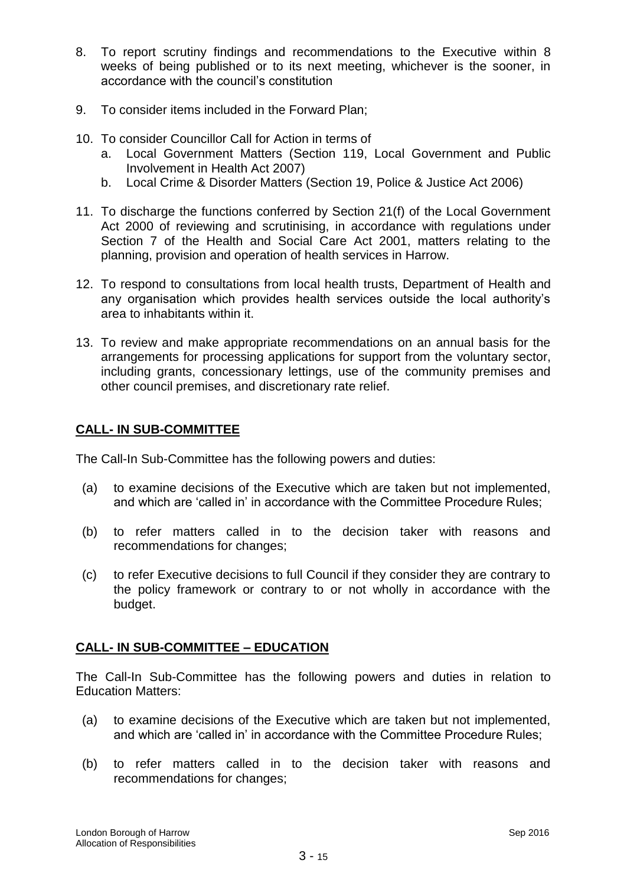- 8. To report scrutiny findings and recommendations to the Executive within 8 weeks of being published or to its next meeting, whichever is the sooner, in accordance with the council"s constitution
- 9. To consider items included in the Forward Plan;
- 10. To consider Councillor Call for Action in terms of
	- a. Local Government Matters (Section 119, Local Government and Public Involvement in Health Act 2007)
	- b. Local Crime & Disorder Matters (Section 19, Police & Justice Act 2006)
- 11. To discharge the functions conferred by Section 21(f) of the Local Government Act 2000 of reviewing and scrutinising, in accordance with regulations under Section 7 of the Health and Social Care Act 2001, matters relating to the planning, provision and operation of health services in Harrow.
- 12. To respond to consultations from local health trusts, Department of Health and any organisation which provides health services outside the local authority"s area to inhabitants within it.
- 13. To review and make appropriate recommendations on an annual basis for the arrangements for processing applications for support from the voluntary sector, including grants, concessionary lettings, use of the community premises and other council premises, and discretionary rate relief.

# **CALL- IN SUB-COMMITTEE**

The Call-In Sub-Committee has the following powers and duties:

- (a) to examine decisions of the Executive which are taken but not implemented, and which are 'called in' in accordance with the Committee Procedure Rules:
- (b) to refer matters called in to the decision taker with reasons and recommendations for changes;
- (c) to refer Executive decisions to full Council if they consider they are contrary to the policy framework or contrary to or not wholly in accordance with the budget.

# **CALL- IN SUB-COMMITTEE – EDUCATION**

The Call-In Sub-Committee has the following powers and duties in relation to Education Matters:

- (a) to examine decisions of the Executive which are taken but not implemented, and which are "called in" in accordance with the Committee Procedure Rules;
- (b) to refer matters called in to the decision taker with reasons and recommendations for changes;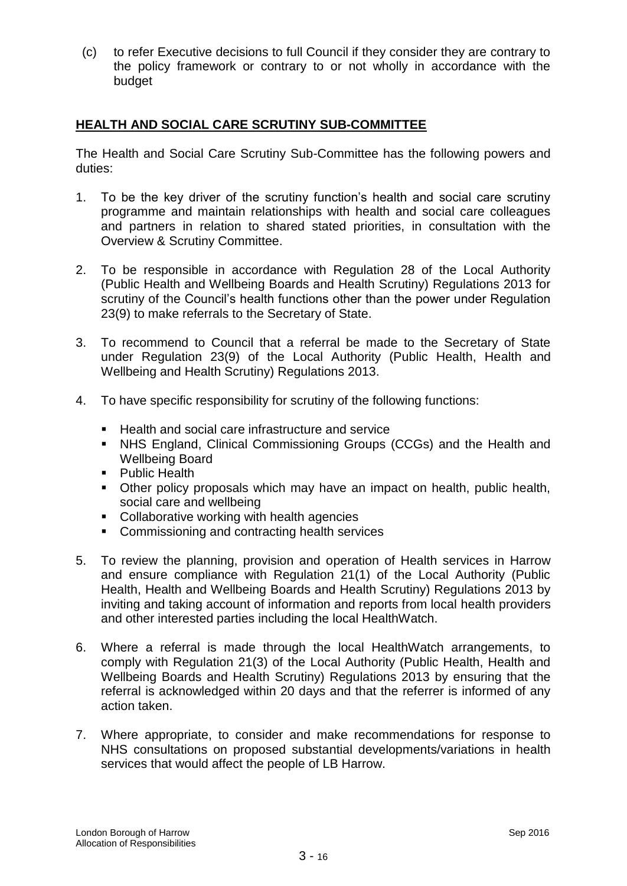(c) to refer Executive decisions to full Council if they consider they are contrary to the policy framework or contrary to or not wholly in accordance with the budget

# **HEALTH AND SOCIAL CARE SCRUTINY SUB-COMMITTEE**

The Health and Social Care Scrutiny Sub-Committee has the following powers and duties:

- 1. To be the key driver of the scrutiny function"s health and social care scrutiny programme and maintain relationships with health and social care colleagues and partners in relation to shared stated priorities, in consultation with the Overview & Scrutiny Committee.
- 2. To be responsible in accordance with Regulation 28 of the Local Authority (Public Health and Wellbeing Boards and Health Scrutiny) Regulations 2013 for scrutiny of the Council's health functions other than the power under Regulation 23(9) to make referrals to the Secretary of State.
- 3. To recommend to Council that a referral be made to the Secretary of State under Regulation 23(9) of the Local Authority (Public Health, Health and Wellbeing and Health Scrutiny) Regulations 2013.
- 4. To have specific responsibility for scrutiny of the following functions:
	- Health and social care infrastructure and service
	- NHS England, Clinical Commissioning Groups (CCGs) and the Health and Wellbeing Board
	- **Public Health**
	- Other policy proposals which may have an impact on health, public health, social care and wellbeing
	- Collaborative working with health agencies
	- **EXECOMMISSIONING AND CONTRACTING HEALTH SERVICES**
- 5. To review the planning, provision and operation of Health services in Harrow and ensure compliance with Regulation 21(1) of the Local Authority (Public Health, Health and Wellbeing Boards and Health Scrutiny) Regulations 2013 by inviting and taking account of information and reports from local health providers and other interested parties including the local HealthWatch.
- 6. Where a referral is made through the local HealthWatch arrangements, to comply with Regulation 21(3) of the Local Authority (Public Health, Health and Wellbeing Boards and Health Scrutiny) Regulations 2013 by ensuring that the referral is acknowledged within 20 days and that the referrer is informed of any action taken.
- 7. Where appropriate, to consider and make recommendations for response to NHS consultations on proposed substantial developments/variations in health services that would affect the people of LB Harrow.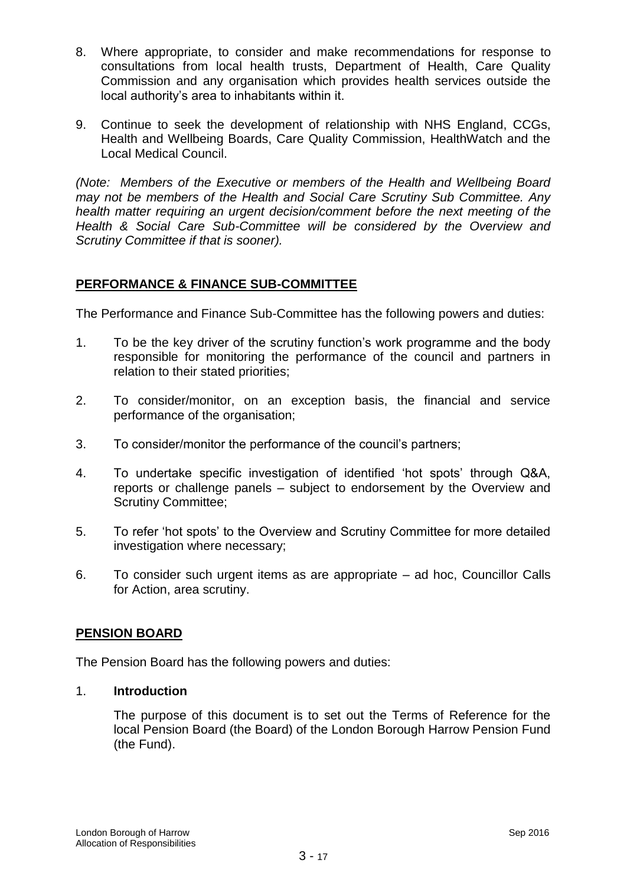- 8. Where appropriate, to consider and make recommendations for response to consultations from local health trusts, Department of Health, Care Quality Commission and any organisation which provides health services outside the local authority"s area to inhabitants within it.
- 9. Continue to seek the development of relationship with NHS England, CCGs, Health and Wellbeing Boards, Care Quality Commission, HealthWatch and the Local Medical Council.

*(Note: Members of the Executive or members of the Health and Wellbeing Board may not be members of the Health and Social Care Scrutiny Sub Committee. Any health matter requiring an urgent decision/comment before the next meeting of the Health & Social Care Sub-Committee will be considered by the Overview and Scrutiny Committee if that is sooner).*

## **PERFORMANCE & FINANCE SUB-COMMITTEE**

The Performance and Finance Sub-Committee has the following powers and duties:

- 1. To be the key driver of the scrutiny function"s work programme and the body responsible for monitoring the performance of the council and partners in relation to their stated priorities;
- 2. To consider/monitor, on an exception basis, the financial and service performance of the organisation;
- 3. To consider/monitor the performance of the council"s partners;
- 4. To undertake specific investigation of identified "hot spots" through Q&A, reports or challenge panels – subject to endorsement by the Overview and Scrutiny Committee;
- 5. To refer "hot spots" to the Overview and Scrutiny Committee for more detailed investigation where necessary;
- 6. To consider such urgent items as are appropriate ad hoc, Councillor Calls for Action, area scrutiny.

# **PENSION BOARD**

The Pension Board has the following powers and duties:

## 1. **Introduction**

The purpose of this document is to set out the Terms of Reference for the local Pension Board (the Board) of the London Borough Harrow Pension Fund (the Fund).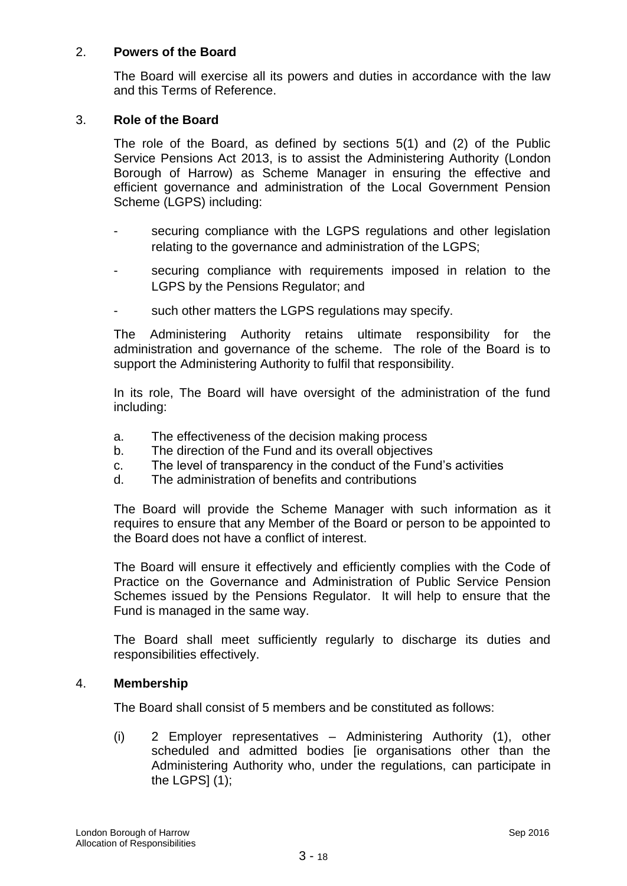## 2. **Powers of the Board**

The Board will exercise all its powers and duties in accordance with the law and this Terms of Reference.

#### 3. **Role of the Board**

The role of the Board, as defined by sections 5(1) and (2) of the Public Service Pensions Act 2013, is to assist the Administering Authority (London Borough of Harrow) as Scheme Manager in ensuring the effective and efficient governance and administration of the Local Government Pension Scheme (LGPS) including:

- securing compliance with the LGPS regulations and other legislation relating to the governance and administration of the LGPS;
- securing compliance with requirements imposed in relation to the LGPS by the Pensions Regulator; and
- such other matters the LGPS regulations may specify.

The Administering Authority retains ultimate responsibility for the administration and governance of the scheme. The role of the Board is to support the Administering Authority to fulfil that responsibility.

In its role, The Board will have oversight of the administration of the fund including:

- a. The effectiveness of the decision making process
- b. The direction of the Fund and its overall objectives
- c. The level of transparency in the conduct of the Fund"s activities
- d. The administration of benefits and contributions

The Board will provide the Scheme Manager with such information as it requires to ensure that any Member of the Board or person to be appointed to the Board does not have a conflict of interest.

The Board will ensure it effectively and efficiently complies with the Code of Practice on the Governance and Administration of Public Service Pension Schemes issued by the Pensions Regulator. It will help to ensure that the Fund is managed in the same way.

The Board shall meet sufficiently regularly to discharge its duties and responsibilities effectively.

#### 4. **Membership**

The Board shall consist of 5 members and be constituted as follows:

(i) 2 Employer representatives – Administering Authority (1), other scheduled and admitted bodies [ie organisations other than the Administering Authority who, under the regulations, can participate in the LGPS $(1)$ ;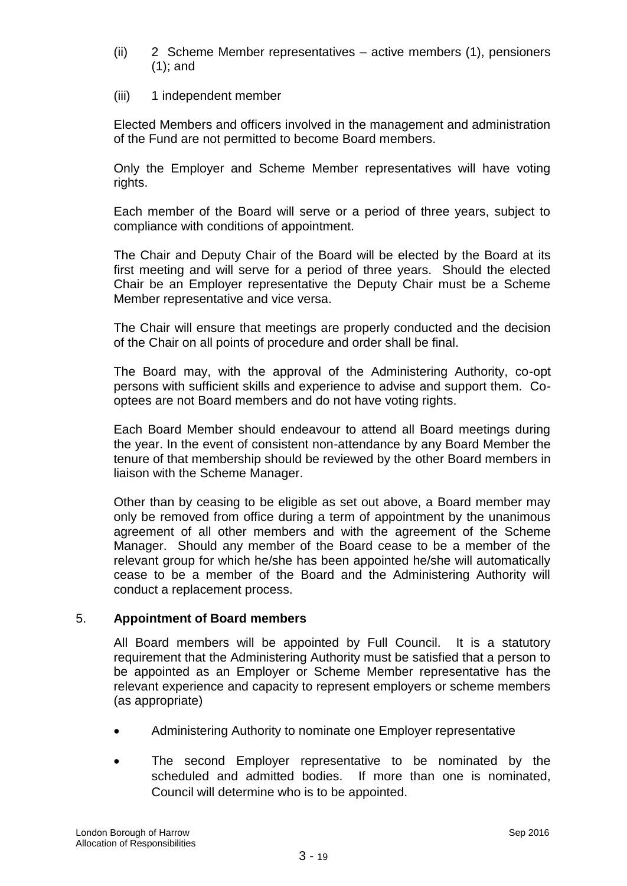- (ii) 2 Scheme Member representatives active members (1), pensioners (1); and
- (iii) 1 independent member

Elected Members and officers involved in the management and administration of the Fund are not permitted to become Board members.

Only the Employer and Scheme Member representatives will have voting rights.

Each member of the Board will serve or a period of three years, subject to compliance with conditions of appointment.

The Chair and Deputy Chair of the Board will be elected by the Board at its first meeting and will serve for a period of three years. Should the elected Chair be an Employer representative the Deputy Chair must be a Scheme Member representative and vice versa.

The Chair will ensure that meetings are properly conducted and the decision of the Chair on all points of procedure and order shall be final.

The Board may, with the approval of the Administering Authority, co-opt persons with sufficient skills and experience to advise and support them. Cooptees are not Board members and do not have voting rights.

Each Board Member should endeavour to attend all Board meetings during the year. In the event of consistent non-attendance by any Board Member the tenure of that membership should be reviewed by the other Board members in liaison with the Scheme Manager.

Other than by ceasing to be eligible as set out above, a Board member may only be removed from office during a term of appointment by the unanimous agreement of all other members and with the agreement of the Scheme Manager. Should any member of the Board cease to be a member of the relevant group for which he/she has been appointed he/she will automatically cease to be a member of the Board and the Administering Authority will conduct a replacement process.

# 5. **Appointment of Board members**

All Board members will be appointed by Full Council. It is a statutory requirement that the Administering Authority must be satisfied that a person to be appointed as an Employer or Scheme Member representative has the relevant experience and capacity to represent employers or scheme members (as appropriate)

- Administering Authority to nominate one Employer representative
- The second Employer representative to be nominated by the scheduled and admitted bodies. If more than one is nominated, Council will determine who is to be appointed.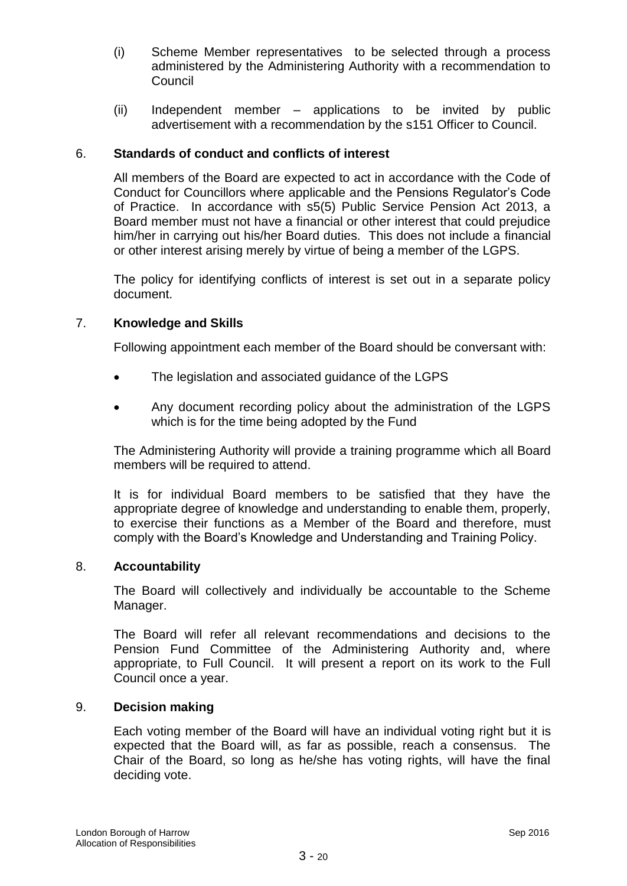- (i) Scheme Member representatives to be selected through a process administered by the Administering Authority with a recommendation to Council
- (ii) Independent member applications to be invited by public advertisement with a recommendation by the s151 Officer to Council.

## 6. **Standards of conduct and conflicts of interest**

All members of the Board are expected to act in accordance with the Code of Conduct for Councillors where applicable and the Pensions Regulator"s Code of Practice. In accordance with s5(5) Public Service Pension Act 2013, a Board member must not have a financial or other interest that could prejudice him/her in carrying out his/her Board duties. This does not include a financial or other interest arising merely by virtue of being a member of the LGPS.

The policy for identifying conflicts of interest is set out in a separate policy document.

## 7. **Knowledge and Skills**

Following appointment each member of the Board should be conversant with:

- The legislation and associated guidance of the LGPS
- Any document recording policy about the administration of the LGPS which is for the time being adopted by the Fund

The Administering Authority will provide a training programme which all Board members will be required to attend.

It is for individual Board members to be satisfied that they have the appropriate degree of knowledge and understanding to enable them, properly, to exercise their functions as a Member of the Board and therefore, must comply with the Board"s Knowledge and Understanding and Training Policy.

#### 8. **Accountability**

The Board will collectively and individually be accountable to the Scheme Manager.

The Board will refer all relevant recommendations and decisions to the Pension Fund Committee of the Administering Authority and, where appropriate, to Full Council. It will present a report on its work to the Full Council once a year.

#### 9. **Decision making**

Each voting member of the Board will have an individual voting right but it is expected that the Board will, as far as possible, reach a consensus. The Chair of the Board, so long as he/she has voting rights, will have the final deciding vote.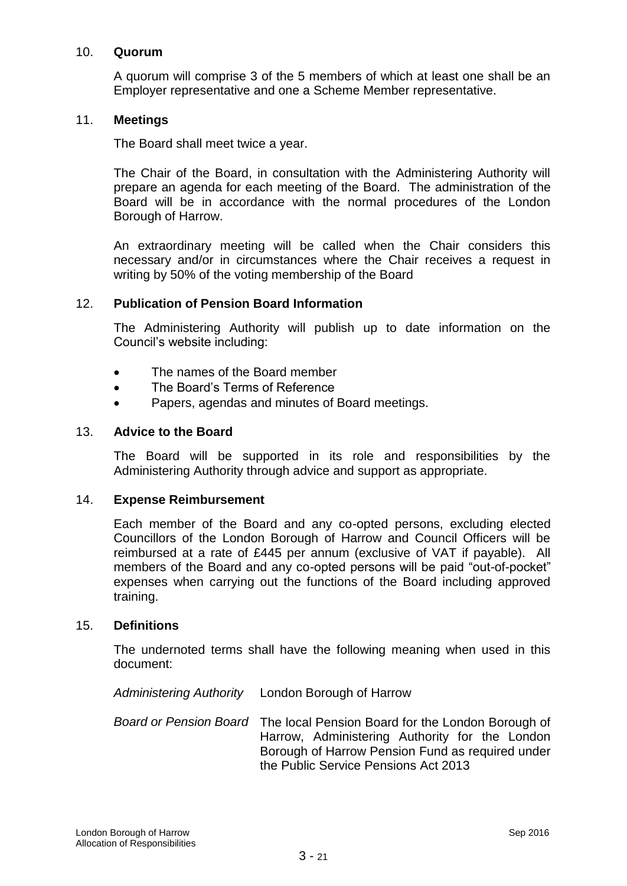#### 10. **Quorum**

A quorum will comprise 3 of the 5 members of which at least one shall be an Employer representative and one a Scheme Member representative.

#### 11. **Meetings**

The Board shall meet twice a year.

The Chair of the Board, in consultation with the Administering Authority will prepare an agenda for each meeting of the Board. The administration of the Board will be in accordance with the normal procedures of the London Borough of Harrow.

An extraordinary meeting will be called when the Chair considers this necessary and/or in circumstances where the Chair receives a request in writing by 50% of the voting membership of the Board

#### 12. **Publication of Pension Board Information**

The Administering Authority will publish up to date information on the Council"s website including:

- The names of the Board member
- The Board's Terms of Reference
- Papers, agendas and minutes of Board meetings.

#### 13. **Advice to the Board**

The Board will be supported in its role and responsibilities by the Administering Authority through advice and support as appropriate.

#### 14. **Expense Reimbursement**

Each member of the Board and any co-opted persons, excluding elected Councillors of the London Borough of Harrow and Council Officers will be reimbursed at a rate of £445 per annum (exclusive of VAT if payable). All members of the Board and any co-opted persons will be paid "out-of-pocket" expenses when carrying out the functions of the Board including approved training.

#### 15. **Definitions**

The undernoted terms shall have the following meaning when used in this document:

*Administering Authority* London Borough of Harrow

*Board or Pension Board* The local Pension Board for the London Borough of Harrow, Administering Authority for the London Borough of Harrow Pension Fund as required under the Public Service Pensions Act 2013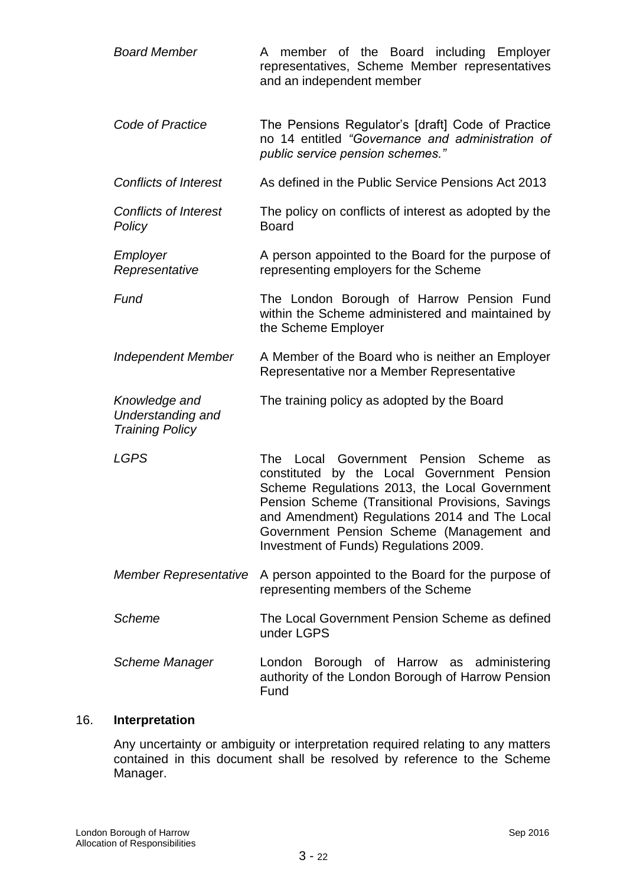| <b>Board Member</b>                                                 | A member of the Board including Employer<br>representatives, Scheme Member representatives<br>and an independent member                                                                                                                                                                                                               |
|---------------------------------------------------------------------|---------------------------------------------------------------------------------------------------------------------------------------------------------------------------------------------------------------------------------------------------------------------------------------------------------------------------------------|
| Code of Practice                                                    | The Pensions Regulator's [draft] Code of Practice<br>no 14 entitled "Governance and administration of<br>public service pension schemes."                                                                                                                                                                                             |
| <b>Conflicts of Interest</b>                                        | As defined in the Public Service Pensions Act 2013                                                                                                                                                                                                                                                                                    |
| <b>Conflicts of Interest</b><br>Policy                              | The policy on conflicts of interest as adopted by the<br><b>Board</b>                                                                                                                                                                                                                                                                 |
| Employer<br>Representative                                          | A person appointed to the Board for the purpose of<br>representing employers for the Scheme                                                                                                                                                                                                                                           |
| Fund                                                                | The London Borough of Harrow Pension Fund<br>within the Scheme administered and maintained by<br>the Scheme Employer                                                                                                                                                                                                                  |
| <b>Independent Member</b>                                           | A Member of the Board who is neither an Employer<br>Representative nor a Member Representative                                                                                                                                                                                                                                        |
| Knowledge and<br><b>Understanding and</b><br><b>Training Policy</b> | The training policy as adopted by the Board                                                                                                                                                                                                                                                                                           |
| <b>LGPS</b>                                                         | The Local Government Pension Scheme<br>as<br>constituted by the Local Government Pension<br>Scheme Regulations 2013, the Local Government<br>Pension Scheme (Transitional Provisions, Savings<br>and Amendment) Regulations 2014 and The Local<br>Government Pension Scheme (Management and<br>Investment of Funds) Regulations 2009. |
| <b>Member Representative</b>                                        | A person appointed to the Board for the purpose of<br>representing members of the Scheme                                                                                                                                                                                                                                              |
| <b>Scheme</b>                                                       | The Local Government Pension Scheme as defined<br>under LGPS                                                                                                                                                                                                                                                                          |
| Scheme Manager                                                      | London Borough of Harrow as administering<br>authority of the London Borough of Harrow Pension<br>Fund                                                                                                                                                                                                                                |

# 16. **Interpretation**

Any uncertainty or ambiguity or interpretation required relating to any matters contained in this document shall be resolved by reference to the Scheme Manager.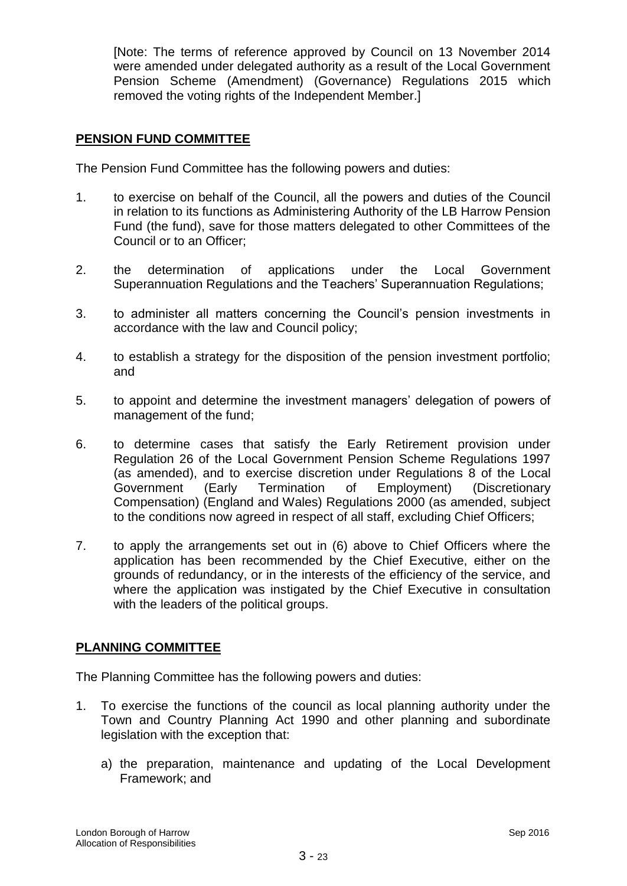[Note: The terms of reference approved by Council on 13 November 2014 were amended under delegated authority as a result of the Local Government Pension Scheme (Amendment) (Governance) Regulations 2015 which removed the voting rights of the Independent Member.]

## **PENSION FUND COMMITTEE**

The Pension Fund Committee has the following powers and duties:

- 1. to exercise on behalf of the Council, all the powers and duties of the Council in relation to its functions as Administering Authority of the LB Harrow Pension Fund (the fund), save for those matters delegated to other Committees of the Council or to an Officer;
- 2. the determination of applications under the Local Government Superannuation Regulations and the Teachers' Superannuation Regulations;
- 3. to administer all matters concerning the Council"s pension investments in accordance with the law and Council policy;
- 4. to establish a strategy for the disposition of the pension investment portfolio; and
- 5. to appoint and determine the investment managers" delegation of powers of management of the fund;
- 6. to determine cases that satisfy the Early Retirement provision under Regulation 26 of the Local Government Pension Scheme Regulations 1997 (as amended), and to exercise discretion under Regulations 8 of the Local Government (Early Termination of Employment) (Discretionary Compensation) (England and Wales) Regulations 2000 (as amended, subject to the conditions now agreed in respect of all staff, excluding Chief Officers;
- 7. to apply the arrangements set out in (6) above to Chief Officers where the application has been recommended by the Chief Executive, either on the grounds of redundancy, or in the interests of the efficiency of the service, and where the application was instigated by the Chief Executive in consultation with the leaders of the political groups.

## **PLANNING COMMITTEE**

The Planning Committee has the following powers and duties:

- 1. To exercise the functions of the council as local planning authority under the Town and Country Planning Act 1990 and other planning and subordinate legislation with the exception that:
	- a) the preparation, maintenance and updating of the Local Development Framework; and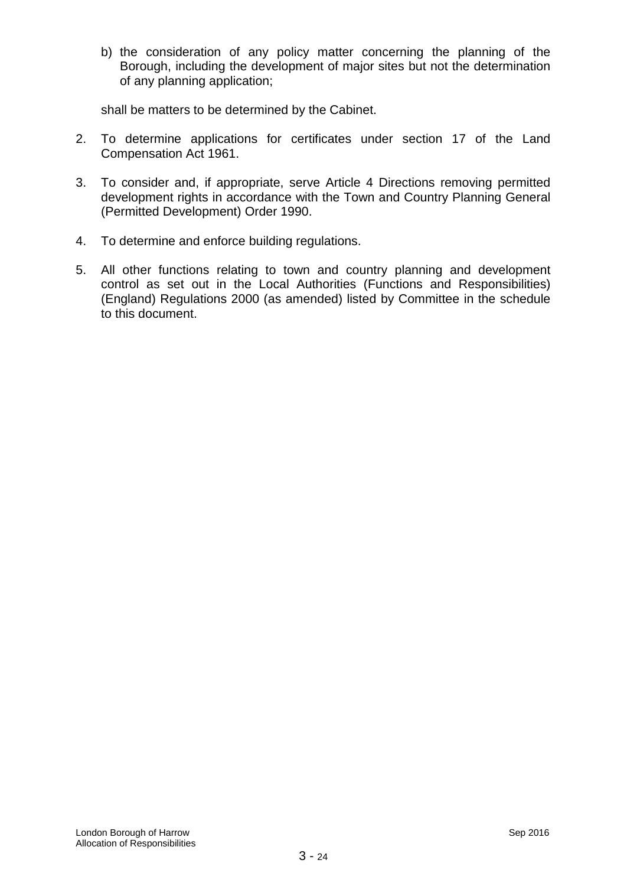b) the consideration of any policy matter concerning the planning of the Borough, including the development of major sites but not the determination of any planning application;

shall be matters to be determined by the Cabinet.

- 2. To determine applications for certificates under section 17 of the Land Compensation Act 1961.
- 3. To consider and, if appropriate, serve Article 4 Directions removing permitted development rights in accordance with the Town and Country Planning General (Permitted Development) Order 1990.
- 4. To determine and enforce building regulations.
- 5. All other functions relating to town and country planning and development control as set out in the Local Authorities (Functions and Responsibilities) (England) Regulations 2000 (as amended) listed by Committee in the schedule to this document.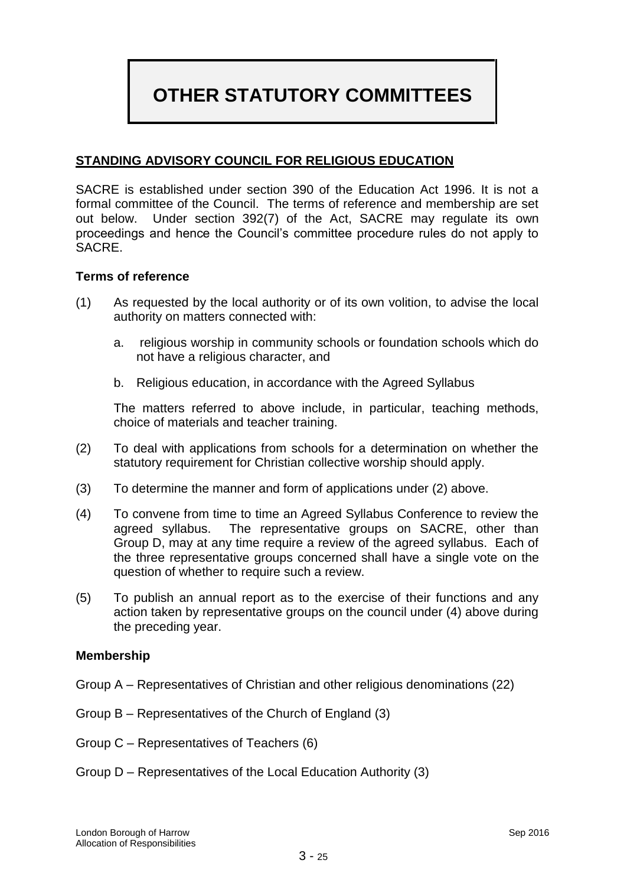# **OTHER STATUTORY COMMITTEES**

## **STANDING ADVISORY COUNCIL FOR RELIGIOUS EDUCATION**

SACRE is established under section 390 of the Education Act 1996. It is not a formal committee of the Council. The terms of reference and membership are set out below. Under section 392(7) of the Act, SACRE may regulate its own proceedings and hence the Council"s committee procedure rules do not apply to SACRE.

#### **Terms of reference**

- (1) As requested by the local authority or of its own volition, to advise the local authority on matters connected with:
	- a. religious worship in community schools or foundation schools which do not have a religious character, and
	- b. Religious education, in accordance with the Agreed Syllabus

The matters referred to above include, in particular, teaching methods, choice of materials and teacher training.

- (2) To deal with applications from schools for a determination on whether the statutory requirement for Christian collective worship should apply.
- (3) To determine the manner and form of applications under (2) above.
- (4) To convene from time to time an Agreed Syllabus Conference to review the agreed syllabus. The representative groups on SACRE, other than Group D, may at any time require a review of the agreed syllabus. Each of the three representative groups concerned shall have a single vote on the question of whether to require such a review.
- (5) To publish an annual report as to the exercise of their functions and any action taken by representative groups on the council under (4) above during the preceding year.

#### **Membership**

- Group A Representatives of Christian and other religious denominations (22)
- Group B Representatives of the Church of England (3)
- Group C Representatives of Teachers (6)
- Group D Representatives of the Local Education Authority (3)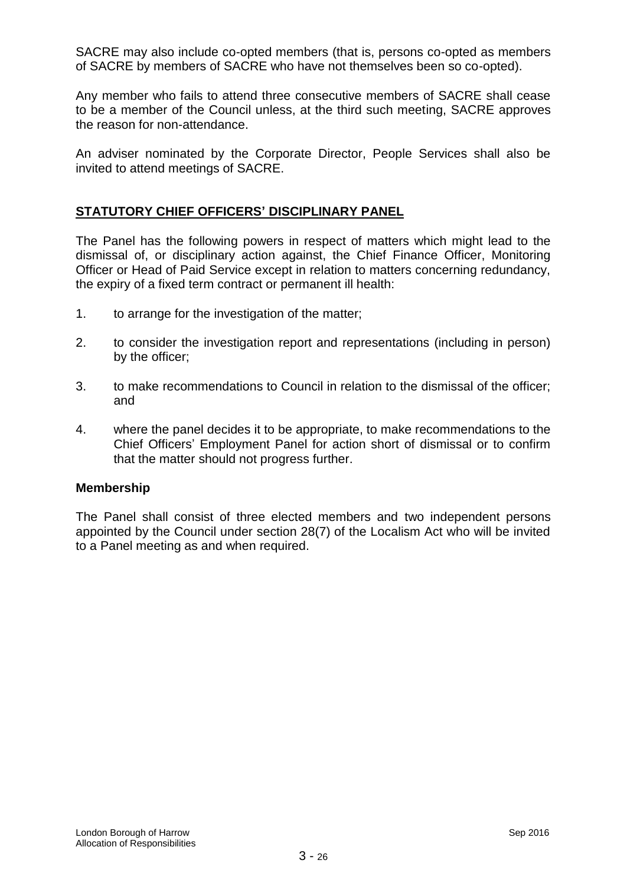SACRE may also include co-opted members (that is, persons co-opted as members of SACRE by members of SACRE who have not themselves been so co-opted).

Any member who fails to attend three consecutive members of SACRE shall cease to be a member of the Council unless, at the third such meeting, SACRE approves the reason for non-attendance.

An adviser nominated by the Corporate Director, People Services shall also be invited to attend meetings of SACRE.

# **STATUTORY CHIEF OFFICERS" DISCIPLINARY PANEL**

The Panel has the following powers in respect of matters which might lead to the dismissal of, or disciplinary action against, the Chief Finance Officer, Monitoring Officer or Head of Paid Service except in relation to matters concerning redundancy, the expiry of a fixed term contract or permanent ill health:

- 1. to arrange for the investigation of the matter;
- 2. to consider the investigation report and representations (including in person) by the officer;
- 3. to make recommendations to Council in relation to the dismissal of the officer; and
- 4. where the panel decides it to be appropriate, to make recommendations to the Chief Officers" Employment Panel for action short of dismissal or to confirm that the matter should not progress further.

#### **Membership**

The Panel shall consist of three elected members and two independent persons appointed by the Council under section 28(7) of the Localism Act who will be invited to a Panel meeting as and when required.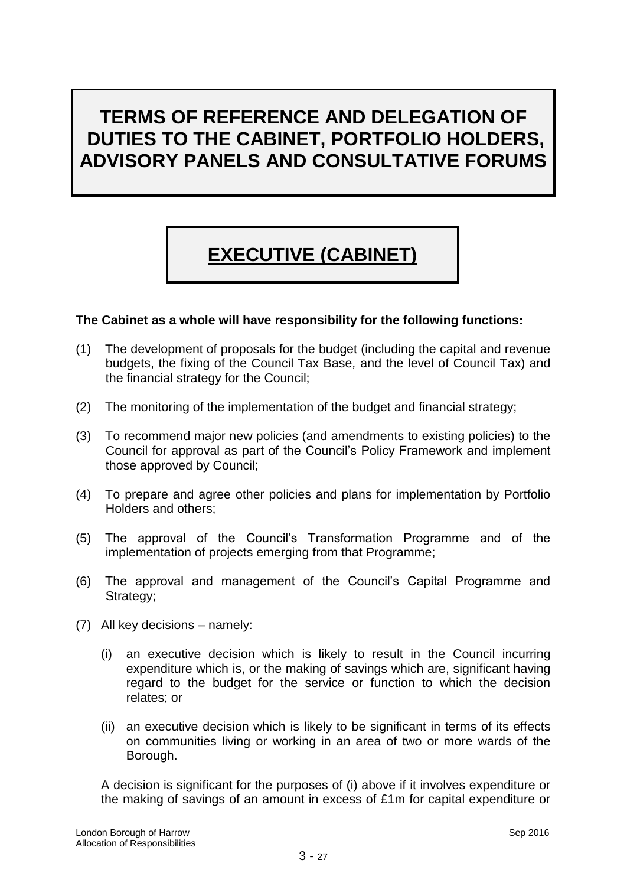# **TERMS OF REFERENCE AND DELEGATION OF DUTIES TO THE CABINET, PORTFOLIO HOLDERS, ADVISORY PANELS AND CONSULTATIVE FORUMS**

# **EXECUTIVE (CABINET)**

## **The Cabinet as a whole will have responsibility for the following functions:**

- (1) The development of proposals for the budget (including the capital and revenue budgets, the fixing of the Council Tax Base*,* and the level of Council Tax) and the financial strategy for the Council;
- (2) The monitoring of the implementation of the budget and financial strategy;
- (3) To recommend major new policies (and amendments to existing policies) to the Council for approval as part of the Council"s Policy Framework and implement those approved by Council;
- (4) To prepare and agree other policies and plans for implementation by Portfolio Holders and others;
- (5) The approval of the Council"s Transformation Programme and of the implementation of projects emerging from that Programme;
- (6) The approval and management of the Council"s Capital Programme and Strategy;
- (7) All key decisions namely:
	- (i) an executive decision which is likely to result in the Council incurring expenditure which is, or the making of savings which are, significant having regard to the budget for the service or function to which the decision relates; or
	- (ii) an executive decision which is likely to be significant in terms of its effects on communities living or working in an area of two or more wards of the Borough.

A decision is significant for the purposes of (i) above if it involves expenditure or the making of savings of an amount in excess of £1m for capital expenditure or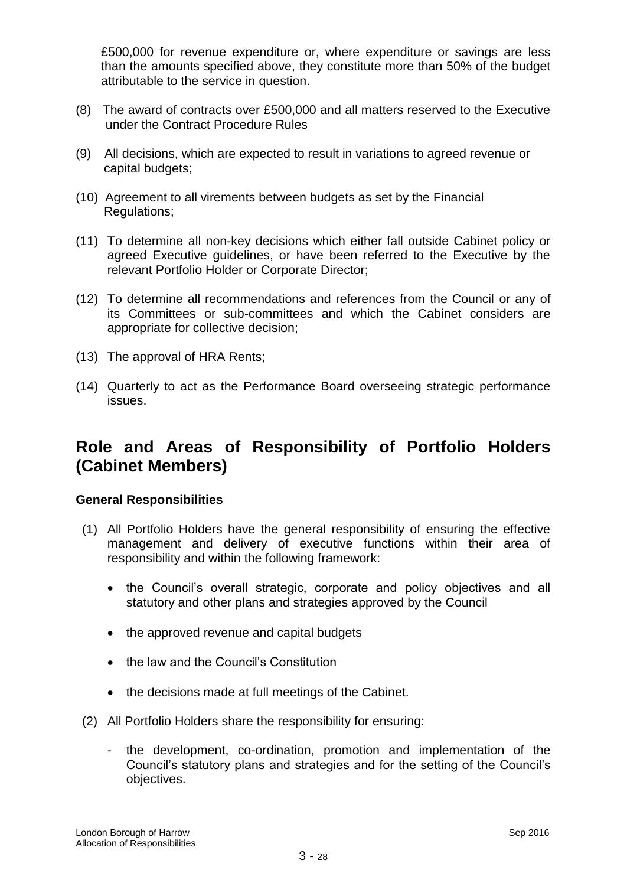£500,000 for revenue expenditure or, where expenditure or savings are less than the amounts specified above, they constitute more than 50% of the budget attributable to the service in question.

- (8) The award of contracts over £500,000 and all matters reserved to the Executive under the Contract Procedure Rules
- (9) All decisions, which are expected to result in variations to agreed revenue or capital budgets;
- (10) Agreement to all virements between budgets as set by the Financial Regulations;
- (11) To determine all non-key decisions which either fall outside Cabinet policy or agreed Executive guidelines, or have been referred to the Executive by the relevant Portfolio Holder or Corporate Director;
- (12) To determine all recommendations and references from the Council or any of its Committees or sub-committees and which the Cabinet considers are appropriate for collective decision;
- (13) The approval of HRA Rents;
- (14) Quarterly to act as the Performance Board overseeing strategic performance issues.

# **Role and Areas of Responsibility of Portfolio Holders (Cabinet Members)**

#### **General Responsibilities**

- (1) All Portfolio Holders have the general responsibility of ensuring the effective management and delivery of executive functions within their area of responsibility and within the following framework:
	- the Council's overall strategic, corporate and policy objectives and all statutory and other plans and strategies approved by the Council
	- the approved revenue and capital budgets
	- the law and the Council's Constitution
	- the decisions made at full meetings of the Cabinet.
- (2) All Portfolio Holders share the responsibility for ensuring:
	- the development, co-ordination, promotion and implementation of the Council"s statutory plans and strategies and for the setting of the Council"s objectives.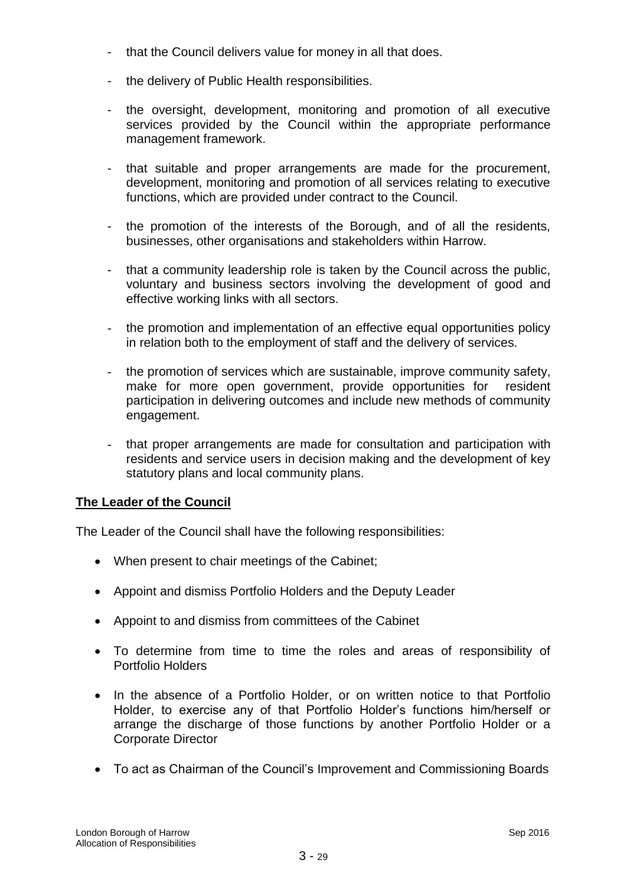- that the Council delivers value for money in all that does.
- the delivery of Public Health responsibilities.
- the oversight, development, monitoring and promotion of all executive services provided by the Council within the appropriate performance management framework.
- that suitable and proper arrangements are made for the procurement, development, monitoring and promotion of all services relating to executive functions, which are provided under contract to the Council.
- the promotion of the interests of the Borough, and of all the residents, businesses, other organisations and stakeholders within Harrow.
- that a community leadership role is taken by the Council across the public, voluntary and business sectors involving the development of good and effective working links with all sectors.
- the promotion and implementation of an effective equal opportunities policy in relation both to the employment of staff and the delivery of services.
- the promotion of services which are sustainable, improve community safety, make for more open government, provide opportunities for resident participation in delivering outcomes and include new methods of community engagement.
- that proper arrangements are made for consultation and participation with residents and service users in decision making and the development of key statutory plans and local community plans.

# **The Leader of the Council**

The Leader of the Council shall have the following responsibilities:

- When present to chair meetings of the Cabinet;
- Appoint and dismiss Portfolio Holders and the Deputy Leader
- Appoint to and dismiss from committees of the Cabinet
- To determine from time to time the roles and areas of responsibility of Portfolio Holders
- In the absence of a Portfolio Holder, or on written notice to that Portfolio Holder, to exercise any of that Portfolio Holder"s functions him/herself or arrange the discharge of those functions by another Portfolio Holder or a Corporate Director
- To act as Chairman of the Council"s Improvement and Commissioning Boards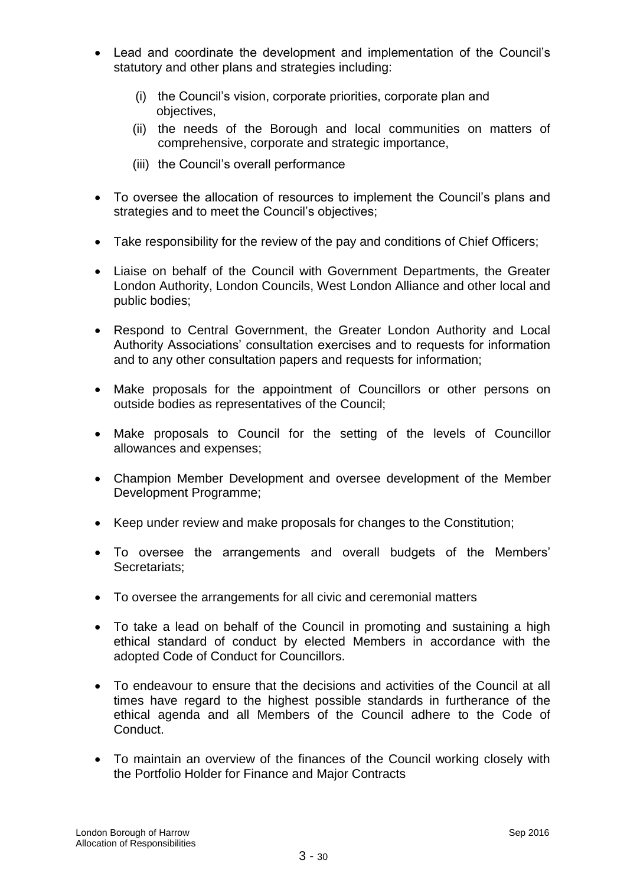- Lead and coordinate the development and implementation of the Council"s statutory and other plans and strategies including:
	- (i) the Council"s vision, corporate priorities, corporate plan and objectives,
	- (ii) the needs of the Borough and local communities on matters of comprehensive, corporate and strategic importance,
	- (iii) the Council"s overall performance
- To oversee the allocation of resources to implement the Council's plans and strategies and to meet the Council's objectives;
- Take responsibility for the review of the pay and conditions of Chief Officers;
- Liaise on behalf of the Council with Government Departments, the Greater London Authority, London Councils, West London Alliance and other local and public bodies;
- Respond to Central Government, the Greater London Authority and Local Authority Associations" consultation exercises and to requests for information and to any other consultation papers and requests for information;
- Make proposals for the appointment of Councillors or other persons on outside bodies as representatives of the Council;
- Make proposals to Council for the setting of the levels of Councillor allowances and expenses;
- Champion Member Development and oversee development of the Member Development Programme;
- Keep under review and make proposals for changes to the Constitution;
- To oversee the arrangements and overall budgets of the Members" Secretariats;
- To oversee the arrangements for all civic and ceremonial matters
- To take a lead on behalf of the Council in promoting and sustaining a high ethical standard of conduct by elected Members in accordance with the adopted Code of Conduct for Councillors.
- To endeavour to ensure that the decisions and activities of the Council at all times have regard to the highest possible standards in furtherance of the ethical agenda and all Members of the Council adhere to the Code of Conduct.
- To maintain an overview of the finances of the Council working closely with the Portfolio Holder for Finance and Major Contracts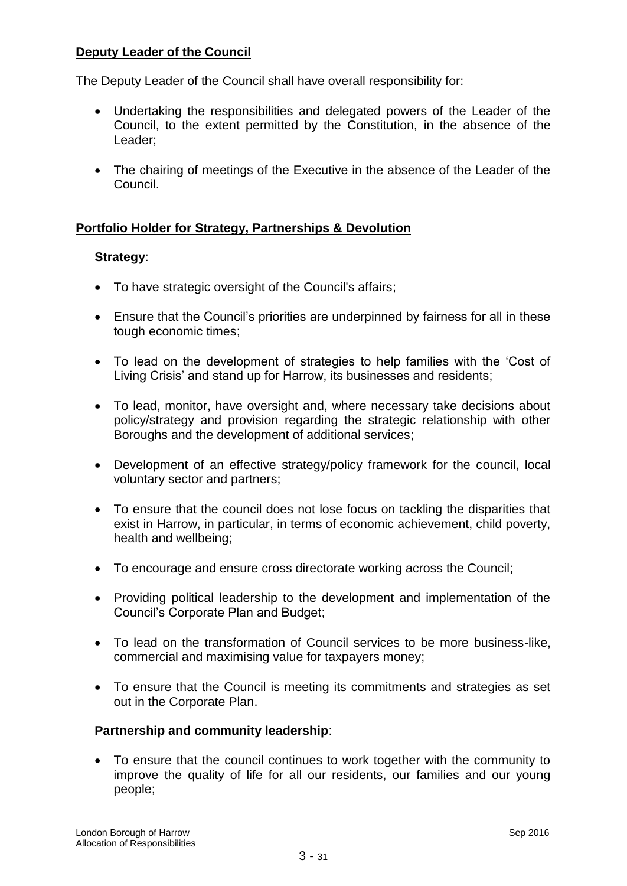# **Deputy Leader of the Council**

The Deputy Leader of the Council shall have overall responsibility for:

- Undertaking the responsibilities and delegated powers of the Leader of the Council, to the extent permitted by the Constitution, in the absence of the Leader;
- The chairing of meetings of the Executive in the absence of the Leader of the Council.

## **Portfolio Holder for Strategy, Partnerships & Devolution**

## **Strategy**:

- To have strategic oversight of the Council's affairs;
- Ensure that the Council"s priorities are underpinned by fairness for all in these tough economic times;
- To lead on the development of strategies to help families with the "Cost of Living Crisis" and stand up for Harrow, its businesses and residents;
- To lead, monitor, have oversight and, where necessary take decisions about policy/strategy and provision regarding the strategic relationship with other Boroughs and the development of additional services;
- Development of an effective strategy/policy framework for the council, local voluntary sector and partners;
- To ensure that the council does not lose focus on tackling the disparities that exist in Harrow, in particular, in terms of economic achievement, child poverty, health and wellbeing;
- To encourage and ensure cross directorate working across the Council;
- Providing political leadership to the development and implementation of the Council"s Corporate Plan and Budget;
- To lead on the transformation of Council services to be more business-like, commercial and maximising value for taxpayers money;
- To ensure that the Council is meeting its commitments and strategies as set out in the Corporate Plan.

## **Partnership and community leadership**:

 To ensure that the council continues to work together with the community to improve the quality of life for all our residents, our families and our young people;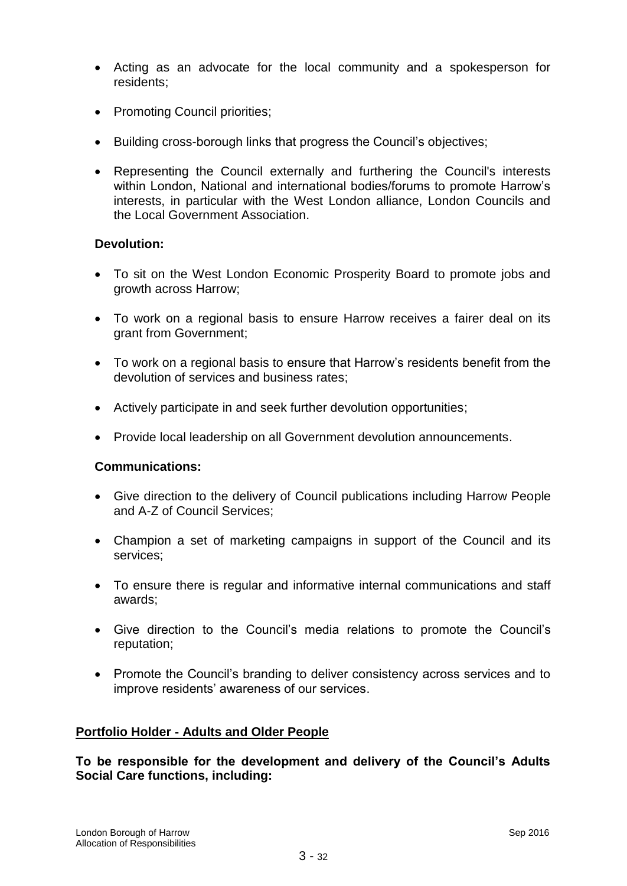- Acting as an advocate for the local community and a spokesperson for residents;
- Promoting Council priorities:
- Building cross-borough links that progress the Council's objectives;
- Representing the Council externally and furthering the Council's interests within London, National and international bodies/forums to promote Harrow's interests, in particular with the West London alliance, London Councils and the Local Government Association.

## **Devolution:**

- To sit on the West London Economic Prosperity Board to promote jobs and growth across Harrow;
- To work on a regional basis to ensure Harrow receives a fairer deal on its grant from Government;
- To work on a regional basis to ensure that Harrow"s residents benefit from the devolution of services and business rates;
- Actively participate in and seek further devolution opportunities;
- Provide local leadership on all Government devolution announcements.

## **Communications:**

- Give direction to the delivery of Council publications including Harrow People and A-Z of Council Services;
- Champion a set of marketing campaigns in support of the Council and its services;
- To ensure there is regular and informative internal communications and staff awards;
- Give direction to the Council"s media relations to promote the Council"s reputation;
- Promote the Council's branding to deliver consistency across services and to improve residents' awareness of our services.

## **Portfolio Holder - Adults and Older People**

**To be responsible for the development and delivery of the Council"s Adults Social Care functions, including:**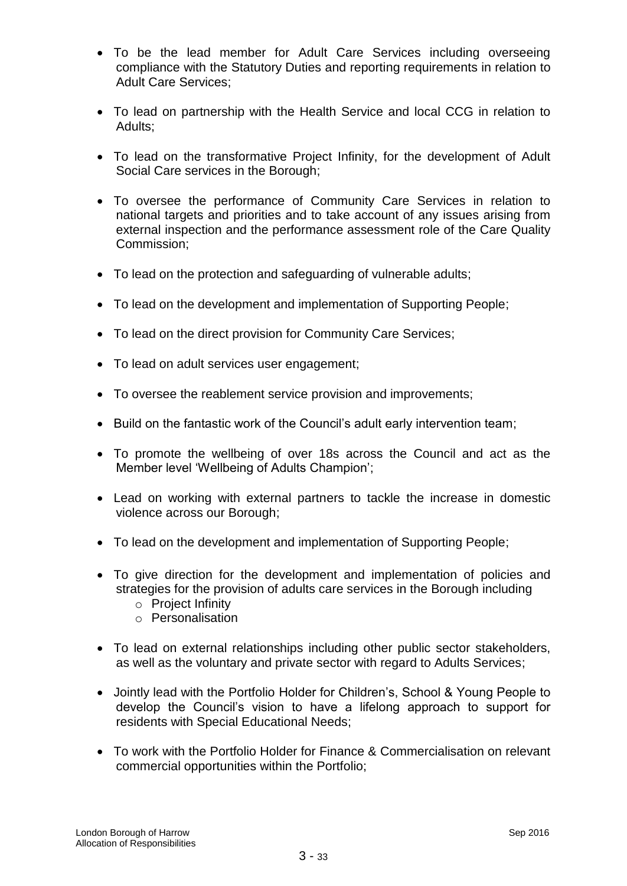- To be the lead member for Adult Care Services including overseeing compliance with the Statutory Duties and reporting requirements in relation to Adult Care Services;
- To lead on partnership with the Health Service and local CCG in relation to Adults;
- To lead on the transformative Project Infinity, for the development of Adult Social Care services in the Borough;
- To oversee the performance of Community Care Services in relation to national targets and priorities and to take account of any issues arising from external inspection and the performance assessment role of the Care Quality Commission;
- To lead on the protection and safeguarding of vulnerable adults;
- To lead on the development and implementation of Supporting People;
- To lead on the direct provision for Community Care Services;
- To lead on adult services user engagement;
- To oversee the reablement service provision and improvements;
- Build on the fantastic work of the Council's adult early intervention team;
- To promote the wellbeing of over 18s across the Council and act as the Member level "Wellbeing of Adults Champion";
- Lead on working with external partners to tackle the increase in domestic violence across our Borough;
- To lead on the development and implementation of Supporting People;
- To give direction for the development and implementation of policies and strategies for the provision of adults care services in the Borough including
	- o Project Infinity
	- o Personalisation
- To lead on external relationships including other public sector stakeholders, as well as the voluntary and private sector with regard to Adults Services;
- Jointly lead with the Portfolio Holder for Children's, School & Young People to develop the Council"s vision to have a lifelong approach to support for residents with Special Educational Needs;
- To work with the Portfolio Holder for Finance & Commercialisation on relevant commercial opportunities within the Portfolio;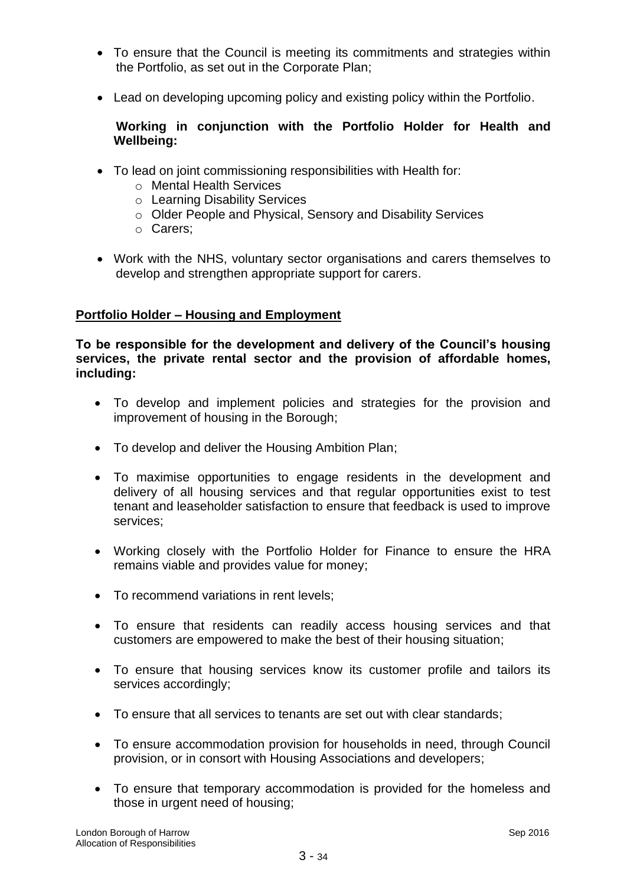- To ensure that the Council is meeting its commitments and strategies within the Portfolio, as set out in the Corporate Plan;
- Lead on developing upcoming policy and existing policy within the Portfolio.

## **Working in conjunction with the Portfolio Holder for Health and Wellbeing:**

- To lead on joint commissioning responsibilities with Health for:
	- o Mental Health Services
	- o Learning Disability Services
	- o Older People and Physical, Sensory and Disability Services
	- o Carers;
- Work with the NHS, voluntary sector organisations and carers themselves to develop and strengthen appropriate support for carers.

## **Portfolio Holder – Housing and Employment**

**To be responsible for the development and delivery of the Council"s housing services, the private rental sector and the provision of affordable homes, including:** 

- To develop and implement policies and strategies for the provision and improvement of housing in the Borough;
- To develop and deliver the Housing Ambition Plan;
- To maximise opportunities to engage residents in the development and delivery of all housing services and that regular opportunities exist to test tenant and leaseholder satisfaction to ensure that feedback is used to improve services;
- Working closely with the Portfolio Holder for Finance to ensure the HRA remains viable and provides value for money;
- To recommend variations in rent levels:
- To ensure that residents can readily access housing services and that customers are empowered to make the best of their housing situation;
- To ensure that housing services know its customer profile and tailors its services accordingly;
- To ensure that all services to tenants are set out with clear standards;
- To ensure accommodation provision for households in need, through Council provision, or in consort with Housing Associations and developers;
- To ensure that temporary accommodation is provided for the homeless and those in urgent need of housing;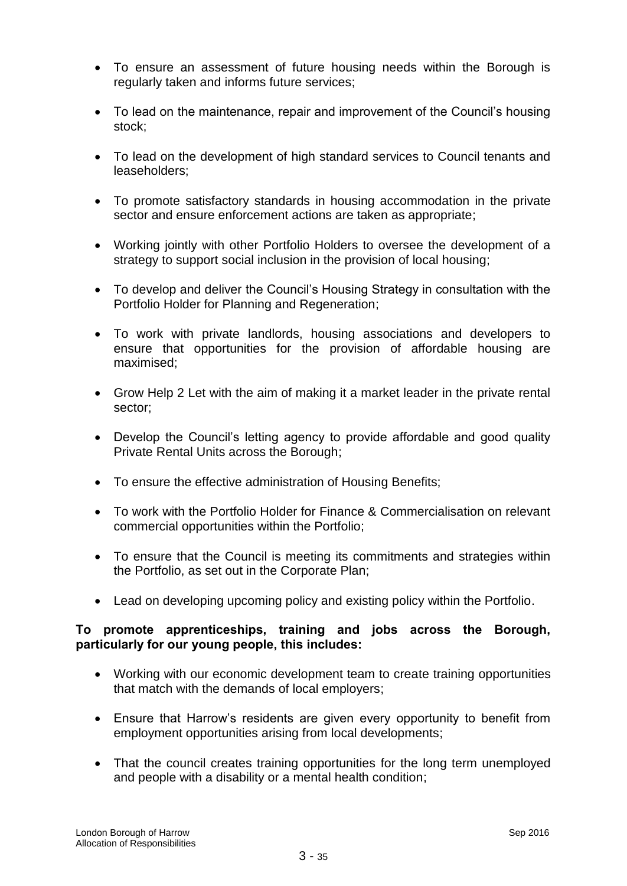- To ensure an assessment of future housing needs within the Borough is regularly taken and informs future services;
- To lead on the maintenance, repair and improvement of the Council's housing stock;
- To lead on the development of high standard services to Council tenants and leaseholders;
- To promote satisfactory standards in housing accommodation in the private sector and ensure enforcement actions are taken as appropriate;
- Working jointly with other Portfolio Holders to oversee the development of a strategy to support social inclusion in the provision of local housing;
- To develop and deliver the Council's Housing Strategy in consultation with the Portfolio Holder for Planning and Regeneration;
- To work with private landlords, housing associations and developers to ensure that opportunities for the provision of affordable housing are maximised;
- Grow Help 2 Let with the aim of making it a market leader in the private rental sector;
- Develop the Council's letting agency to provide affordable and good quality Private Rental Units across the Borough;
- To ensure the effective administration of Housing Benefits;
- To work with the Portfolio Holder for Finance & Commercialisation on relevant commercial opportunities within the Portfolio;
- To ensure that the Council is meeting its commitments and strategies within the Portfolio, as set out in the Corporate Plan;
- Lead on developing upcoming policy and existing policy within the Portfolio.

## **To promote apprenticeships, training and jobs across the Borough, particularly for our young people, this includes:**

- Working with our economic development team to create training opportunities that match with the demands of local employers;
- Ensure that Harrow"s residents are given every opportunity to benefit from employment opportunities arising from local developments;
- That the council creates training opportunities for the long term unemployed and people with a disability or a mental health condition;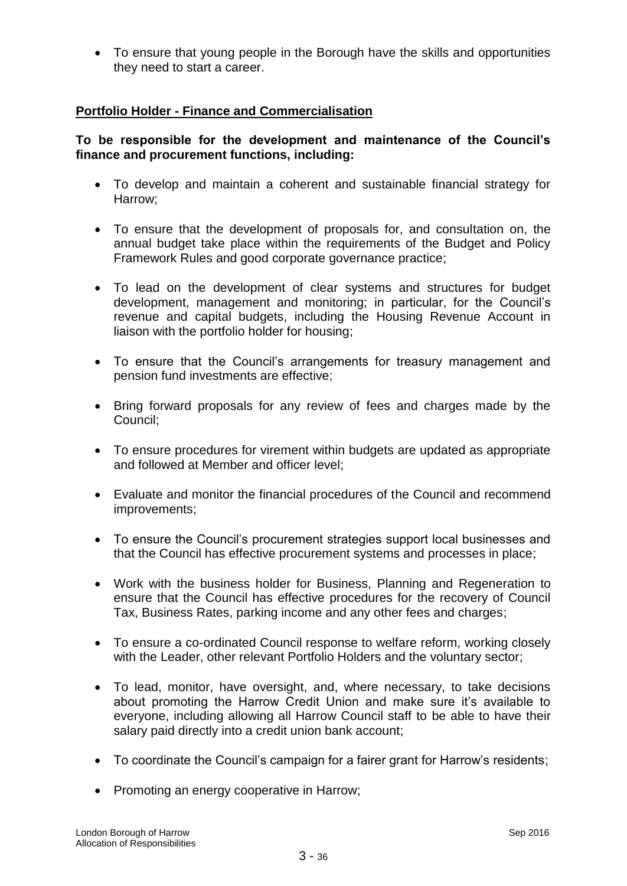To ensure that young people in the Borough have the skills and opportunities they need to start a career.

# **Portfolio Holder - Finance and Commercialisation**

# **To be responsible for the development and maintenance of the Council"s finance and procurement functions, including:**

- To develop and maintain a coherent and sustainable financial strategy for Harrow;
- To ensure that the development of proposals for, and consultation on, the annual budget take place within the requirements of the Budget and Policy Framework Rules and good corporate governance practice;
- To lead on the development of clear systems and structures for budget development, management and monitoring; in particular, for the Council"s revenue and capital budgets, including the Housing Revenue Account in liaison with the portfolio holder for housing;
- To ensure that the Council's arrangements for treasury management and pension fund investments are effective;
- Bring forward proposals for any review of fees and charges made by the Council;
- To ensure procedures for virement within budgets are updated as appropriate and followed at Member and officer level;
- Evaluate and monitor the financial procedures of the Council and recommend improvements;
- To ensure the Council's procurement strategies support local businesses and that the Council has effective procurement systems and processes in place;
- Work with the business holder for Business, Planning and Regeneration to ensure that the Council has effective procedures for the recovery of Council Tax, Business Rates, parking income and any other fees and charges;
- To ensure a co-ordinated Council response to welfare reform, working closely with the Leader, other relevant Portfolio Holders and the voluntary sector;
- To lead, monitor, have oversight, and, where necessary, to take decisions about promoting the Harrow Credit Union and make sure it's available to everyone, including allowing all Harrow Council staff to be able to have their salary paid directly into a credit union bank account;
- To coordinate the Council's campaign for a fairer grant for Harrow's residents;
- Promoting an energy cooperative in Harrow;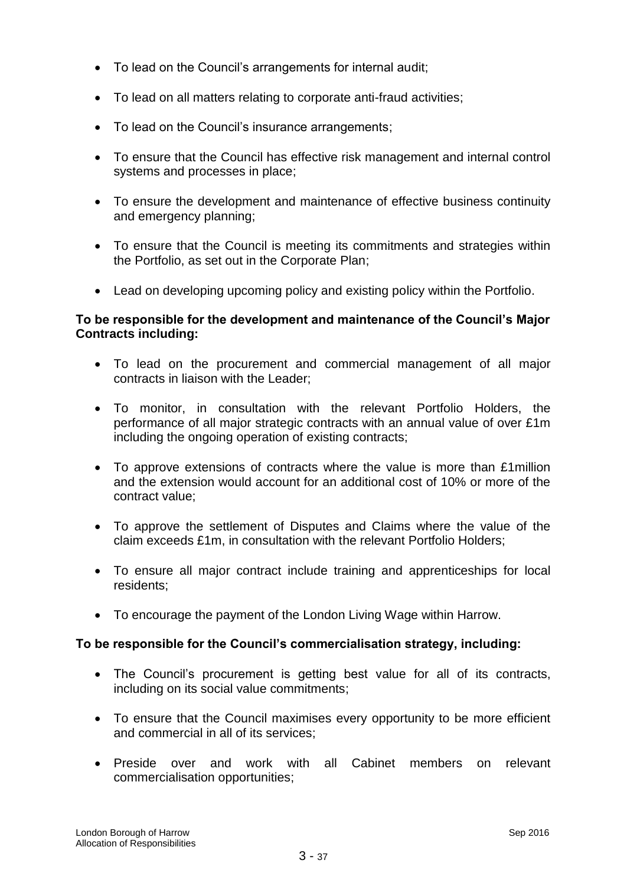- To lead on the Council's arrangements for internal audit;
- To lead on all matters relating to corporate anti-fraud activities;
- To lead on the Council's insurance arrangements;
- To ensure that the Council has effective risk management and internal control systems and processes in place;
- To ensure the development and maintenance of effective business continuity and emergency planning;
- To ensure that the Council is meeting its commitments and strategies within the Portfolio, as set out in the Corporate Plan;
- Lead on developing upcoming policy and existing policy within the Portfolio.

# **To be responsible for the development and maintenance of the Council"s Major Contracts including:**

- To lead on the procurement and commercial management of all major contracts in liaison with the Leader;
- To monitor, in consultation with the relevant Portfolio Holders, the performance of all major strategic contracts with an annual value of over £1m including the ongoing operation of existing contracts;
- To approve extensions of contracts where the value is more than £1million and the extension would account for an additional cost of 10% or more of the contract value;
- To approve the settlement of Disputes and Claims where the value of the claim exceeds £1m, in consultation with the relevant Portfolio Holders;
- To ensure all major contract include training and apprenticeships for local residents;
- To encourage the payment of the London Living Wage within Harrow.

# **To be responsible for the Council"s commercialisation strategy, including:**

- The Council's procurement is getting best value for all of its contracts, including on its social value commitments;
- To ensure that the Council maximises every opportunity to be more efficient and commercial in all of its services;
- Preside over and work with all Cabinet members on relevant commercialisation opportunities;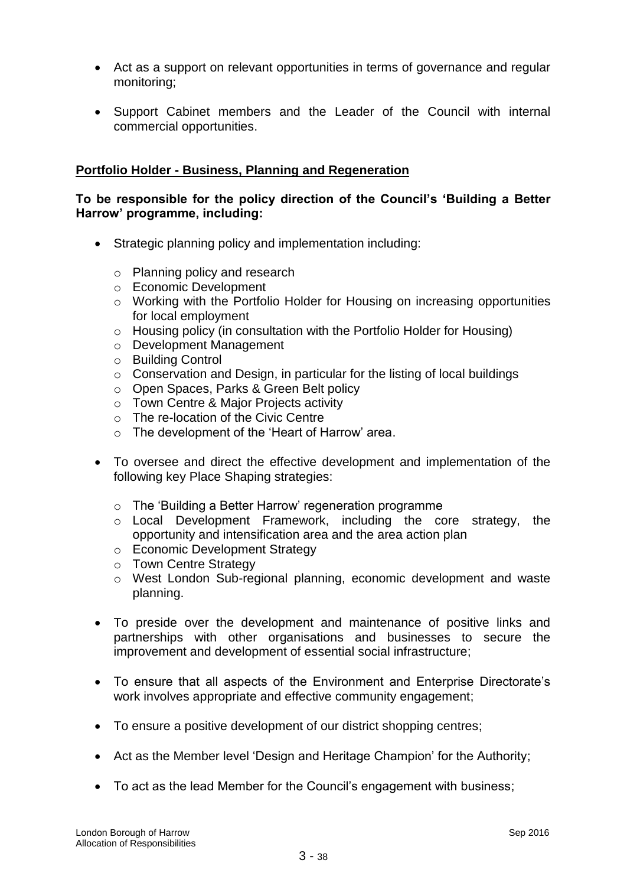- Act as a support on relevant opportunities in terms of governance and regular monitoring;
- Support Cabinet members and the Leader of the Council with internal commercial opportunities.

# **Portfolio Holder - Business, Planning and Regeneration**

## **To be responsible for the policy direction of the Council"s "Building a Better Harrow" programme, including:**

- Strategic planning policy and implementation including:
	- o Planning policy and research
	- o Economic Development
	- o Working with the Portfolio Holder for Housing on increasing opportunities for local employment
	- o Housing policy (in consultation with the Portfolio Holder for Housing)
	- o Development Management
	- o Building Control
	- o Conservation and Design, in particular for the listing of local buildings
	- o Open Spaces, Parks & Green Belt policy
	- o Town Centre & Major Projects activity
	- o The re-location of the Civic Centre
	- o The development of the "Heart of Harrow" area.
- To oversee and direct the effective development and implementation of the following key Place Shaping strategies:
	- $\circ$  The 'Building a Better Harrow' regeneration programme
	- o Local Development Framework, including the core strategy, the opportunity and intensification area and the area action plan
	- o Economic Development Strategy
	- o Town Centre Strategy
	- o West London Sub-regional planning, economic development and waste planning.
- To preside over the development and maintenance of positive links and partnerships with other organisations and businesses to secure the improvement and development of essential social infrastructure;
- To ensure that all aspects of the Environment and Enterprise Directorate's work involves appropriate and effective community engagement;
- To ensure a positive development of our district shopping centres;
- Act as the Member level 'Design and Heritage Champion' for the Authority;
- To act as the lead Member for the Council's engagement with business;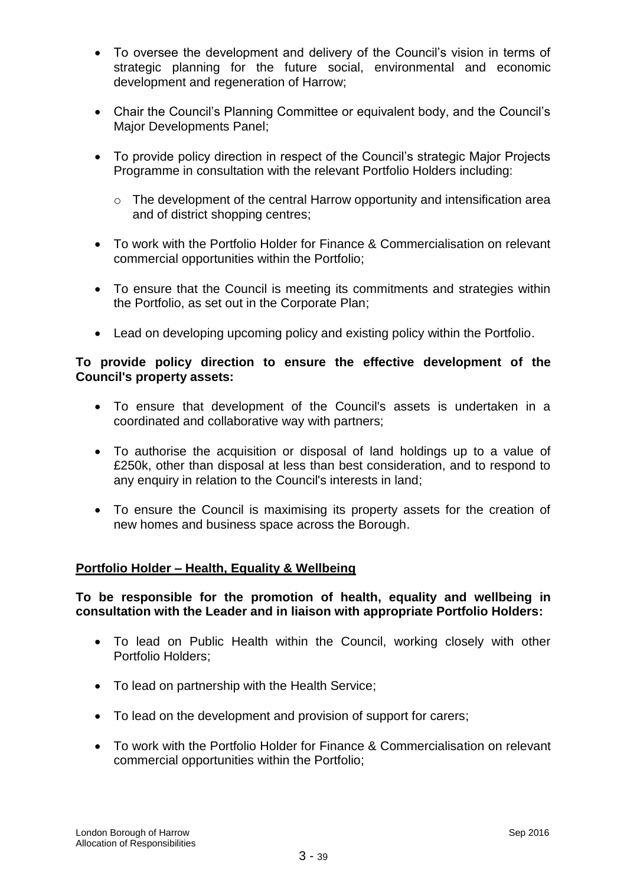- To oversee the development and delivery of the Council's vision in terms of strategic planning for the future social, environmental and economic development and regeneration of Harrow;
- Chair the Council's Planning Committee or equivalent body, and the Council's Major Developments Panel;
- To provide policy direction in respect of the Council's strategic Major Projects Programme in consultation with the relevant Portfolio Holders including:
	- o The development of the central Harrow opportunity and intensification area and of district shopping centres;
- To work with the Portfolio Holder for Finance & Commercialisation on relevant commercial opportunities within the Portfolio;
- To ensure that the Council is meeting its commitments and strategies within the Portfolio, as set out in the Corporate Plan;
- Lead on developing upcoming policy and existing policy within the Portfolio.

## **To provide policy direction to ensure the effective development of the Council's property assets:**

- To ensure that development of the Council's assets is undertaken in a coordinated and collaborative way with partners;
- To authorise the acquisition or disposal of land holdings up to a value of £250k, other than disposal at less than best consideration, and to respond to any enquiry in relation to the Council's interests in land;
- To ensure the Council is maximising its property assets for the creation of new homes and business space across the Borough.

## **Portfolio Holder – Health, Equality & Wellbeing**

**To be responsible for the promotion of health, equality and wellbeing in consultation with the Leader and in liaison with appropriate Portfolio Holders:**

- To lead on Public Health within the Council, working closely with other Portfolio Holders;
- To lead on partnership with the Health Service;
- To lead on the development and provision of support for carers;
- To work with the Portfolio Holder for Finance & Commercialisation on relevant commercial opportunities within the Portfolio;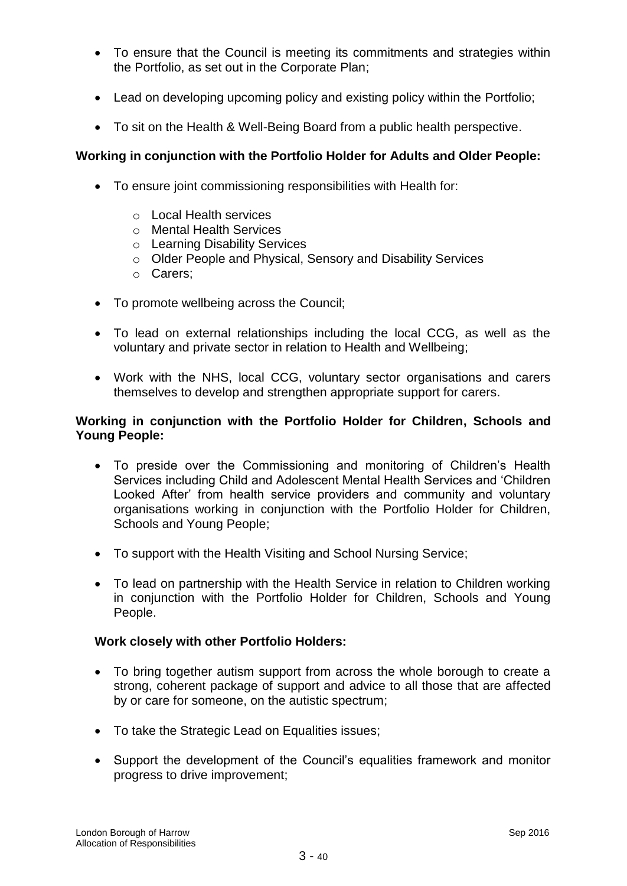- To ensure that the Council is meeting its commitments and strategies within the Portfolio, as set out in the Corporate Plan;
- Lead on developing upcoming policy and existing policy within the Portfolio;
- To sit on the Health & Well-Being Board from a public health perspective.

# **Working in conjunction with the Portfolio Holder for Adults and Older People:**

- To ensure joint commissioning responsibilities with Health for:
	- o Local Health services
	- o Mental Health Services
	- o Learning Disability Services
	- o Older People and Physical, Sensory and Disability Services
	- o Carers;
- To promote wellbeing across the Council;
- To lead on external relationships including the local CCG, as well as the voluntary and private sector in relation to Health and Wellbeing;
- Work with the NHS, local CCG, voluntary sector organisations and carers themselves to develop and strengthen appropriate support for carers.

## **Working in conjunction with the Portfolio Holder for Children, Schools and Young People:**

- To preside over the Commissioning and monitoring of Children's Health Services including Child and Adolescent Mental Health Services and "Children Looked After" from health service providers and community and voluntary organisations working in conjunction with the Portfolio Holder for Children, Schools and Young People;
- To support with the Health Visiting and School Nursing Service;
- To lead on partnership with the Health Service in relation to Children working in conjunction with the Portfolio Holder for Children, Schools and Young People.

## **Work closely with other Portfolio Holders:**

- To bring together autism support from across the whole borough to create a strong, coherent package of support and advice to all those that are affected by or care for someone, on the autistic spectrum;
- To take the Strategic Lead on Equalities issues;
- Support the development of the Council"s equalities framework and monitor progress to drive improvement;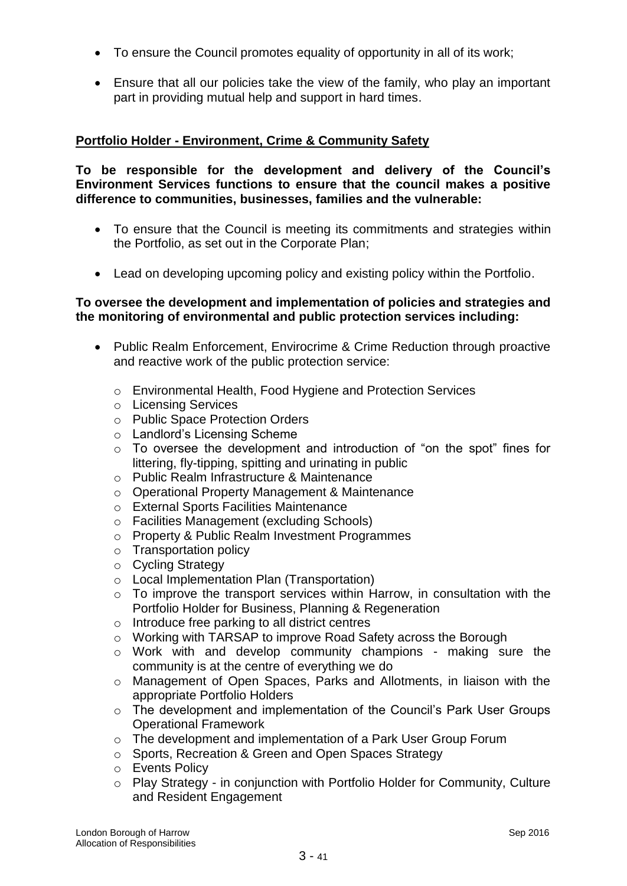- To ensure the Council promotes equality of opportunity in all of its work;
- Ensure that all our policies take the view of the family, who play an important part in providing mutual help and support in hard times.

# **Portfolio Holder - Environment, Crime & Community Safety**

**To be responsible for the development and delivery of the Council"s Environment Services functions to ensure that the council makes a positive difference to communities, businesses, families and the vulnerable:**

- To ensure that the Council is meeting its commitments and strategies within the Portfolio, as set out in the Corporate Plan;
- Lead on developing upcoming policy and existing policy within the Portfolio.

## **To oversee the development and implementation of policies and strategies and the monitoring of environmental and public protection services including:**

- Public Realm Enforcement, Envirocrime & Crime Reduction through proactive and reactive work of the public protection service:
	- o Environmental Health, Food Hygiene and Protection Services
	- o Licensing Services
	- o Public Space Protection Orders
	- o Landlord"s Licensing Scheme
	- o To oversee the development and introduction of "on the spot" fines for littering, fly-tipping, spitting and urinating in public
	- o Public Realm Infrastructure & Maintenance
	- o Operational Property Management & Maintenance
	- o External Sports Facilities Maintenance
	- o Facilities Management (excluding Schools)
	- o Property & Public Realm Investment Programmes
	- o Transportation policy
	- o Cycling Strategy
	- o Local Implementation Plan (Transportation)
	- o To improve the transport services within Harrow, in consultation with the Portfolio Holder for Business, Planning & Regeneration
	- o Introduce free parking to all district centres
	- o Working with TARSAP to improve Road Safety across the Borough
	- $\circ$  Work with and develop community champions making sure the community is at the centre of everything we do
	- o Management of Open Spaces, Parks and Allotments, in liaison with the appropriate Portfolio Holders
	- o The development and implementation of the Council"s Park User Groups Operational Framework
	- o The development and implementation of a Park User Group Forum
	- o Sports, Recreation & Green and Open Spaces Strategy
	- o Events Policy
	- o Play Strategy in conjunction with Portfolio Holder for Community, Culture and Resident Engagement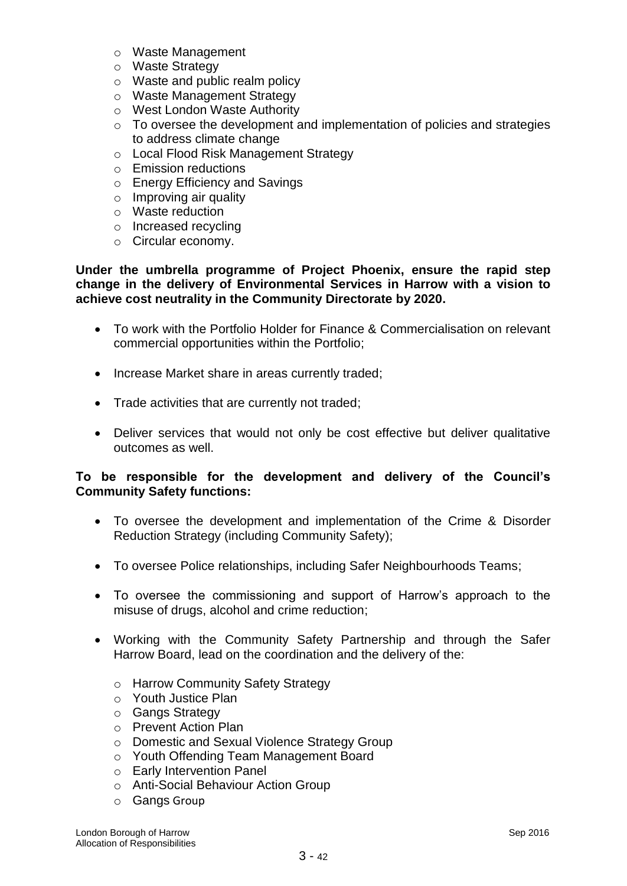- o Waste Management
- o Waste Strategy
- o Waste and public realm policy
- o Waste Management Strategy
- o West London Waste Authority
- o To oversee the development and implementation of policies and strategies to address climate change
- o Local Flood Risk Management Strategy
- o Emission reductions
- o Energy Efficiency and Savings
- o Improving air quality
- o Waste reduction
- o Increased recycling
- o Circular economy.

#### **Under the umbrella programme of Project Phoenix, ensure the rapid step change in the delivery of Environmental Services in Harrow with a vision to achieve cost neutrality in the Community Directorate by 2020.**

- To work with the Portfolio Holder for Finance & Commercialisation on relevant commercial opportunities within the Portfolio;
- Increase Market share in areas currently traded;
- Trade activities that are currently not traded;
- Deliver services that would not only be cost effective but deliver qualitative outcomes as well.

#### **To be responsible for the development and delivery of the Council"s Community Safety functions:**

- To oversee the development and implementation of the Crime & Disorder Reduction Strategy (including Community Safety);
- To oversee Police relationships, including Safer Neighbourhoods Teams;
- To oversee the commissioning and support of Harrow"s approach to the misuse of drugs, alcohol and crime reduction;
- Working with the Community Safety Partnership and through the Safer Harrow Board, lead on the coordination and the delivery of the:
	- o Harrow Community Safety Strategy
	- o Youth Justice Plan
	- o Gangs Strategy
	- o Prevent Action Plan
	- o Domestic and Sexual Violence Strategy Group
	- o Youth Offending Team Management Board
	- o Early Intervention Panel
	- o Anti-Social Behaviour Action Group
	- o Gangs Group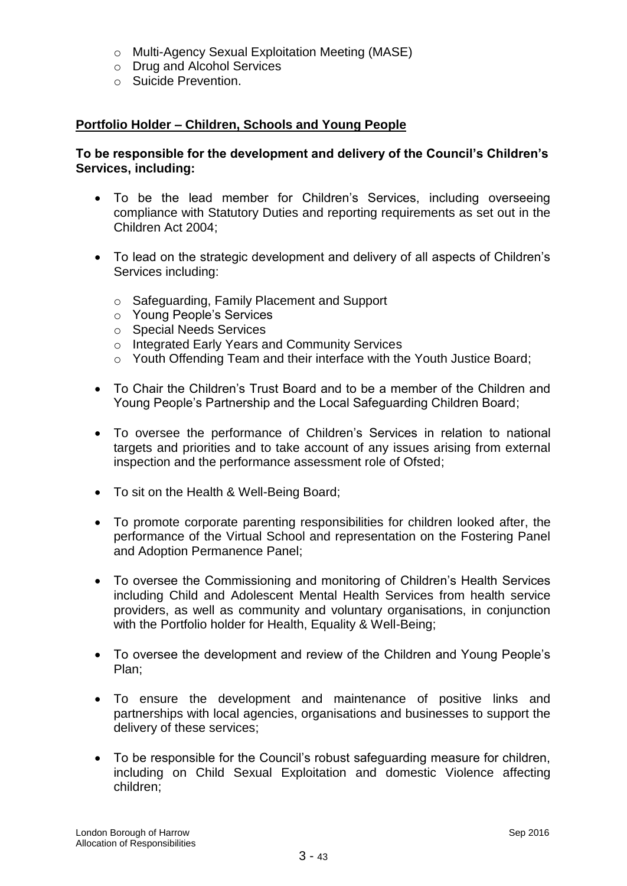- o Multi-Agency Sexual Exploitation Meeting (MASE)
- o Drug and Alcohol Services
- o Suicide Prevention.

# **Portfolio Holder – Children, Schools and Young People**

## **To be responsible for the development and delivery of the Council"s Children"s Services, including:**

- To be the lead member for Children's Services, including overseeing compliance with Statutory Duties and reporting requirements as set out in the Children Act 2004;
- To lead on the strategic development and delivery of all aspects of Children's Services including:
	- o Safeguarding, Family Placement and Support
	- o Young People"s Services
	- o Special Needs Services
	- o Integrated Early Years and Community Services
	- o Youth Offending Team and their interface with the Youth Justice Board;
- To Chair the Children"s Trust Board and to be a member of the Children and Young People"s Partnership and the Local Safeguarding Children Board;
- To oversee the performance of Children"s Services in relation to national targets and priorities and to take account of any issues arising from external inspection and the performance assessment role of Ofsted;
- To sit on the Health & Well-Being Board;
- To promote corporate parenting responsibilities for children looked after, the performance of the Virtual School and representation on the Fostering Panel and Adoption Permanence Panel;
- To oversee the Commissioning and monitoring of Children's Health Services including Child and Adolescent Mental Health Services from health service providers, as well as community and voluntary organisations, in conjunction with the Portfolio holder for Health, Equality & Well-Being;
- To oversee the development and review of the Children and Young People's Plan;
- To ensure the development and maintenance of positive links and partnerships with local agencies, organisations and businesses to support the delivery of these services;
- To be responsible for the Council"s robust safeguarding measure for children, including on Child Sexual Exploitation and domestic Violence affecting children;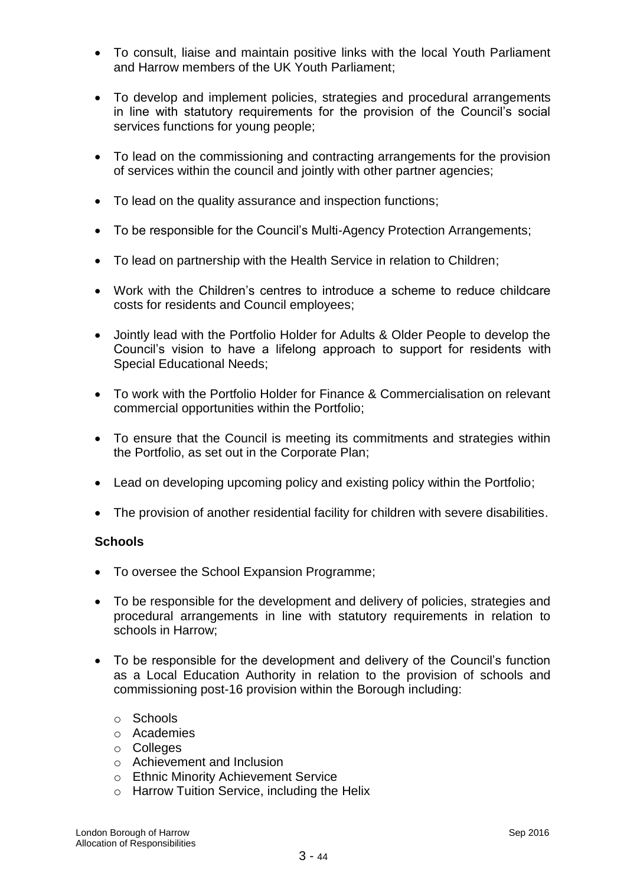- To consult, liaise and maintain positive links with the local Youth Parliament and Harrow members of the UK Youth Parliament;
- To develop and implement policies, strategies and procedural arrangements in line with statutory requirements for the provision of the Council"s social services functions for young people;
- To lead on the commissioning and contracting arrangements for the provision of services within the council and jointly with other partner agencies;
- To lead on the quality assurance and inspection functions;
- To be responsible for the Council's Multi-Agency Protection Arrangements;
- To lead on partnership with the Health Service in relation to Children;
- Work with the Children"s centres to introduce a scheme to reduce childcare costs for residents and Council employees;
- Jointly lead with the Portfolio Holder for Adults & Older People to develop the Council"s vision to have a lifelong approach to support for residents with Special Educational Needs;
- To work with the Portfolio Holder for Finance & Commercialisation on relevant commercial opportunities within the Portfolio;
- To ensure that the Council is meeting its commitments and strategies within the Portfolio, as set out in the Corporate Plan;
- Lead on developing upcoming policy and existing policy within the Portfolio;
- The provision of another residential facility for children with severe disabilities.

## **Schools**

- To oversee the School Expansion Programme;
- To be responsible for the development and delivery of policies, strategies and procedural arrangements in line with statutory requirements in relation to schools in Harrow;
- To be responsible for the development and delivery of the Council's function as a Local Education Authority in relation to the provision of schools and commissioning post-16 provision within the Borough including:
	- o Schools
	- o Academies
	- o Colleges
	- o Achievement and Inclusion
	- o Ethnic Minority Achievement Service
	- o Harrow Tuition Service, including the Helix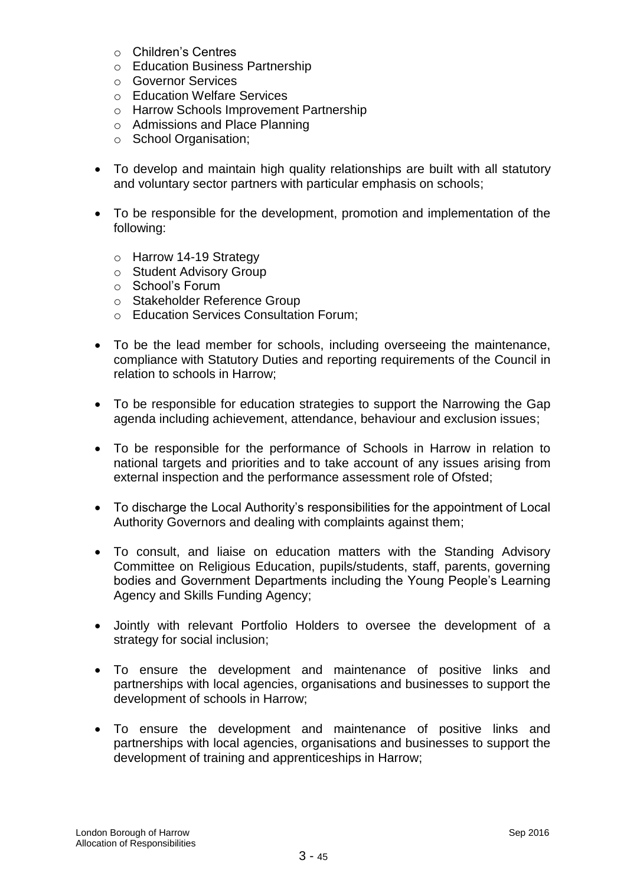- o Children"s Centres
- o Education Business Partnership
- o Governor Services
- o Education Welfare Services
- o Harrow Schools Improvement Partnership
- o Admissions and Place Planning
- o School Organisation;
- To develop and maintain high quality relationships are built with all statutory and voluntary sector partners with particular emphasis on schools;
- To be responsible for the development, promotion and implementation of the following:
	- o Harrow 14-19 Strategy
	- o Student Advisory Group
	- o School"s Forum
	- o Stakeholder Reference Group
	- o Education Services Consultation Forum;
- To be the lead member for schools, including overseeing the maintenance, compliance with Statutory Duties and reporting requirements of the Council in relation to schools in Harrow;
- To be responsible for education strategies to support the Narrowing the Gap agenda including achievement, attendance, behaviour and exclusion issues;
- To be responsible for the performance of Schools in Harrow in relation to national targets and priorities and to take account of any issues arising from external inspection and the performance assessment role of Ofsted;
- To discharge the Local Authority"s responsibilities for the appointment of Local Authority Governors and dealing with complaints against them;
- To consult, and liaise on education matters with the Standing Advisory Committee on Religious Education, pupils/students, staff, parents, governing bodies and Government Departments including the Young People"s Learning Agency and Skills Funding Agency;
- Jointly with relevant Portfolio Holders to oversee the development of a strategy for social inclusion;
- To ensure the development and maintenance of positive links and partnerships with local agencies, organisations and businesses to support the development of schools in Harrow;
- To ensure the development and maintenance of positive links and partnerships with local agencies, organisations and businesses to support the development of training and apprenticeships in Harrow;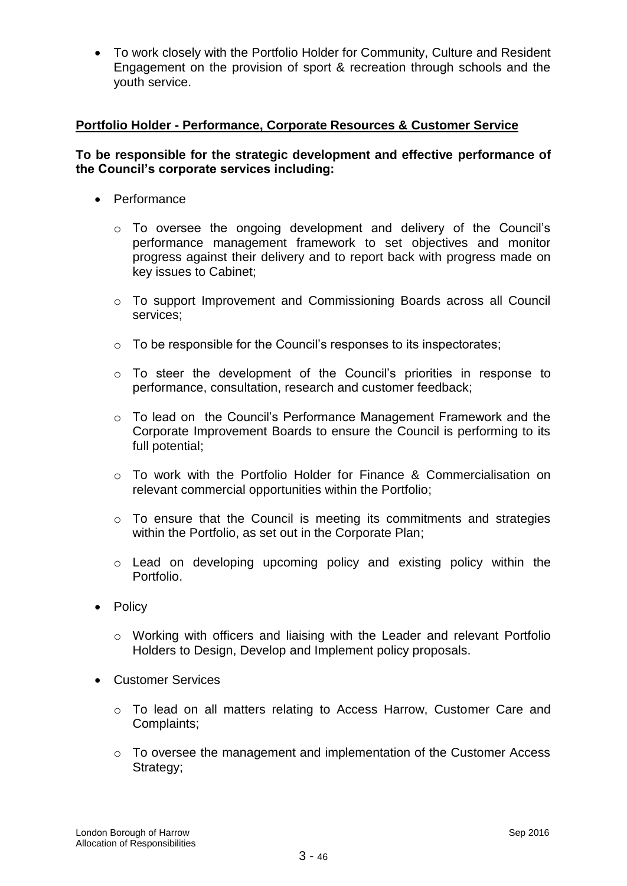To work closely with the Portfolio Holder for Community, Culture and Resident Engagement on the provision of sport & recreation through schools and the youth service.

## **Portfolio Holder - Performance, Corporate Resources & Customer Service**

## **To be responsible for the strategic development and effective performance of the Council"s corporate services including:**

- Performance
	- o To oversee the ongoing development and delivery of the Council"s performance management framework to set objectives and monitor progress against their delivery and to report back with progress made on key issues to Cabinet;
	- o To support Improvement and Commissioning Boards across all Council services;
	- o To be responsible for the Council"s responses to its inspectorates;
	- o To steer the development of the Council"s priorities in response to performance, consultation, research and customer feedback;
	- o To lead on the Council"s Performance Management Framework and the Corporate Improvement Boards to ensure the Council is performing to its full potential;
	- o To work with the Portfolio Holder for Finance & Commercialisation on relevant commercial opportunities within the Portfolio;
	- o To ensure that the Council is meeting its commitments and strategies within the Portfolio, as set out in the Corporate Plan;
	- o Lead on developing upcoming policy and existing policy within the Portfolio.
- Policy
	- o Working with officers and liaising with the Leader and relevant Portfolio Holders to Design, Develop and Implement policy proposals.
- Customer Services
	- o To lead on all matters relating to Access Harrow, Customer Care and Complaints;
	- o To oversee the management and implementation of the Customer Access Strategy;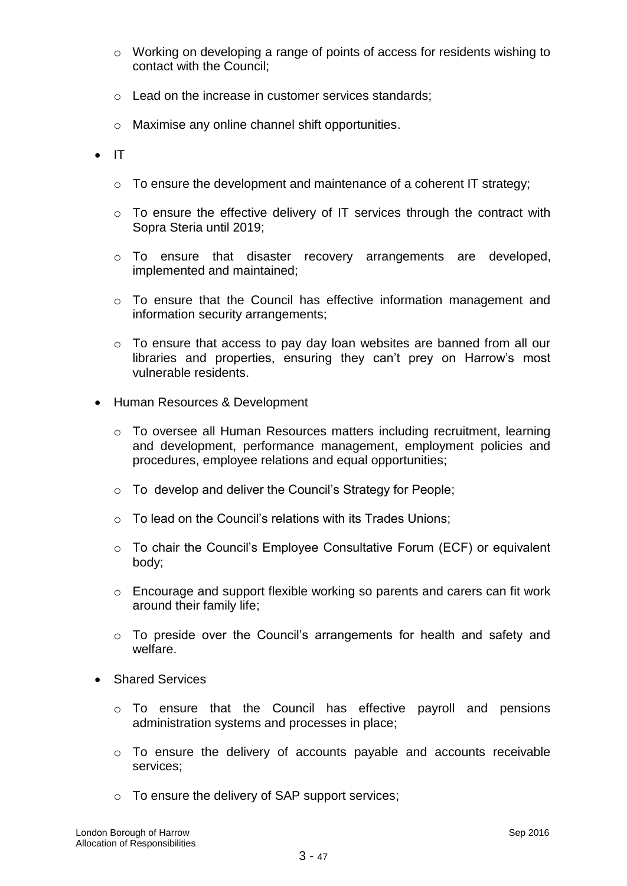- o Working on developing a range of points of access for residents wishing to contact with the Council;
- o Lead on the increase in customer services standards;
- o Maximise any online channel shift opportunities.
- $\bullet$  IT
	- $\circ$  To ensure the development and maintenance of a coherent IT strategy;
	- o To ensure the effective delivery of IT services through the contract with Sopra Steria until 2019;
	- $\circ$  To ensure that disaster recovery arrangements are developed, implemented and maintained;
	- o To ensure that the Council has effective information management and information security arrangements;
	- o To ensure that access to pay day loan websites are banned from all our libraries and properties, ensuring they can't prey on Harrow's most vulnerable residents.
- Human Resources & Development
	- o To oversee all Human Resources matters including recruitment, learning and development, performance management, employment policies and procedures, employee relations and equal opportunities;
	- o To develop and deliver the Council"s Strategy for People;
	- $\circ$  To lead on the Council's relations with its Trades Unions:
	- o To chair the Council"s Employee Consultative Forum (ECF) or equivalent body;
	- o Encourage and support flexible working so parents and carers can fit work around their family life;
	- o To preside over the Council"s arrangements for health and safety and welfare.
- Shared Services
	- o To ensure that the Council has effective payroll and pensions administration systems and processes in place;
	- o To ensure the delivery of accounts payable and accounts receivable services;
	- o To ensure the delivery of SAP support services;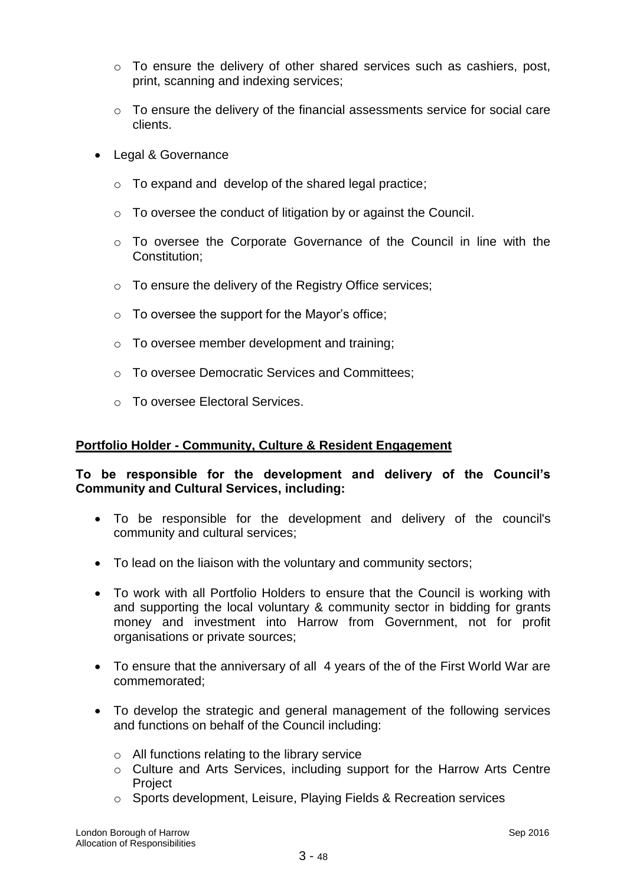- o To ensure the delivery of other shared services such as cashiers, post, print, scanning and indexing services;
- o To ensure the delivery of the financial assessments service for social care clients.
- Legal & Governance
	- o To expand and develop of the shared legal practice;
	- o To oversee the conduct of litigation by or against the Council.
	- $\circ$  To oversee the Corporate Governance of the Council in line with the Constitution;
	- o To ensure the delivery of the Registry Office services;
	- $\circ$  To oversee the support for the Mayor's office;
	- o To oversee member development and training;
	- o To oversee Democratic Services and Committees;
	- o To oversee Electoral Services.

## **Portfolio Holder - Community, Culture & Resident Engagement**

## **To be responsible for the development and delivery of the Council"s Community and Cultural Services, including:**

- To be responsible for the development and delivery of the council's community and cultural services;
- To lead on the liaison with the voluntary and community sectors;
- To work with all Portfolio Holders to ensure that the Council is working with and supporting the local voluntary & community sector in bidding for grants money and investment into Harrow from Government, not for profit organisations or private sources;
- To ensure that the anniversary of all 4 years of the of the First World War are commemorated;
- To develop the strategic and general management of the following services and functions on behalf of the Council including:
	- $\circ$  All functions relating to the library service
	- o Culture and Arts Services, including support for the Harrow Arts Centre Project
	- o Sports development, Leisure, Playing Fields & Recreation services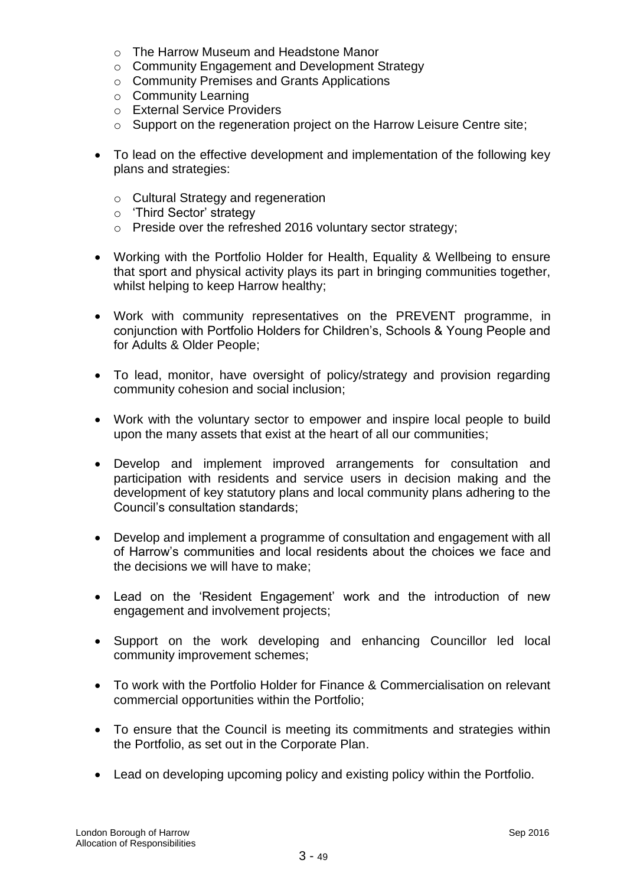- o The Harrow Museum and Headstone Manor
- o Community Engagement and Development Strategy
- o Community Premises and Grants Applications
- o Community Learning
- o External Service Providers
- o Support on the regeneration project on the Harrow Leisure Centre site;
- To lead on the effective development and implementation of the following key plans and strategies:
	- o Cultural Strategy and regeneration
	- o "Third Sector" strategy
	- o Preside over the refreshed 2016 voluntary sector strategy;
- Working with the Portfolio Holder for Health, Equality & Wellbeing to ensure that sport and physical activity plays its part in bringing communities together, whilst helping to keep Harrow healthy;
- Work with community representatives on the PREVENT programme, in conjunction with Portfolio Holders for Children"s, Schools & Young People and for Adults & Older People;
- To lead, monitor, have oversight of policy/strategy and provision regarding community cohesion and social inclusion;
- Work with the voluntary sector to empower and inspire local people to build upon the many assets that exist at the heart of all our communities;
- Develop and implement improved arrangements for consultation and participation with residents and service users in decision making and the development of key statutory plans and local community plans adhering to the Council"s consultation standards;
- Develop and implement a programme of consultation and engagement with all of Harrow"s communities and local residents about the choices we face and the decisions we will have to make;
- Lead on the 'Resident Engagement' work and the introduction of new engagement and involvement projects;
- Support on the work developing and enhancing Councillor led local community improvement schemes;
- To work with the Portfolio Holder for Finance & Commercialisation on relevant commercial opportunities within the Portfolio;
- To ensure that the Council is meeting its commitments and strategies within the Portfolio, as set out in the Corporate Plan.
- Lead on developing upcoming policy and existing policy within the Portfolio.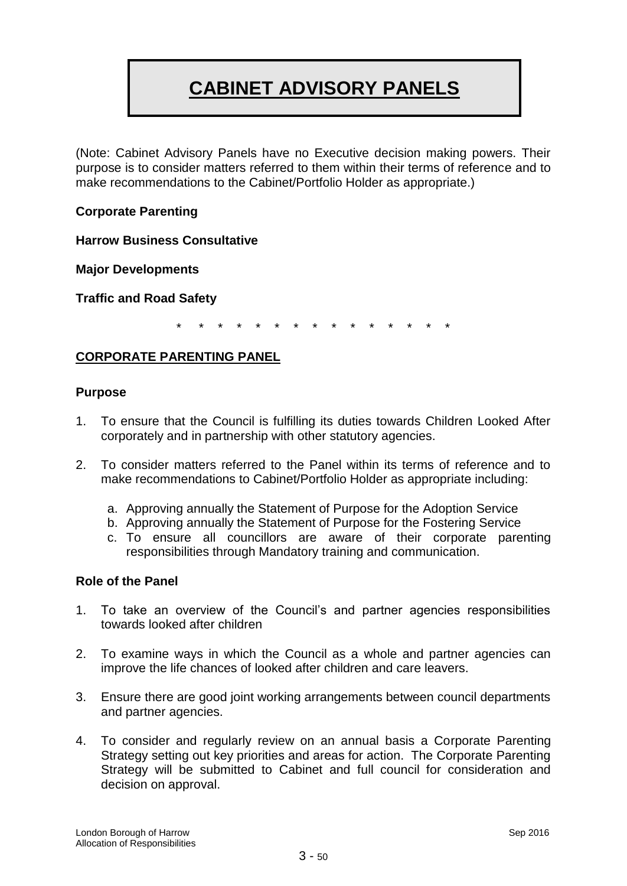# **CABINET ADVISORY PANELS**

(Note: Cabinet Advisory Panels have no Executive decision making powers. Their purpose is to consider matters referred to them within their terms of reference and to make recommendations to the Cabinet/Portfolio Holder as appropriate.)

## **Corporate Parenting**

**Harrow Business Consultative** 

**Major Developments**

**Traffic and Road Safety**

\* \* \* \* \* \* \* \* \* \* \* \* \* \* \*

## **CORPORATE PARENTING PANEL**

#### **Purpose**

- 1. To ensure that the Council is fulfilling its duties towards Children Looked After corporately and in partnership with other statutory agencies.
- 2. To consider matters referred to the Panel within its terms of reference and to make recommendations to Cabinet/Portfolio Holder as appropriate including:
	- a. Approving annually the Statement of Purpose for the Adoption Service
	- b. Approving annually the Statement of Purpose for the Fostering Service
	- c. To ensure all councillors are aware of their corporate parenting responsibilities through Mandatory training and communication.

#### **Role of the Panel**

- 1. To take an overview of the Council"s and partner agencies responsibilities towards looked after children
- 2. To examine ways in which the Council as a whole and partner agencies can improve the life chances of looked after children and care leavers.
- 3. Ensure there are good joint working arrangements between council departments and partner agencies.
- 4. To consider and regularly review on an annual basis a Corporate Parenting Strategy setting out key priorities and areas for action. The Corporate Parenting Strategy will be submitted to Cabinet and full council for consideration and decision on approval.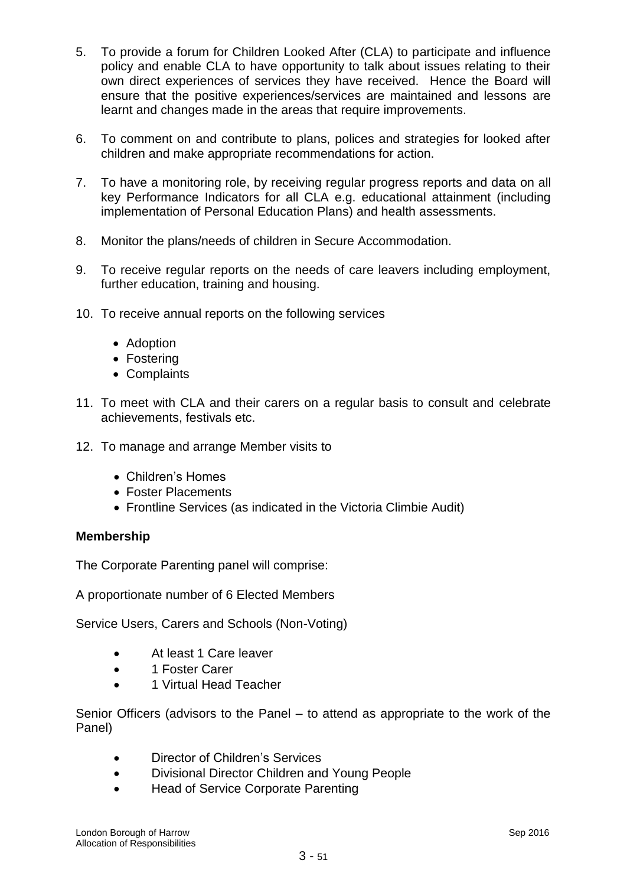- 5. To provide a forum for Children Looked After (CLA) to participate and influence policy and enable CLA to have opportunity to talk about issues relating to their own direct experiences of services they have received. Hence the Board will ensure that the positive experiences/services are maintained and lessons are learnt and changes made in the areas that require improvements.
- 6. To comment on and contribute to plans, polices and strategies for looked after children and make appropriate recommendations for action.
- 7. To have a monitoring role, by receiving regular progress reports and data on all key Performance Indicators for all CLA e.g. educational attainment (including implementation of Personal Education Plans) and health assessments.
- 8. Monitor the plans/needs of children in Secure Accommodation.
- 9. To receive regular reports on the needs of care leavers including employment, further education, training and housing.
- 10. To receive annual reports on the following services
	- Adoption
	- Fostering
	- Complaints
- 11. To meet with CLA and their carers on a regular basis to consult and celebrate achievements, festivals etc.
- 12. To manage and arrange Member visits to
	- Children's Homes
	- Foster Placements
	- Frontline Services (as indicated in the Victoria Climbie Audit)

## **Membership**

The Corporate Parenting panel will comprise:

A proportionate number of 6 Elected Members

Service Users, Carers and Schools (Non-Voting)

- At least 1 Care leaver
- 1 Foster Carer
- 1 Virtual Head Teacher

Senior Officers (advisors to the Panel – to attend as appropriate to the work of the Panel)

- Director of Children"s Services
- Divisional Director Children and Young People
- Head of Service Corporate Parenting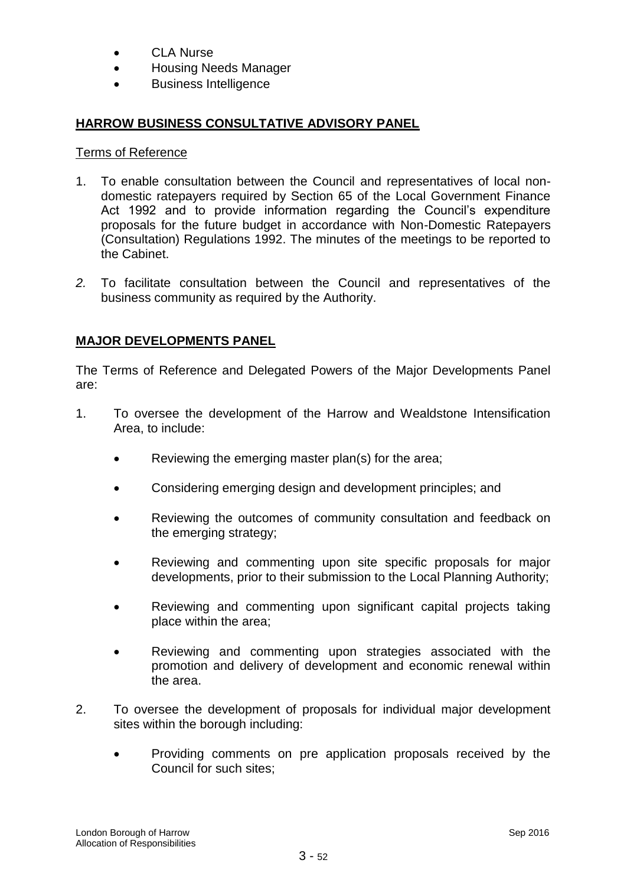- CLA Nurse
- Housing Needs Manager
- Business Intelligence

# **HARROW BUSINESS CONSULTATIVE ADVISORY PANEL**

#### Terms of Reference

- 1. To enable consultation between the Council and representatives of local nondomestic ratepayers required by Section 65 of the Local Government Finance Act 1992 and to provide information regarding the Council's expenditure proposals for the future budget in accordance with Non-Domestic Ratepayers (Consultation) Regulations 1992. The minutes of the meetings to be reported to the Cabinet.
- *2.* To facilitate consultation between the Council and representatives of the business community as required by the Authority.

# **MAJOR DEVELOPMENTS PANEL**

The Terms of Reference and Delegated Powers of the Major Developments Panel are:

- 1. To oversee the development of the Harrow and Wealdstone Intensification Area, to include:
	- Reviewing the emerging master plan(s) for the area;
	- Considering emerging design and development principles; and
	- Reviewing the outcomes of community consultation and feedback on the emerging strategy;
	- Reviewing and commenting upon site specific proposals for major developments, prior to their submission to the Local Planning Authority;
	- Reviewing and commenting upon significant capital projects taking place within the area;
	- Reviewing and commenting upon strategies associated with the promotion and delivery of development and economic renewal within the area.
- 2. To oversee the development of proposals for individual major development sites within the borough including:
	- Providing comments on pre application proposals received by the Council for such sites;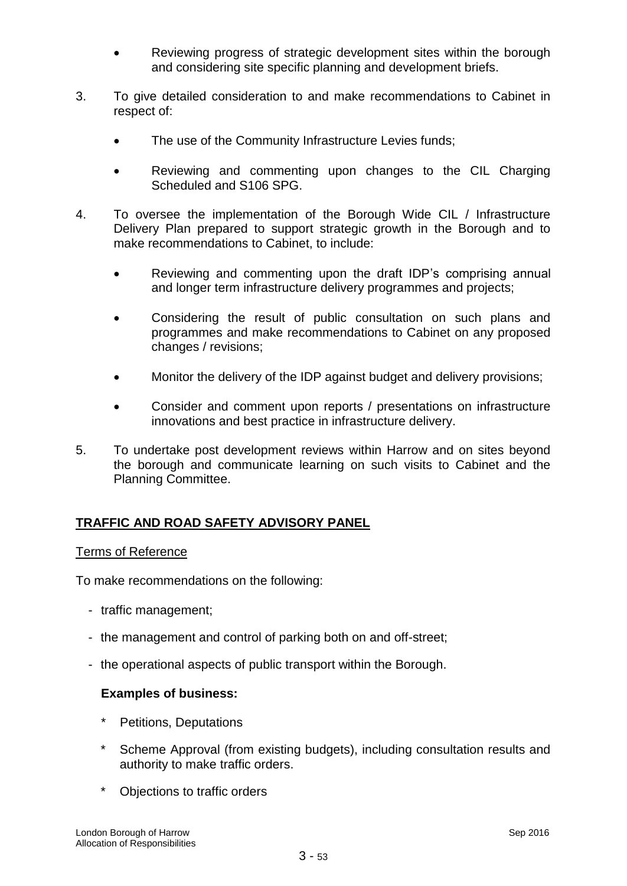- Reviewing progress of strategic development sites within the borough and considering site specific planning and development briefs.
- 3. To give detailed consideration to and make recommendations to Cabinet in respect of:
	- The use of the Community Infrastructure Levies funds;
	- Reviewing and commenting upon changes to the CIL Charging Scheduled and S106 SPG.
- 4. To oversee the implementation of the Borough Wide CIL / Infrastructure Delivery Plan prepared to support strategic growth in the Borough and to make recommendations to Cabinet, to include:
	- Reviewing and commenting upon the draft IDP"s comprising annual and longer term infrastructure delivery programmes and projects;
	- Considering the result of public consultation on such plans and programmes and make recommendations to Cabinet on any proposed changes / revisions;
	- Monitor the delivery of the IDP against budget and delivery provisions;
	- Consider and comment upon reports / presentations on infrastructure innovations and best practice in infrastructure delivery.
- 5. To undertake post development reviews within Harrow and on sites beyond the borough and communicate learning on such visits to Cabinet and the Planning Committee.

# **TRAFFIC AND ROAD SAFETY ADVISORY PANEL**

## Terms of Reference

To make recommendations on the following:

- traffic management;
- the management and control of parking both on and off-street;
- the operational aspects of public transport within the Borough.

## **Examples of business:**

- Petitions, Deputations
- Scheme Approval (from existing budgets), including consultation results and authority to make traffic orders.
- \* Objections to traffic orders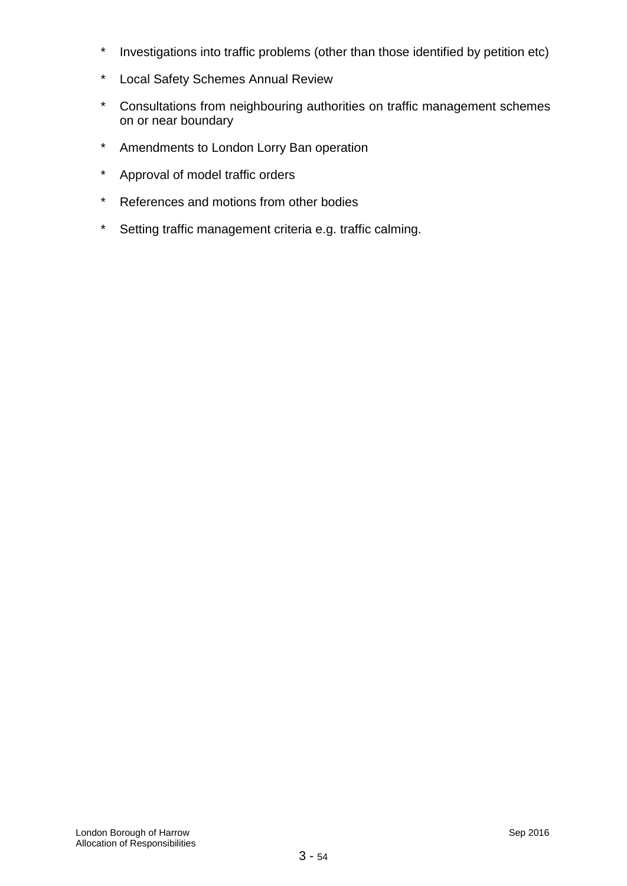- \* Investigations into traffic problems (other than those identified by petition etc)
- \* Local Safety Schemes Annual Review
- \* Consultations from neighbouring authorities on traffic management schemes on or near boundary
- \* Amendments to London Lorry Ban operation
- \* Approval of model traffic orders
- \* References and motions from other bodies
- \* Setting traffic management criteria e.g. traffic calming.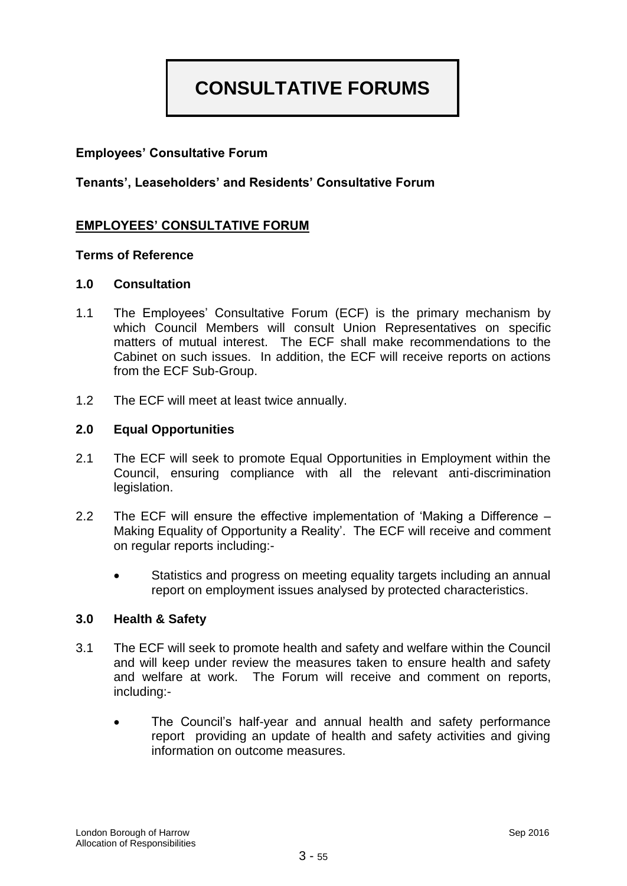# **CONSULTATIVE FORUMS**

## **Employees" Consultative Forum**

**Tenants", Leaseholders" and Residents" Consultative Forum**

# **EMPLOYEES" CONSULTATIVE FORUM**

#### **Terms of Reference**

#### **1.0 Consultation**

- 1.1 The Employees" Consultative Forum (ECF) is the primary mechanism by which Council Members will consult Union Representatives on specific matters of mutual interest. The ECF shall make recommendations to the Cabinet on such issues. In addition, the ECF will receive reports on actions from the ECF Sub-Group.
- 1.2 The ECF will meet at least twice annually.

#### **2.0 Equal Opportunities**

- 2.1 The ECF will seek to promote Equal Opportunities in Employment within the Council, ensuring compliance with all the relevant anti-discrimination legislation.
- 2.2 The ECF will ensure the effective implementation of "Making a Difference Making Equality of Opportunity a Reality'. The ECF will receive and comment on regular reports including:-
	- Statistics and progress on meeting equality targets including an annual report on employment issues analysed by protected characteristics.

#### **3.0 Health & Safety**

- 3.1 The ECF will seek to promote health and safety and welfare within the Council and will keep under review the measures taken to ensure health and safety and welfare at work. The Forum will receive and comment on reports, including:-
	- The Council"s half-year and annual health and safety performance report providing an update of health and safety activities and giving information on outcome measures.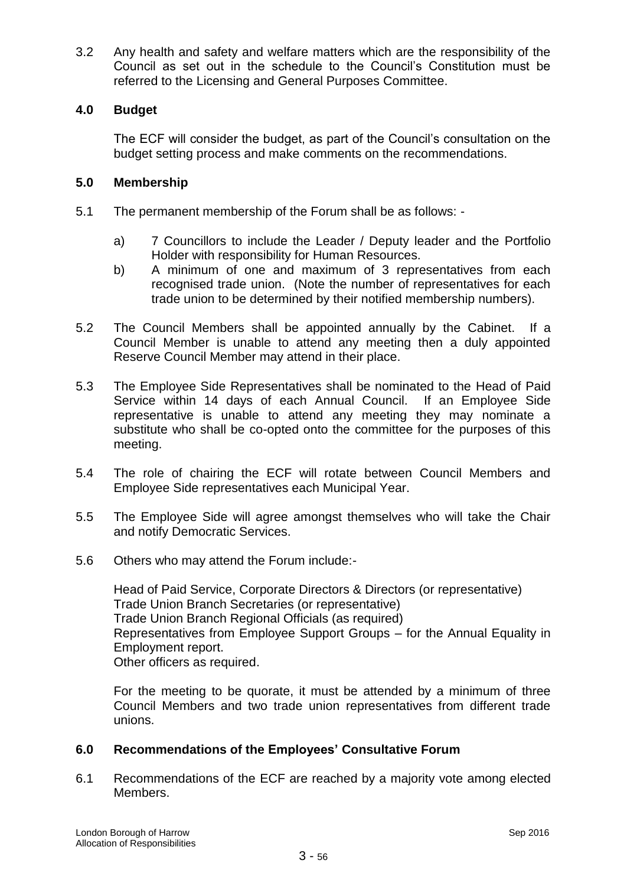3.2 Any health and safety and welfare matters which are the responsibility of the Council as set out in the schedule to the Council"s Constitution must be referred to the Licensing and General Purposes Committee.

## **4.0 Budget**

The ECF will consider the budget, as part of the Council"s consultation on the budget setting process and make comments on the recommendations.

## **5.0 Membership**

- 5.1 The permanent membership of the Forum shall be as follows:
	- a) 7 Councillors to include the Leader / Deputy leader and the Portfolio Holder with responsibility for Human Resources.
	- b) A minimum of one and maximum of 3 representatives from each recognised trade union. (Note the number of representatives for each trade union to be determined by their notified membership numbers).
- 5.2 The Council Members shall be appointed annually by the Cabinet. If a Council Member is unable to attend any meeting then a duly appointed Reserve Council Member may attend in their place.
- 5.3 The Employee Side Representatives shall be nominated to the Head of Paid Service within 14 days of each Annual Council. If an Employee Side representative is unable to attend any meeting they may nominate a substitute who shall be co-opted onto the committee for the purposes of this meeting.
- 5.4 The role of chairing the ECF will rotate between Council Members and Employee Side representatives each Municipal Year.
- 5.5 The Employee Side will agree amongst themselves who will take the Chair and notify Democratic Services.
- 5.6 Others who may attend the Forum include:-

Head of Paid Service, Corporate Directors & Directors (or representative) Trade Union Branch Secretaries (or representative) Trade Union Branch Regional Officials (as required) Representatives from Employee Support Groups – for the Annual Equality in Employment report. Other officers as required.

For the meeting to be quorate, it must be attended by a minimum of three Council Members and two trade union representatives from different trade unions.

## **6.0 Recommendations of the Employees" Consultative Forum**

6.1 Recommendations of the ECF are reached by a majority vote among elected Members.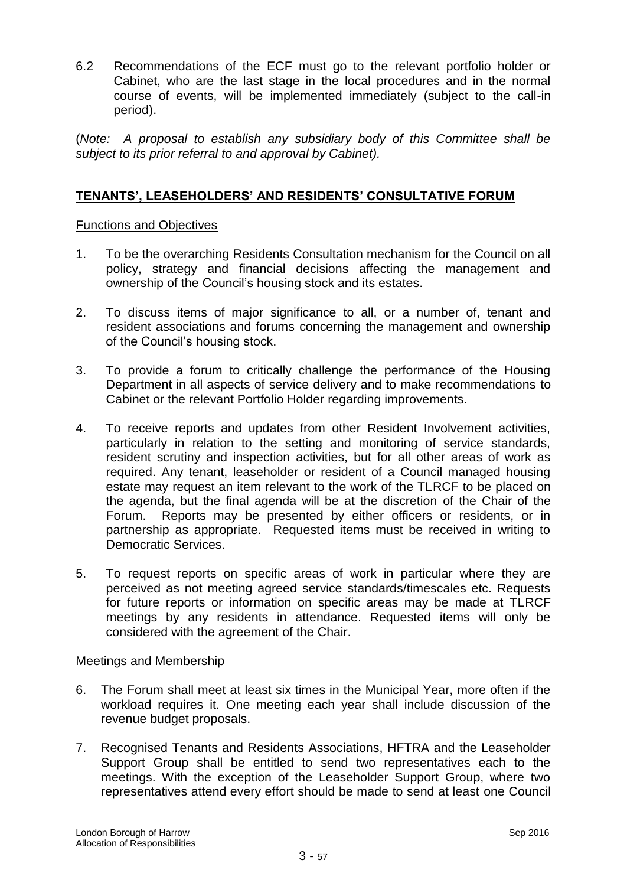6.2 Recommendations of the ECF must go to the relevant portfolio holder or Cabinet, who are the last stage in the local procedures and in the normal course of events, will be implemented immediately (subject to the call-in period).

(*Note: A proposal to establish any subsidiary body of this Committee shall be subject to its prior referral to and approval by Cabinet).*

# **TENANTS", LEASEHOLDERS" AND RESIDENTS" CONSULTATIVE FORUM**

## Functions and Objectives

- 1. To be the overarching Residents Consultation mechanism for the Council on all policy, strategy and financial decisions affecting the management and ownership of the Council"s housing stock and its estates.
- 2. To discuss items of major significance to all, or a number of, tenant and resident associations and forums concerning the management and ownership of the Council"s housing stock.
- 3. To provide a forum to critically challenge the performance of the Housing Department in all aspects of service delivery and to make recommendations to Cabinet or the relevant Portfolio Holder regarding improvements.
- 4. To receive reports and updates from other Resident Involvement activities, particularly in relation to the setting and monitoring of service standards, resident scrutiny and inspection activities, but for all other areas of work as required. Any tenant, leaseholder or resident of a Council managed housing estate may request an item relevant to the work of the TLRCF to be placed on the agenda, but the final agenda will be at the discretion of the Chair of the Forum. Reports may be presented by either officers or residents, or in partnership as appropriate. Requested items must be received in writing to Democratic Services.
- 5. To request reports on specific areas of work in particular where they are perceived as not meeting agreed service standards/timescales etc. Requests for future reports or information on specific areas may be made at TLRCF meetings by any residents in attendance. Requested items will only be considered with the agreement of the Chair.

## Meetings and Membership

- 6. The Forum shall meet at least six times in the Municipal Year, more often if the workload requires it. One meeting each year shall include discussion of the revenue budget proposals.
- 7. Recognised Tenants and Residents Associations, HFTRA and the Leaseholder Support Group shall be entitled to send two representatives each to the meetings. With the exception of the Leaseholder Support Group, where two representatives attend every effort should be made to send at least one Council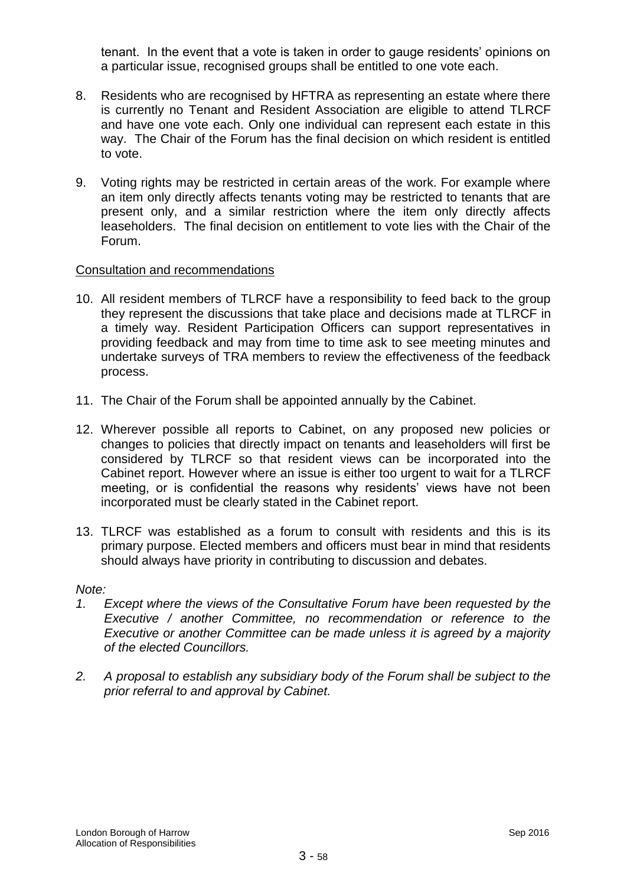tenant. In the event that a vote is taken in order to gauge residents" opinions on a particular issue, recognised groups shall be entitled to one vote each.

- 8. Residents who are recognised by HFTRA as representing an estate where there is currently no Tenant and Resident Association are eligible to attend TLRCF and have one vote each. Only one individual can represent each estate in this way. The Chair of the Forum has the final decision on which resident is entitled to vote.
- 9. Voting rights may be restricted in certain areas of the work. For example where an item only directly affects tenants voting may be restricted to tenants that are present only, and a similar restriction where the item only directly affects leaseholders. The final decision on entitlement to vote lies with the Chair of the Forum.

## Consultation and recommendations

- 10. All resident members of TLRCF have a responsibility to feed back to the group they represent the discussions that take place and decisions made at TLRCF in a timely way. Resident Participation Officers can support representatives in providing feedback and may from time to time ask to see meeting minutes and undertake surveys of TRA members to review the effectiveness of the feedback process.
- 11. The Chair of the Forum shall be appointed annually by the Cabinet.
- 12. Wherever possible all reports to Cabinet, on any proposed new policies or changes to policies that directly impact on tenants and leaseholders will first be considered by TLRCF so that resident views can be incorporated into the Cabinet report. However where an issue is either too urgent to wait for a TLRCF meeting, or is confidential the reasons why residents' views have not been incorporated must be clearly stated in the Cabinet report.
- 13. TLRCF was established as a forum to consult with residents and this is its primary purpose. Elected members and officers must bear in mind that residents should always have priority in contributing to discussion and debates.

#### *Note:*

- *1. Except where the views of the Consultative Forum have been requested by the Executive / another Committee, no recommendation or reference to the Executive or another Committee can be made unless it is agreed by a majority of the elected Councillors.*
- *2. A proposal to establish any subsidiary body of the Forum shall be subject to the prior referral to and approval by Cabinet.*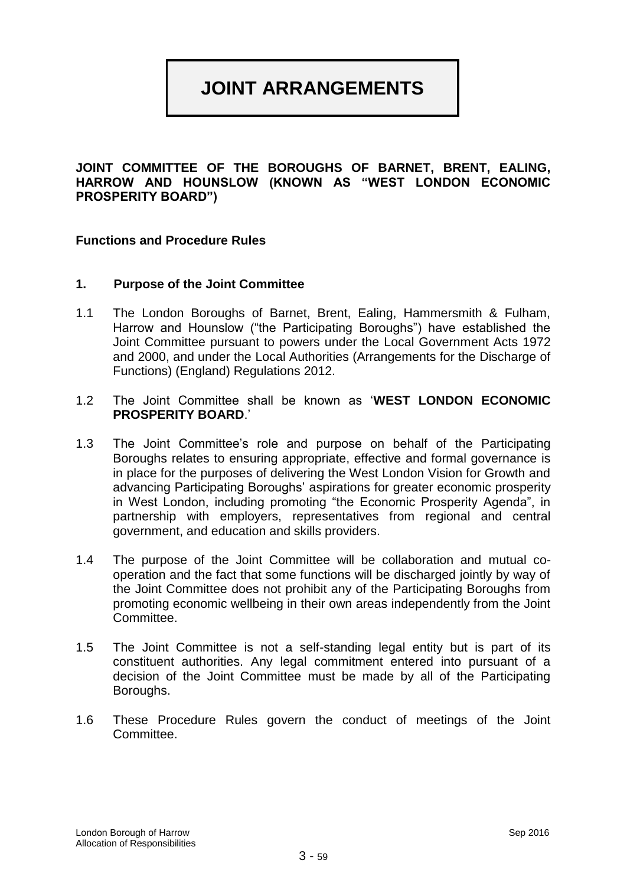# **JOINT ARRANGEMENTS**

**JOINT COMMITTEE OF THE BOROUGHS OF BARNET, BRENT, EALING, HARROW AND HOUNSLOW (KNOWN AS "WEST LONDON ECONOMIC PROSPERITY BOARD")**

#### **Functions and Procedure Rules**

#### **1. Purpose of the Joint Committee**

- 1.1 The London Boroughs of Barnet, Brent, Ealing, Hammersmith & Fulham, Harrow and Hounslow ("the Participating Boroughs") have established the Joint Committee pursuant to powers under the Local Government Acts 1972 and 2000, and under the Local Authorities (Arrangements for the Discharge of Functions) (England) Regulations 2012.
- 1.2 The Joint Committee shall be known as "**WEST LONDON ECONOMIC PROSPERITY BOARD**."
- 1.3 The Joint Committee"s role and purpose on behalf of the Participating Boroughs relates to ensuring appropriate, effective and formal governance is in place for the purposes of delivering the West London Vision for Growth and advancing Participating Boroughs" aspirations for greater economic prosperity in West London, including promoting "the Economic Prosperity Agenda", in partnership with employers, representatives from regional and central government, and education and skills providers.
- 1.4 The purpose of the Joint Committee will be collaboration and mutual cooperation and the fact that some functions will be discharged jointly by way of the Joint Committee does not prohibit any of the Participating Boroughs from promoting economic wellbeing in their own areas independently from the Joint Committee.
- 1.5 The Joint Committee is not a self-standing legal entity but is part of its constituent authorities. Any legal commitment entered into pursuant of a decision of the Joint Committee must be made by all of the Participating Boroughs.
- 1.6 These Procedure Rules govern the conduct of meetings of the Joint Committee.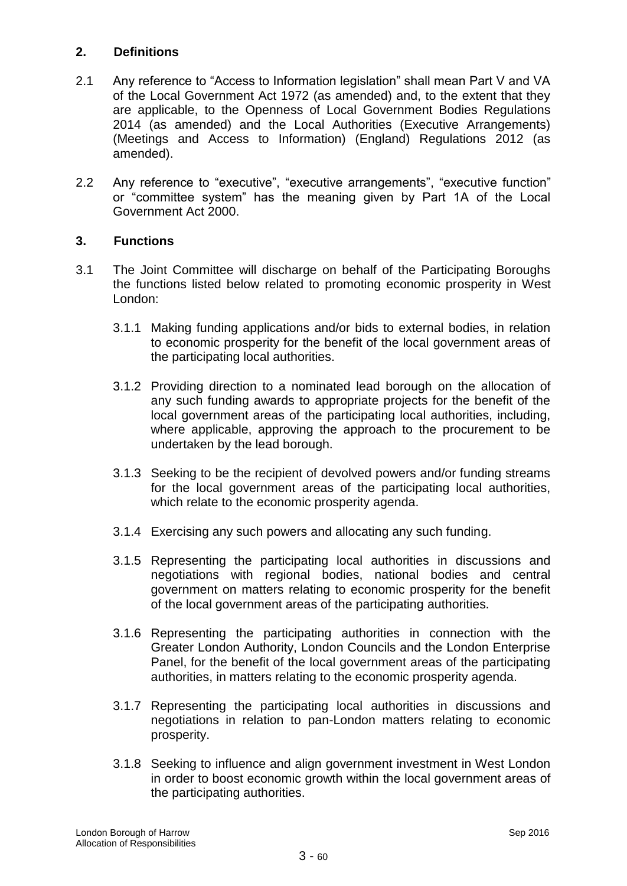# **2. Definitions**

- 2.1 Any reference to "Access to Information legislation" shall mean Part V and VA of the Local Government Act 1972 (as amended) and, to the extent that they are applicable, to the Openness of Local Government Bodies Regulations 2014 (as amended) and the Local Authorities (Executive Arrangements) (Meetings and Access to Information) (England) Regulations 2012 (as amended).
- 2.2 Any reference to "executive", "executive arrangements", "executive function" or "committee system" has the meaning given by Part 1A of the Local Government Act 2000.

## **3. Functions**

- 3.1 The Joint Committee will discharge on behalf of the Participating Boroughs the functions listed below related to promoting economic prosperity in West London:
	- 3.1.1 Making funding applications and/or bids to external bodies, in relation to economic prosperity for the benefit of the local government areas of the participating local authorities.
	- 3.1.2 Providing direction to a nominated lead borough on the allocation of any such funding awards to appropriate projects for the benefit of the local government areas of the participating local authorities, including, where applicable, approving the approach to the procurement to be undertaken by the lead borough.
	- 3.1.3 Seeking to be the recipient of devolved powers and/or funding streams for the local government areas of the participating local authorities, which relate to the economic prosperity agenda.
	- 3.1.4 Exercising any such powers and allocating any such funding.
	- 3.1.5 Representing the participating local authorities in discussions and negotiations with regional bodies, national bodies and central government on matters relating to economic prosperity for the benefit of the local government areas of the participating authorities.
	- 3.1.6 Representing the participating authorities in connection with the Greater London Authority, London Councils and the London Enterprise Panel, for the benefit of the local government areas of the participating authorities, in matters relating to the economic prosperity agenda.
	- 3.1.7 Representing the participating local authorities in discussions and negotiations in relation to pan-London matters relating to economic prosperity.
	- 3.1.8 Seeking to influence and align government investment in West London in order to boost economic growth within the local government areas of the participating authorities.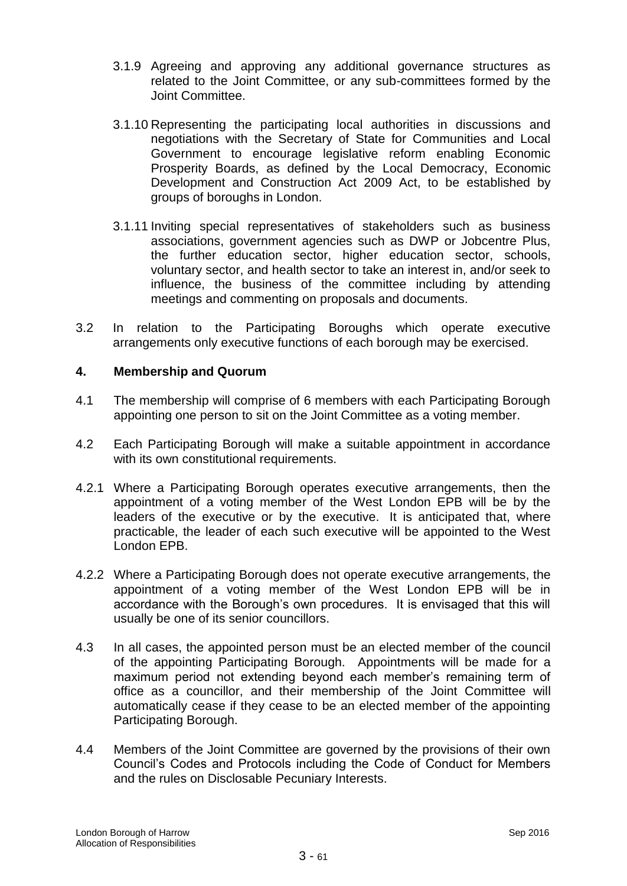- 3.1.9 Agreeing and approving any additional governance structures as related to the Joint Committee, or any sub-committees formed by the Joint Committee.
- 3.1.10 Representing the participating local authorities in discussions and negotiations with the Secretary of State for Communities and Local Government to encourage legislative reform enabling Economic Prosperity Boards, as defined by the Local Democracy, Economic Development and Construction Act 2009 Act, to be established by groups of boroughs in London.
- 3.1.11 Inviting special representatives of stakeholders such as business associations, government agencies such as DWP or Jobcentre Plus, the further education sector, higher education sector, schools, voluntary sector, and health sector to take an interest in, and/or seek to influence, the business of the committee including by attending meetings and commenting on proposals and documents.
- 3.2 In relation to the Participating Boroughs which operate executive arrangements only executive functions of each borough may be exercised.

## **4. Membership and Quorum**

- 4.1 The membership will comprise of 6 members with each Participating Borough appointing one person to sit on the Joint Committee as a voting member.
- 4.2 Each Participating Borough will make a suitable appointment in accordance with its own constitutional requirements.
- 4.2.1 Where a Participating Borough operates executive arrangements, then the appointment of a voting member of the West London EPB will be by the leaders of the executive or by the executive. It is anticipated that, where practicable, the leader of each such executive will be appointed to the West London EPB.
- 4.2.2 Where a Participating Borough does not operate executive arrangements, the appointment of a voting member of the West London EPB will be in accordance with the Borough's own procedures. It is envisaged that this will usually be one of its senior councillors.
- 4.3 In all cases, the appointed person must be an elected member of the council of the appointing Participating Borough. Appointments will be made for a maximum period not extending beyond each member"s remaining term of office as a councillor, and their membership of the Joint Committee will automatically cease if they cease to be an elected member of the appointing Participating Borough.
- 4.4 Members of the Joint Committee are governed by the provisions of their own Council"s Codes and Protocols including the Code of Conduct for Members and the rules on Disclosable Pecuniary Interests.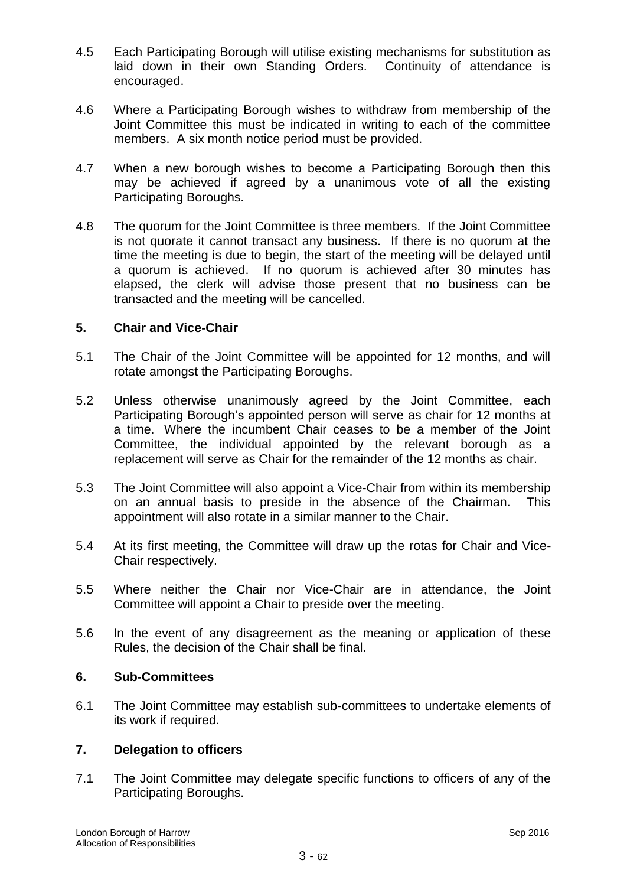- 4.5 Each Participating Borough will utilise existing mechanisms for substitution as laid down in their own Standing Orders. Continuity of attendance is encouraged.
- 4.6 Where a Participating Borough wishes to withdraw from membership of the Joint Committee this must be indicated in writing to each of the committee members. A six month notice period must be provided.
- 4.7 When a new borough wishes to become a Participating Borough then this may be achieved if agreed by a unanimous vote of all the existing Participating Boroughs.
- 4.8 The quorum for the Joint Committee is three members. If the Joint Committee is not quorate it cannot transact any business. If there is no quorum at the time the meeting is due to begin, the start of the meeting will be delayed until a quorum is achieved. If no quorum is achieved after 30 minutes has elapsed, the clerk will advise those present that no business can be transacted and the meeting will be cancelled.

## **5. Chair and Vice-Chair**

- 5.1 The Chair of the Joint Committee will be appointed for 12 months, and will rotate amongst the Participating Boroughs.
- 5.2 Unless otherwise unanimously agreed by the Joint Committee, each Participating Borough's appointed person will serve as chair for 12 months at a time. Where the incumbent Chair ceases to be a member of the Joint Committee, the individual appointed by the relevant borough as a replacement will serve as Chair for the remainder of the 12 months as chair.
- 5.3 The Joint Committee will also appoint a Vice-Chair from within its membership on an annual basis to preside in the absence of the Chairman. This appointment will also rotate in a similar manner to the Chair.
- 5.4 At its first meeting, the Committee will draw up the rotas for Chair and Vice-Chair respectively.
- 5.5 Where neither the Chair nor Vice-Chair are in attendance, the Joint Committee will appoint a Chair to preside over the meeting.
- 5.6 In the event of any disagreement as the meaning or application of these Rules, the decision of the Chair shall be final.

#### **6. Sub-Committees**

6.1 The Joint Committee may establish sub-committees to undertake elements of its work if required.

## **7. Delegation to officers**

7.1 The Joint Committee may delegate specific functions to officers of any of the Participating Boroughs.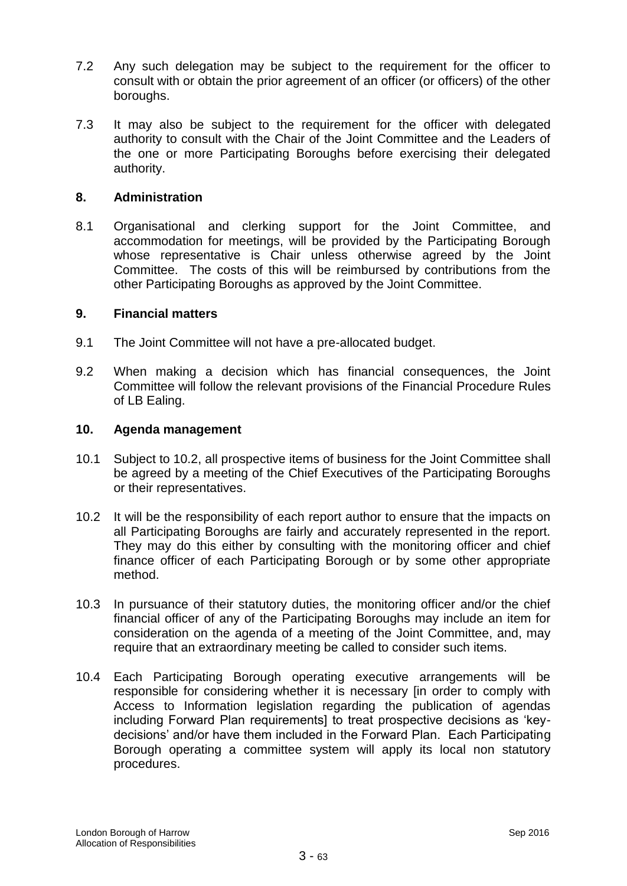- 7.2 Any such delegation may be subject to the requirement for the officer to consult with or obtain the prior agreement of an officer (or officers) of the other boroughs.
- 7.3 It may also be subject to the requirement for the officer with delegated authority to consult with the Chair of the Joint Committee and the Leaders of the one or more Participating Boroughs before exercising their delegated authority.

#### **8. Administration**

8.1 Organisational and clerking support for the Joint Committee, and accommodation for meetings, will be provided by the Participating Borough whose representative is Chair unless otherwise agreed by the Joint Committee. The costs of this will be reimbursed by contributions from the other Participating Boroughs as approved by the Joint Committee.

#### **9. Financial matters**

- 9.1 The Joint Committee will not have a pre-allocated budget.
- 9.2 When making a decision which has financial consequences, the Joint Committee will follow the relevant provisions of the Financial Procedure Rules of LB Ealing.

#### **10. Agenda management**

- 10.1 Subject to 10.2, all prospective items of business for the Joint Committee shall be agreed by a meeting of the Chief Executives of the Participating Boroughs or their representatives.
- 10.2 It will be the responsibility of each report author to ensure that the impacts on all Participating Boroughs are fairly and accurately represented in the report. They may do this either by consulting with the monitoring officer and chief finance officer of each Participating Borough or by some other appropriate method.
- 10.3 In pursuance of their statutory duties, the monitoring officer and/or the chief financial officer of any of the Participating Boroughs may include an item for consideration on the agenda of a meeting of the Joint Committee, and, may require that an extraordinary meeting be called to consider such items.
- 10.4 Each Participating Borough operating executive arrangements will be responsible for considering whether it is necessary [in order to comply with Access to Information legislation regarding the publication of agendas including Forward Plan requirements] to treat prospective decisions as "keydecisions" and/or have them included in the Forward Plan. Each Participating Borough operating a committee system will apply its local non statutory procedures.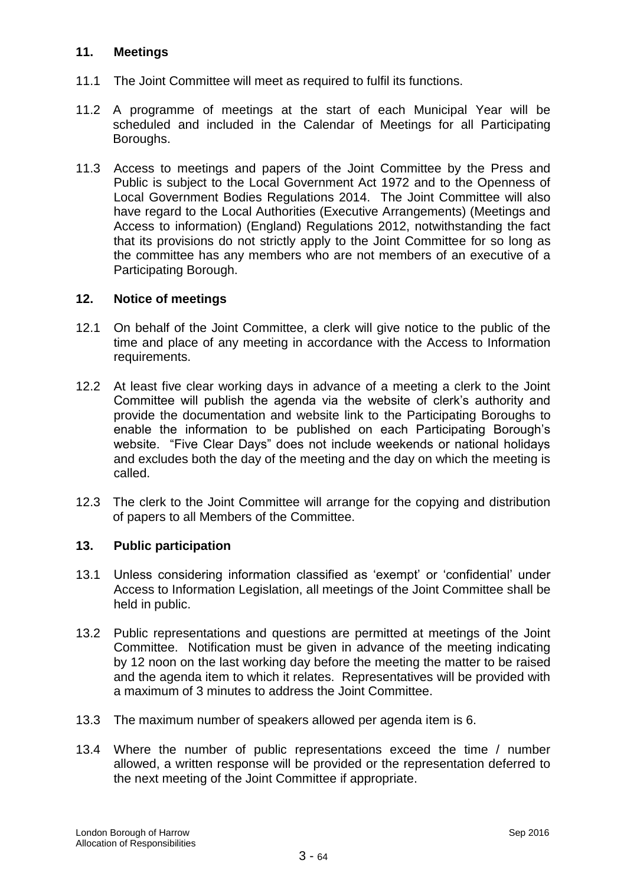## **11. Meetings**

- 11.1 The Joint Committee will meet as required to fulfil its functions.
- 11.2 A programme of meetings at the start of each Municipal Year will be scheduled and included in the Calendar of Meetings for all Participating Boroughs.
- 11.3 Access to meetings and papers of the Joint Committee by the Press and Public is subject to the Local Government Act 1972 and to the Openness of Local Government Bodies Regulations 2014. The Joint Committee will also have regard to the Local Authorities (Executive Arrangements) (Meetings and Access to information) (England) Regulations 2012, notwithstanding the fact that its provisions do not strictly apply to the Joint Committee for so long as the committee has any members who are not members of an executive of a Participating Borough.

## **12. Notice of meetings**

- 12.1 On behalf of the Joint Committee, a clerk will give notice to the public of the time and place of any meeting in accordance with the Access to Information requirements.
- 12.2 At least five clear working days in advance of a meeting a clerk to the Joint Committee will publish the agenda via the website of clerk"s authority and provide the documentation and website link to the Participating Boroughs to enable the information to be published on each Participating Borough"s website. "Five Clear Days" does not include weekends or national holidays and excludes both the day of the meeting and the day on which the meeting is called.
- 12.3 The clerk to the Joint Committee will arrange for the copying and distribution of papers to all Members of the Committee.

## **13. Public participation**

- 13.1 Unless considering information classified as "exempt" or "confidential" under Access to Information Legislation, all meetings of the Joint Committee shall be held in public.
- 13.2 Public representations and questions are permitted at meetings of the Joint Committee. Notification must be given in advance of the meeting indicating by 12 noon on the last working day before the meeting the matter to be raised and the agenda item to which it relates. Representatives will be provided with a maximum of 3 minutes to address the Joint Committee.
- 13.3 The maximum number of speakers allowed per agenda item is 6.
- 13.4 Where the number of public representations exceed the time / number allowed, a written response will be provided or the representation deferred to the next meeting of the Joint Committee if appropriate.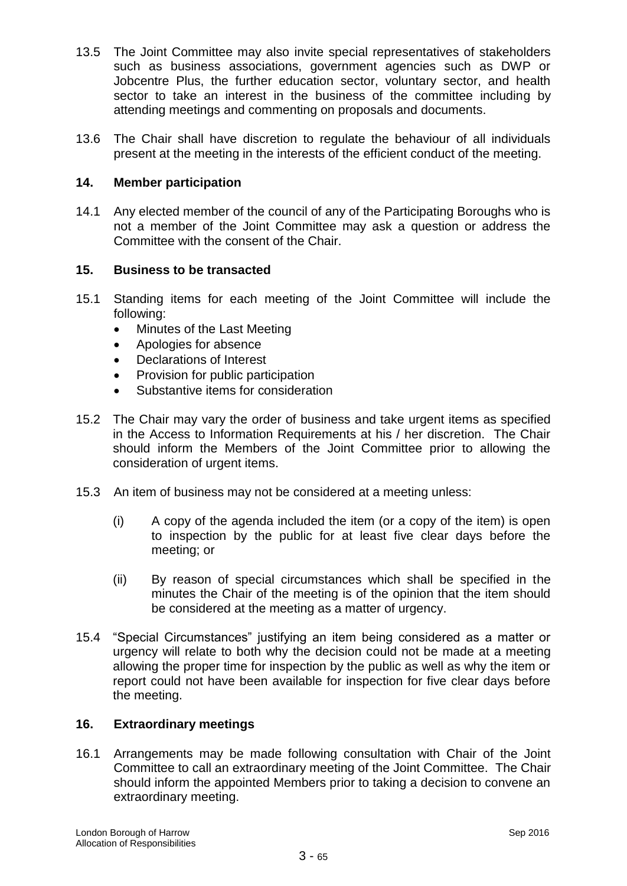- 13.5 The Joint Committee may also invite special representatives of stakeholders such as business associations, government agencies such as DWP or Jobcentre Plus, the further education sector, voluntary sector, and health sector to take an interest in the business of the committee including by attending meetings and commenting on proposals and documents.
- 13.6 The Chair shall have discretion to regulate the behaviour of all individuals present at the meeting in the interests of the efficient conduct of the meeting.

## **14. Member participation**

14.1 Any elected member of the council of any of the Participating Boroughs who is not a member of the Joint Committee may ask a question or address the Committee with the consent of the Chair.

## **15. Business to be transacted**

- 15.1 Standing items for each meeting of the Joint Committee will include the following:
	- Minutes of the Last Meeting
	- Apologies for absence
	- Declarations of Interest
	- Provision for public participation
	- Substantive items for consideration
- 15.2 The Chair may vary the order of business and take urgent items as specified in the Access to Information Requirements at his / her discretion. The Chair should inform the Members of the Joint Committee prior to allowing the consideration of urgent items.
- 15.3 An item of business may not be considered at a meeting unless:
	- (i) A copy of the agenda included the item (or a copy of the item) is open to inspection by the public for at least five clear days before the meeting; or
	- (ii) By reason of special circumstances which shall be specified in the minutes the Chair of the meeting is of the opinion that the item should be considered at the meeting as a matter of urgency.
- 15.4 "Special Circumstances" justifying an item being considered as a matter or urgency will relate to both why the decision could not be made at a meeting allowing the proper time for inspection by the public as well as why the item or report could not have been available for inspection for five clear days before the meeting.

## **16. Extraordinary meetings**

16.1 Arrangements may be made following consultation with Chair of the Joint Committee to call an extraordinary meeting of the Joint Committee. The Chair should inform the appointed Members prior to taking a decision to convene an extraordinary meeting.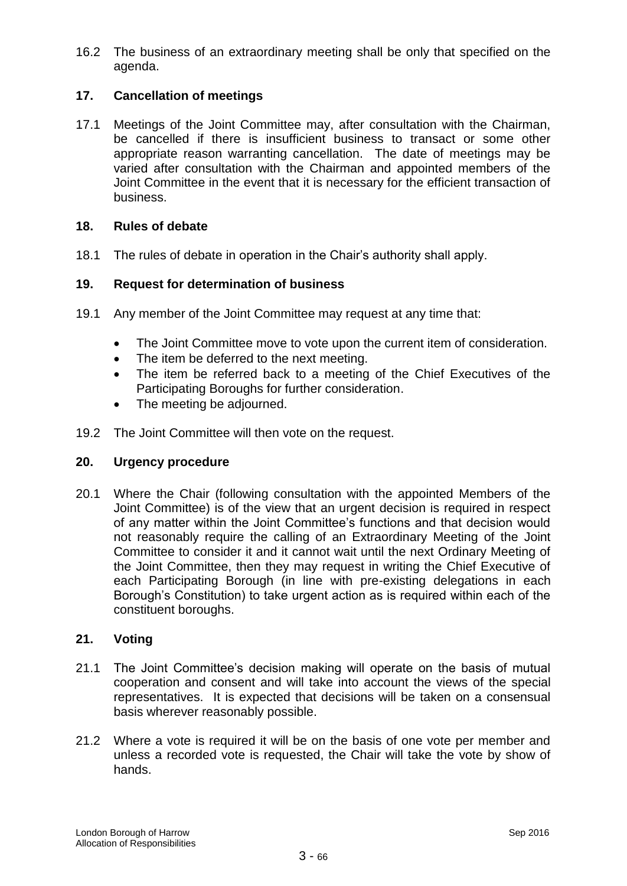16.2 The business of an extraordinary meeting shall be only that specified on the agenda.

# **17. Cancellation of meetings**

17.1 Meetings of the Joint Committee may, after consultation with the Chairman, be cancelled if there is insufficient business to transact or some other appropriate reason warranting cancellation. The date of meetings may be varied after consultation with the Chairman and appointed members of the Joint Committee in the event that it is necessary for the efficient transaction of business.

## **18. Rules of debate**

18.1 The rules of debate in operation in the Chair"s authority shall apply.

#### **19. Request for determination of business**

- 19.1 Any member of the Joint Committee may request at any time that:
	- The Joint Committee move to vote upon the current item of consideration.
	- The item be deferred to the next meeting.
	- The item be referred back to a meeting of the Chief Executives of the Participating Boroughs for further consideration.
	- The meeting be adjourned.
- 19.2 The Joint Committee will then vote on the request.

#### **20. Urgency procedure**

20.1 Where the Chair (following consultation with the appointed Members of the Joint Committee) is of the view that an urgent decision is required in respect of any matter within the Joint Committee"s functions and that decision would not reasonably require the calling of an Extraordinary Meeting of the Joint Committee to consider it and it cannot wait until the next Ordinary Meeting of the Joint Committee, then they may request in writing the Chief Executive of each Participating Borough (in line with pre-existing delegations in each Borough"s Constitution) to take urgent action as is required within each of the constituent boroughs.

## **21. Voting**

- 21.1 The Joint Committee"s decision making will operate on the basis of mutual cooperation and consent and will take into account the views of the special representatives. It is expected that decisions will be taken on a consensual basis wherever reasonably possible.
- 21.2 Where a vote is required it will be on the basis of one vote per member and unless a recorded vote is requested, the Chair will take the vote by show of hands.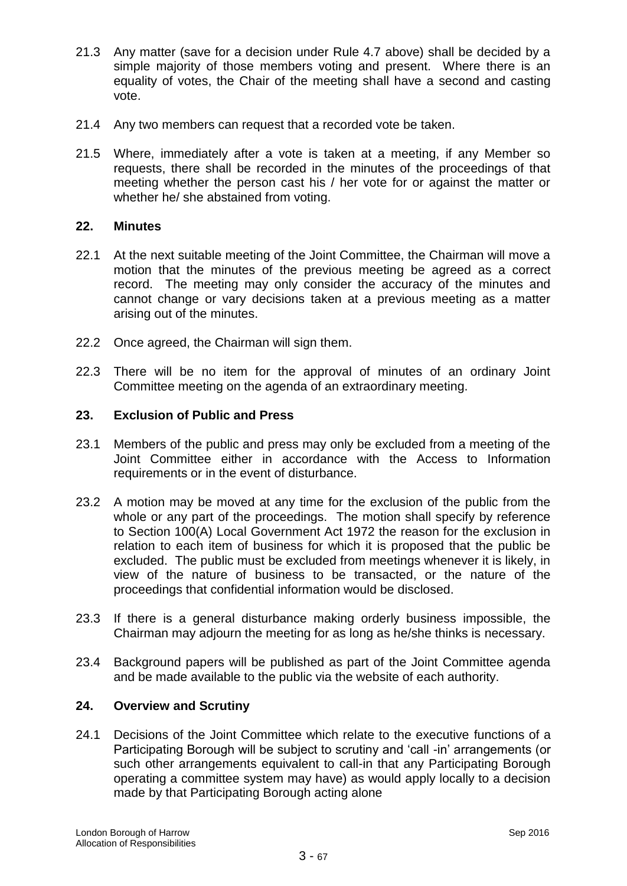- 21.3 Any matter (save for a decision under Rule 4.7 above) shall be decided by a simple majority of those members voting and present. Where there is an equality of votes, the Chair of the meeting shall have a second and casting vote.
- 21.4 Any two members can request that a recorded vote be taken.
- 21.5 Where, immediately after a vote is taken at a meeting, if any Member so requests, there shall be recorded in the minutes of the proceedings of that meeting whether the person cast his / her vote for or against the matter or whether he/ she abstained from voting.

#### **22. Minutes**

- 22.1 At the next suitable meeting of the Joint Committee, the Chairman will move a motion that the minutes of the previous meeting be agreed as a correct record. The meeting may only consider the accuracy of the minutes and cannot change or vary decisions taken at a previous meeting as a matter arising out of the minutes.
- 22.2 Once agreed, the Chairman will sign them.
- 22.3 There will be no item for the approval of minutes of an ordinary Joint Committee meeting on the agenda of an extraordinary meeting.

#### **23. Exclusion of Public and Press**

- 23.1 Members of the public and press may only be excluded from a meeting of the Joint Committee either in accordance with the Access to Information requirements or in the event of disturbance.
- 23.2 A motion may be moved at any time for the exclusion of the public from the whole or any part of the proceedings. The motion shall specify by reference to Section 100(A) Local Government Act 1972 the reason for the exclusion in relation to each item of business for which it is proposed that the public be excluded. The public must be excluded from meetings whenever it is likely, in view of the nature of business to be transacted, or the nature of the proceedings that confidential information would be disclosed.
- 23.3 If there is a general disturbance making orderly business impossible, the Chairman may adjourn the meeting for as long as he/she thinks is necessary.
- 23.4 Background papers will be published as part of the Joint Committee agenda and be made available to the public via the website of each authority.

## **24. Overview and Scrutiny**

24.1 Decisions of the Joint Committee which relate to the executive functions of a Participating Borough will be subject to scrutiny and 'call -in' arrangements (or such other arrangements equivalent to call-in that any Participating Borough operating a committee system may have) as would apply locally to a decision made by that Participating Borough acting alone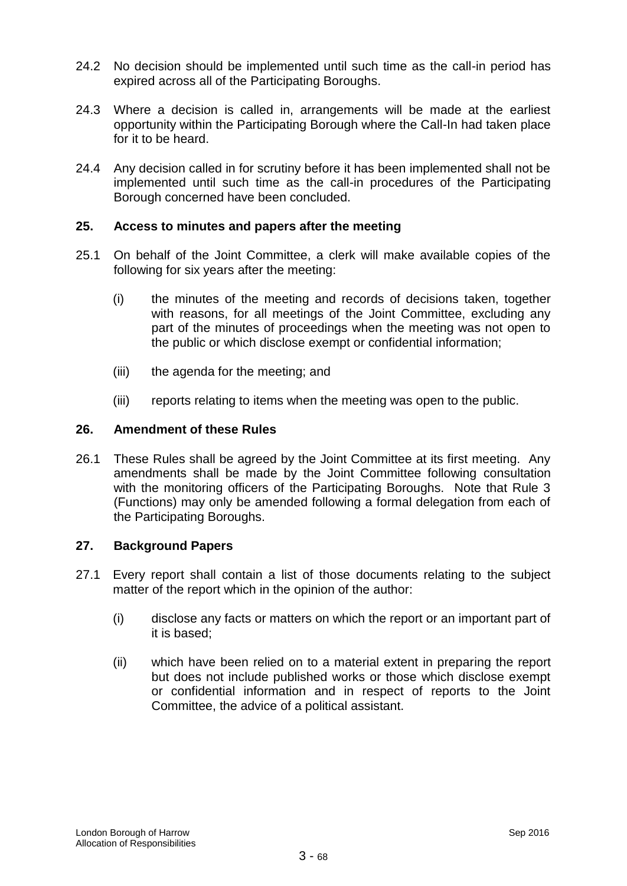- 24.2 No decision should be implemented until such time as the call-in period has expired across all of the Participating Boroughs.
- 24.3 Where a decision is called in, arrangements will be made at the earliest opportunity within the Participating Borough where the Call-In had taken place for it to be heard.
- 24.4 Any decision called in for scrutiny before it has been implemented shall not be implemented until such time as the call-in procedures of the Participating Borough concerned have been concluded.

## **25. Access to minutes and papers after the meeting**

- 25.1 On behalf of the Joint Committee, a clerk will make available copies of the following for six years after the meeting:
	- (i) the minutes of the meeting and records of decisions taken, together with reasons, for all meetings of the Joint Committee, excluding any part of the minutes of proceedings when the meeting was not open to the public or which disclose exempt or confidential information;
	- (iii) the agenda for the meeting; and
	- (iii) reports relating to items when the meeting was open to the public.

## **26. Amendment of these Rules**

26.1 These Rules shall be agreed by the Joint Committee at its first meeting. Any amendments shall be made by the Joint Committee following consultation with the monitoring officers of the Participating Boroughs. Note that Rule 3 (Functions) may only be amended following a formal delegation from each of the Participating Boroughs.

## **27. Background Papers**

- 27.1 Every report shall contain a list of those documents relating to the subject matter of the report which in the opinion of the author:
	- (i) disclose any facts or matters on which the report or an important part of it is based;
	- (ii) which have been relied on to a material extent in preparing the report but does not include published works or those which disclose exempt or confidential information and in respect of reports to the Joint Committee, the advice of a political assistant.